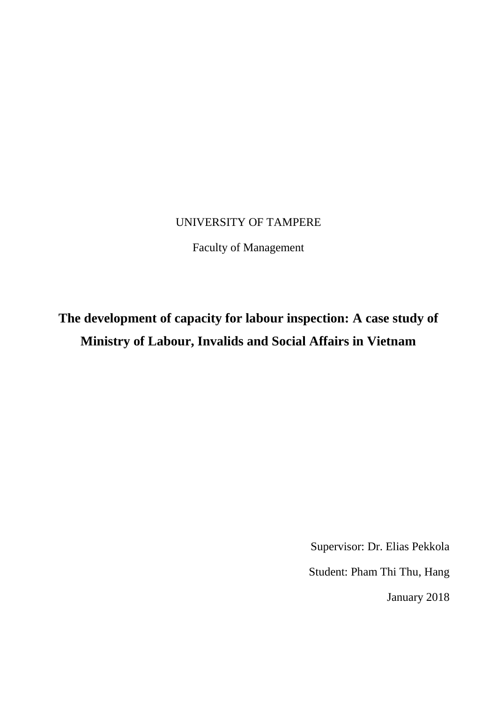# UNIVERSITY OF TAMPERE

Faculty of Management

# **The development of capacity for labour inspection: A case study of Ministry of Labour, Invalids and Social Affairs in Vietnam**

Supervisor: Dr. Elias Pekkola

Student: Pham Thi Thu, Hang

January 2018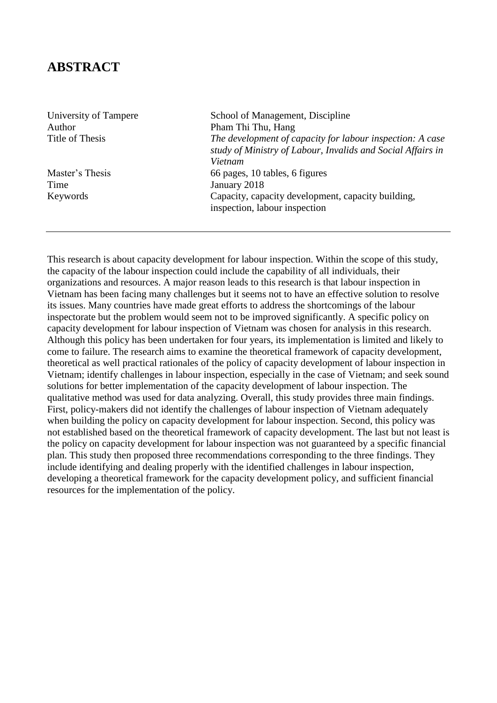# **ABSTRACT**

Author Pham Thi Thu, Hang

Time January 2018

University of Tampere School of Management, Discipline Title of Thesis *The development of capacity for labour inspection: A case study of Ministry of Labour, Invalids and Social Affairs in Vietnam*  Master's Thesis 66 pages, 10 tables, 6 figures Keywords Capacity, capacity development, capacity building, inspection, labour inspection

This research is about capacity development for labour inspection. Within the scope of this study, the capacity of the labour inspection could include the capability of all individuals, their organizations and resources. A major reason leads to this research is that labour inspection in Vietnam has been facing many challenges but it seems not to have an effective solution to resolve its issues. Many countries have made great efforts to address the shortcomings of the labour inspectorate but the problem would seem not to be improved significantly. A specific policy on capacity development for labour inspection of Vietnam was chosen for analysis in this research. Although this policy has been undertaken for four years, its implementation is limited and likely to come to failure. The research aims to examine the theoretical framework of capacity development, theoretical as well practical rationales of the policy of capacity development of labour inspection in Vietnam; identify challenges in labour inspection, especially in the case of Vietnam; and seek sound solutions for better implementation of the capacity development of labour inspection. The qualitative method was used for data analyzing. Overall, this study provides three main findings. First, policy-makers did not identify the challenges of labour inspection of Vietnam adequately when building the policy on capacity development for labour inspection. Second, this policy was not established based on the theoretical framework of capacity development. The last but not least is the policy on capacity development for labour inspection was not guaranteed by a specific financial plan. This study then proposed three recommendations corresponding to the three findings. They include identifying and dealing properly with the identified challenges in labour inspection, developing a theoretical framework for the capacity development policy, and sufficient financial resources for the implementation of the policy.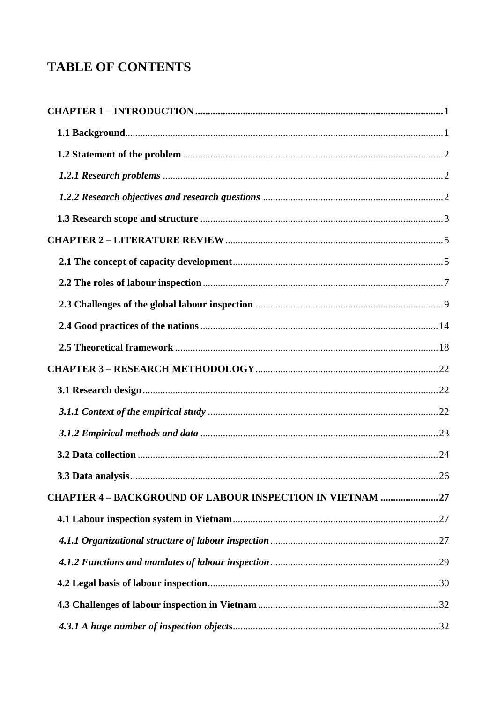# **TABLE OF CONTENTS**

| CHAPTER 4 - BACKGROUND OF LABOUR INSPECTION IN VIETNAM 27 |  |
|-----------------------------------------------------------|--|
|                                                           |  |
|                                                           |  |
|                                                           |  |
|                                                           |  |
|                                                           |  |
|                                                           |  |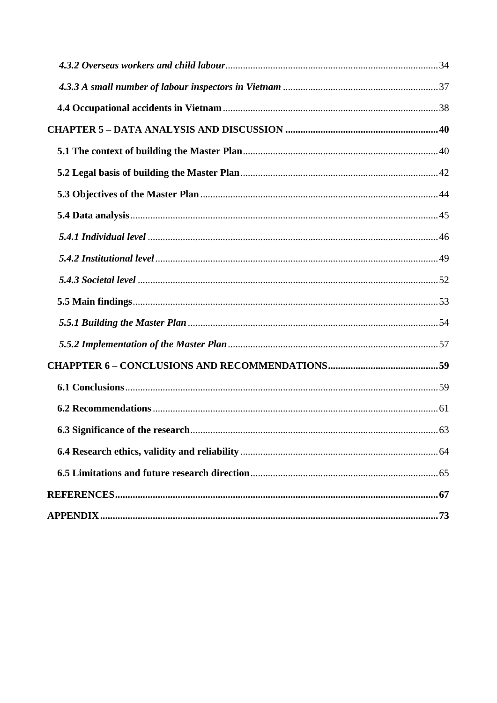| 63 |
|----|
|    |
|    |
|    |
|    |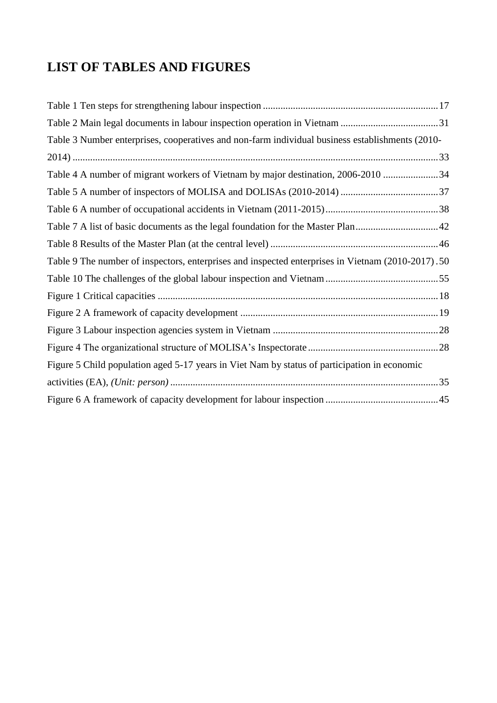# **LIST OF TABLES AND FIGURES**

| Table 3 Number enterprises, cooperatives and non-farm individual business establishments (2010-   |  |
|---------------------------------------------------------------------------------------------------|--|
|                                                                                                   |  |
| Table 4 A number of migrant workers of Vietnam by major destination, 2006-2010 34                 |  |
|                                                                                                   |  |
|                                                                                                   |  |
| Table 7 A list of basic documents as the legal foundation for the Master Plan42                   |  |
|                                                                                                   |  |
| Table 9 The number of inspectors, enterprises and inspected enterprises in Vietnam (2010-2017).50 |  |
|                                                                                                   |  |
|                                                                                                   |  |
|                                                                                                   |  |
|                                                                                                   |  |
|                                                                                                   |  |
| Figure 5 Child population aged 5-17 years in Viet Nam by status of participation in economic      |  |
|                                                                                                   |  |
|                                                                                                   |  |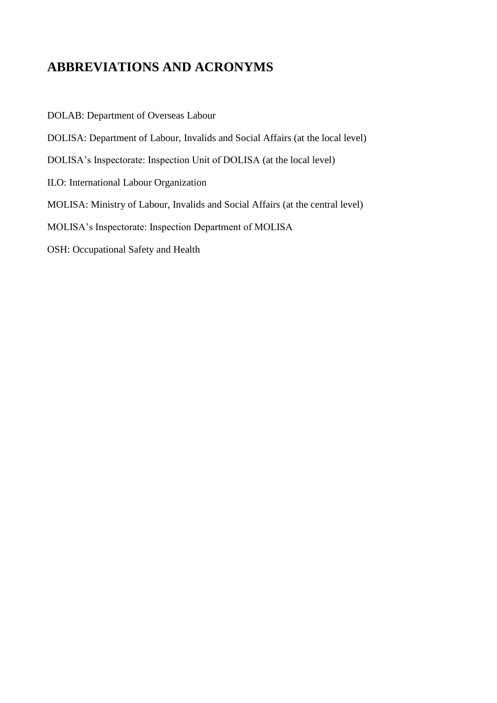# **ABBREVIATIONS AND ACRONYMS**

DOLAB: Department of Overseas Labour DOLISA: Department of Labour, Invalids and Social Affairs (at the local level) DOLISA's Inspectorate: Inspection Unit of DOLISA (at the local level) ILO: International Labour Organization MOLISA: Ministry of Labour, Invalids and Social Affairs (at the central level) MOLISA's Inspectorate: Inspection Department of MOLISA OSH: Occupational Safety and Health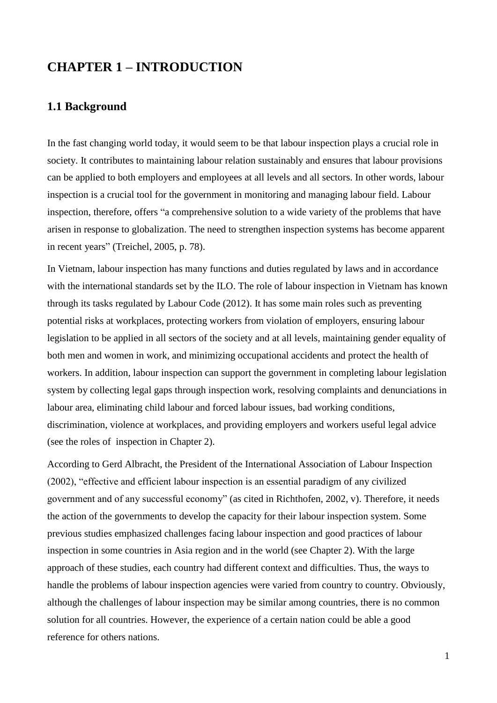# <span id="page-6-0"></span>**CHAPTER 1 – INTRODUCTION**

## <span id="page-6-1"></span>**1.1 Background**

In the fast changing world today, it would seem to be that labour inspection plays a crucial role in society. It contributes to maintaining labour relation sustainably and ensures that labour provisions can be applied to both employers and employees at all levels and all sectors. In other words, labour inspection is a crucial tool for the government in monitoring and managing labour field. Labour inspection, therefore, offers "a comprehensive solution to a wide variety of the problems that have arisen in response to globalization. The need to strengthen inspection systems has become apparent in recent years" (Treichel, 2005, p. 78).

In Vietnam, labour inspection has many functions and duties regulated by laws and in accordance with the international standards set by the ILO. The role of labour inspection in Vietnam has known through its tasks regulated by Labour Code (2012). It has some main roles such as preventing potential risks at workplaces, protecting workers from violation of employers, ensuring labour legislation to be applied in all sectors of the society and at all levels, maintaining gender equality of both men and women in work, and minimizing occupational accidents and protect the health of workers. In addition, labour inspection can support the government in completing labour legislation system by collecting legal gaps through inspection work, resolving complaints and denunciations in labour area, eliminating child labour and forced labour issues, bad working conditions, discrimination, violence at workplaces, and providing employers and workers useful legal advice (see the roles of inspection in Chapter 2).

According to Gerd Albracht, the President of the International Association of Labour Inspection (2002), "effective and efficient labour inspection is an essential paradigm of any civilized government and of any successful economy" (as cited in Richthofen, 2002, v). Therefore, it needs the action of the governments to develop the capacity for their labour inspection system. Some previous studies emphasized challenges facing labour inspection and good practices of labour inspection in some countries in Asia region and in the world (see Chapter 2). With the large approach of these studies, each country had different context and difficulties. Thus, the ways to handle the problems of labour inspection agencies were varied from country to country. Obviously, although the challenges of labour inspection may be similar among countries, there is no common solution for all countries. However, the experience of a certain nation could be able a good reference for others nations.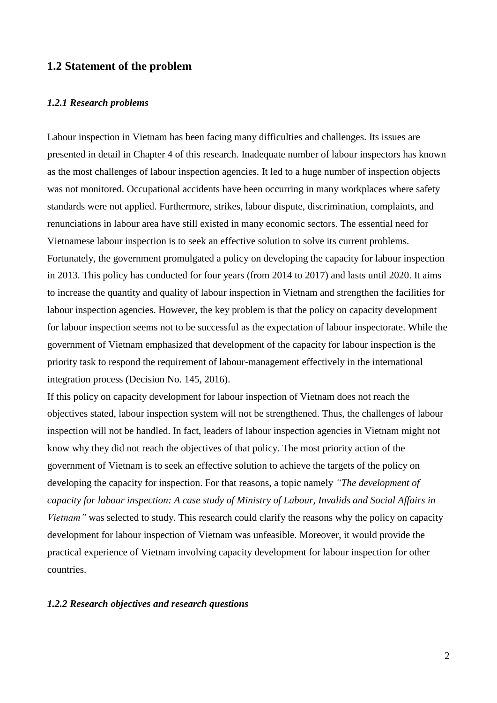#### <span id="page-7-0"></span>**1.2 Statement of the problem**

#### <span id="page-7-1"></span>*1.2.1 Research problems*

Labour inspection in Vietnam has been facing many difficulties and challenges. Its issues are presented in detail in Chapter 4 of this research. Inadequate number of labour inspectors has known as the most challenges of labour inspection agencies. It led to a huge number of inspection objects was not monitored. Occupational accidents have been occurring in many workplaces where safety standards were not applied. Furthermore, strikes, labour dispute, discrimination, complaints, and renunciations in labour area have still existed in many economic sectors. The essential need for Vietnamese labour inspection is to seek an effective solution to solve its current problems. Fortunately, the government promulgated a policy on developing the capacity for labour inspection in 2013. This policy has conducted for four years (from 2014 to 2017) and lasts until 2020. It aims to increase the quantity and quality of labour inspection in Vietnam and strengthen the facilities for labour inspection agencies. However, the key problem is that the policy on capacity development for labour inspection seems not to be successful as the expectation of labour inspectorate. While the government of Vietnam emphasized that development of the capacity for labour inspection is the priority task to respond the requirement of labour-management effectively in the international integration process (Decision No. 145, 2016).

If this policy on capacity development for labour inspection of Vietnam does not reach the objectives stated, labour inspection system will not be strengthened. Thus, the challenges of labour inspection will not be handled. In fact, leaders of labour inspection agencies in Vietnam might not know why they did not reach the objectives of that policy. The most priority action of the government of Vietnam is to seek an effective solution to achieve the targets of the policy on developing the capacity for inspection. For that reasons, a topic namely *"The development of capacity for labour inspection: A case study of Ministry of Labour, Invalids and Social Affairs in Vietnam"* was selected to study. This research could clarify the reasons why the policy on capacity development for labour inspection of Vietnam was unfeasible. Moreover, it would provide the practical experience of Vietnam involving capacity development for labour inspection for other countries.

#### <span id="page-7-2"></span>*1.2.2 Research objectives and research questions*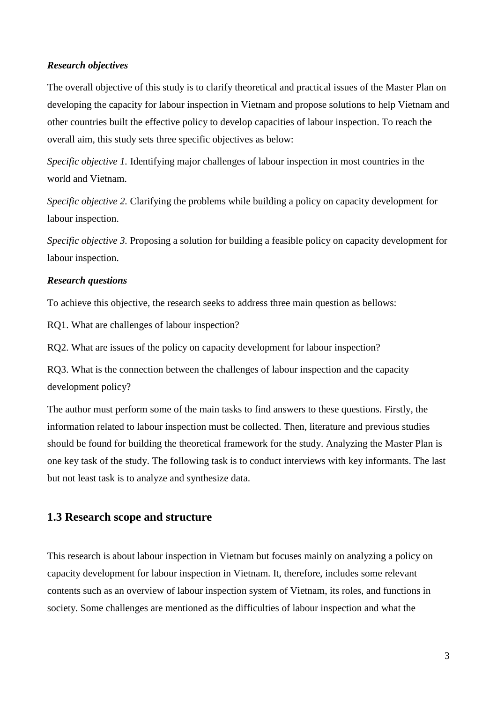#### *Research objectives*

The overall objective of this study is to clarify theoretical and practical issues of the Master Plan on developing the capacity for labour inspection in Vietnam and propose solutions to help Vietnam and other countries built the effective policy to develop capacities of labour inspection. To reach the overall aim, this study sets three specific objectives as below:

*Specific objective 1.* Identifying major challenges of labour inspection in most countries in the world and Vietnam.

*Specific objective 2.* Clarifying the problems while building a policy on capacity development for labour inspection.

*Specific objective 3.* Proposing a solution for building a feasible policy on capacity development for labour inspection.

### *Research questions*

To achieve this objective, the research seeks to address three main question as bellows:

RQ1. What are challenges of labour inspection?

RQ2. What are issues of the policy on capacity development for labour inspection?

RQ3. What is the connection between the challenges of labour inspection and the capacity development policy?

The author must perform some of the main tasks to find answers to these questions. Firstly, the information related to labour inspection must be collected. Then, literature and previous studies should be found for building the theoretical framework for the study. Analyzing the Master Plan is one key task of the study. The following task is to conduct interviews with key informants. The last but not least task is to analyze and synthesize data.

# <span id="page-8-0"></span>**1.3 Research scope and structure**

This research is about labour inspection in Vietnam but focuses mainly on analyzing a policy on capacity development for labour inspection in Vietnam. It, therefore, includes some relevant contents such as an overview of labour inspection system of Vietnam, its roles, and functions in society. Some challenges are mentioned as the difficulties of labour inspection and what the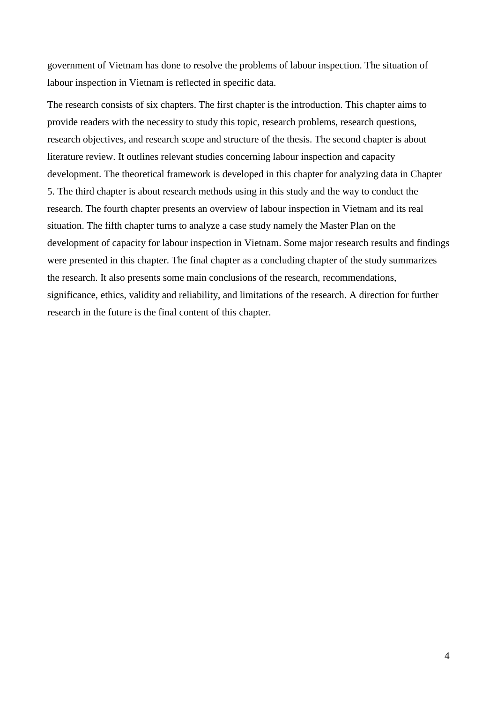government of Vietnam has done to resolve the problems of labour inspection. The situation of labour inspection in Vietnam is reflected in specific data.

The research consists of six chapters. The first chapter is the introduction. This chapter aims to provide readers with the necessity to study this topic, research problems, research questions, research objectives, and research scope and structure of the thesis. The second chapter is about literature review. It outlines relevant studies concerning labour inspection and capacity development. The theoretical framework is developed in this chapter for analyzing data in Chapter 5. The third chapter is about research methods using in this study and the way to conduct the research. The fourth chapter presents an overview of labour inspection in Vietnam and its real situation. The fifth chapter turns to analyze a case study namely the Master Plan on the development of capacity for labour inspection in Vietnam. Some major research results and findings were presented in this chapter. The final chapter as a concluding chapter of the study summarizes the research. It also presents some main conclusions of the research, recommendations, significance, ethics, validity and reliability, and limitations of the research. A direction for further research in the future is the final content of this chapter.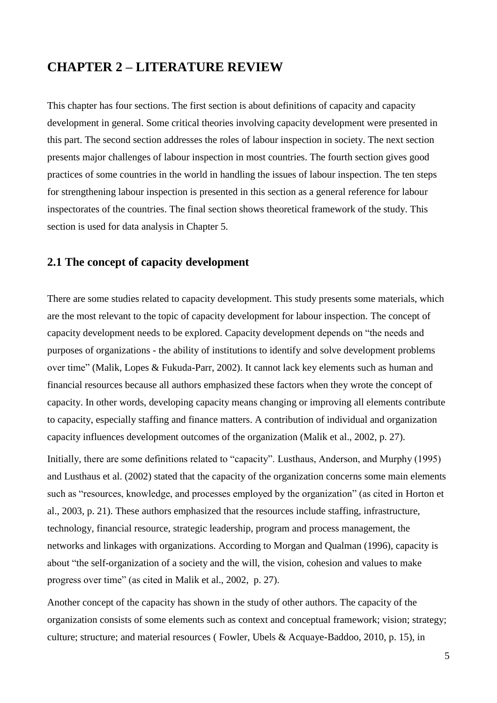# <span id="page-10-0"></span>**CHAPTER 2 – LITERATURE REVIEW**

This chapter has four sections. The first section is about definitions of capacity and capacity development in general. Some critical theories involving capacity development were presented in this part. The second section addresses the roles of labour inspection in society. The next section presents major challenges of labour inspection in most countries. The fourth section gives good practices of some countries in the world in handling the issues of labour inspection. The ten steps for strengthening labour inspection is presented in this section as a general reference for labour inspectorates of the countries. The final section shows theoretical framework of the study. This section is used for data analysis in Chapter 5.

# <span id="page-10-1"></span>**2.1 The concept of capacity development**

There are some studies related to capacity development. This study presents some materials, which are the most relevant to the topic of capacity development for labour inspection. The concept of capacity development needs to be explored. Capacity development depends on "the needs and purposes of organizations - the ability of institutions to identify and solve development problems over time" (Malik, Lopes & Fukuda-Parr, 2002). It cannot lack key elements such as human and financial resources because all authors emphasized these factors when they wrote the concept of capacity. In other words, developing capacity means changing or improving all elements contribute to capacity, especially staffing and finance matters. A contribution of individual and organization capacity influences development outcomes of the organization (Malik et al., 2002, p. 27).

Initially, there are some definitions related to "capacity". Lusthaus, Anderson, and Murphy (1995) and Lusthaus et al. (2002) stated that the capacity of the organization concerns some main elements such as "resources, knowledge, and processes employed by the organization" (as cited in Horton et al., 2003, p. 21). These authors emphasized that the resources include staffing, infrastructure, technology, financial resource, strategic leadership, program and process management, the networks and linkages with organizations. According to Morgan and Qualman (1996), capacity is about "the self-organization of a society and the will, the vision, cohesion and values to make progress over time" (as cited in Malik et al., 2002, p. 27).

Another concept of the capacity has shown in the study of other authors. The capacity of the organization consists of some elements such as context and conceptual framework; vision; strategy; culture; structure; and material resources ( Fowler, Ubels & Acquaye-Baddoo, 2010, p. 15), in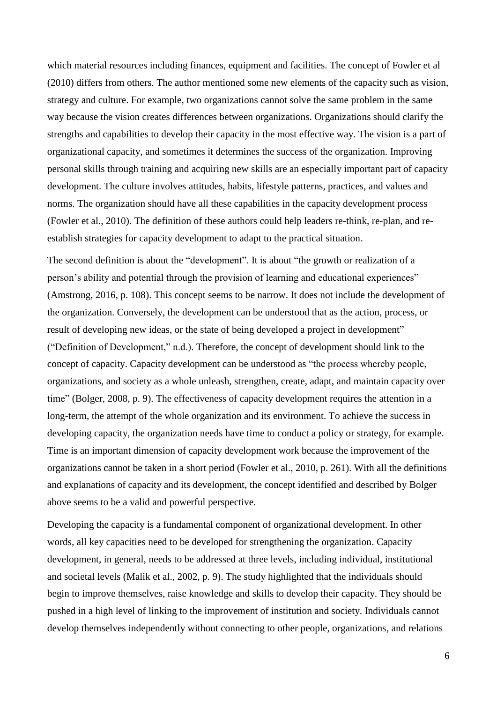which material resources including finances, equipment and facilities. The concept of Fowler et al (2010) differs from others. The author mentioned some new elements of the capacity such as vision, strategy and culture. For example, two organizations cannot solve the same problem in the same way because the vision creates differences between organizations. Organizations should clarify the strengths and capabilities to develop their capacity in the most effective way. The vision is a part of organizational capacity, and sometimes it determines the success of the organization. Improving personal skills through training and acquiring new skills are an especially important part of capacity development. The culture involves attitudes, habits, lifestyle patterns, practices, and values and norms. The organization should have all these capabilities in the capacity development process (Fowler et al., 2010). The definition of these authors could help leaders re-think, re-plan, and reestablish strategies for capacity development to adapt to the practical situation.

The second definition is about the "development". It is about "the growth or realization of a person's ability and potential through the provision of learning and educational experiences" (Amstrong, 2016, p. 108). This concept seems to be narrow. It does not include the development of the organization. Conversely, the development can be understood that as the action, process, or result of developing new ideas, or the state of being developed a project in development" ("Definition of Development," n.d.). Therefore, the concept of development should link to the concept of capacity. Capacity development can be understood as "the process whereby people, organizations, and society as a whole unleash, strengthen, create, adapt, and maintain capacity over time" (Bolger, 2008, p. 9). The effectiveness of capacity development requires the attention in a long-term, the attempt of the whole organization and its environment. To achieve the success in developing capacity, the organization needs have time to conduct a policy or strategy, for example. Time is an important dimension of capacity development work because the improvement of the organizations cannot be taken in a short period (Fowler et al., 2010, p. 261). With all the definitions and explanations of capacity and its development, the concept identified and described by Bolger above seems to be a valid and powerful perspective.

Developing the capacity is a fundamental component of organizational development. In other words, all key capacities need to be developed for strengthening the organization. Capacity development, in general, needs to be addressed at three levels, including individual, institutional and societal levels (Malik et al., 2002, p. 9). The study highlighted that the individuals should begin to improve themselves, raise knowledge and skills to develop their capacity. They should be pushed in a high level of linking to the improvement of institution and society. Individuals cannot develop themselves independently without connecting to other people, organizations, and relations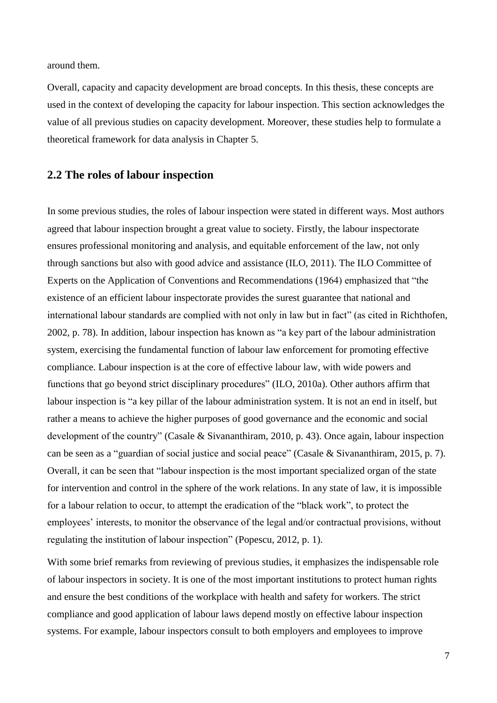around them.

Overall, capacity and capacity development are broad concepts. In this thesis, these concepts are used in the context of developing the capacity for labour inspection. This section acknowledges the value of all previous studies on capacity development. Moreover, these studies help to formulate a theoretical framework for data analysis in Chapter 5.

## <span id="page-12-0"></span>**2.2 The roles of labour inspection**

In some previous studies, the roles of labour inspection were stated in different ways. Most authors agreed that labour inspection brought a great value to society. Firstly, the labour inspectorate ensures professional monitoring and analysis, and equitable enforcement of the law, not only through sanctions but also with good advice and assistance (ILO, 2011). The ILO Committee of Experts on the Application of Conventions and Recommendations (1964) emphasized that "the existence of an efficient labour inspectorate provides the surest guarantee that national and international labour standards are complied with not only in law but in fact" (as cited in Richthofen, 2002, p. 78). In addition, labour inspection has known as "a key part of the labour administration system, exercising the fundamental function of labour law enforcement for promoting effective compliance. Labour inspection is at the core of effective labour law, with wide powers and functions that go beyond strict disciplinary procedures" (ILO, 2010a). Other authors affirm that labour inspection is "a key pillar of the labour administration system. It is not an end in itself, but rather a means to achieve the higher purposes of good governance and the economic and social development of the country" (Casale & Sivananthiram, 2010, p. 43). Once again, labour inspection can be seen as a "guardian of social justice and social peace" (Casale & Sivananthiram, 2015, p. 7). Overall, it can be seen that "labour inspection is the most important specialized organ of the state for intervention and control in the sphere of the work relations. In any state of law, it is impossible for a labour relation to occur, to attempt the eradication of the "black work", to protect the employees' interests, to monitor the observance of the legal and/or contractual provisions, without regulating the institution of labour inspection" (Popescu, 2012, p. 1).

With some brief remarks from reviewing of previous studies, it emphasizes the indispensable role of labour inspectors in society. It is one of the most important institutions to protect human rights and ensure the best conditions of the workplace with health and safety for workers. The strict compliance and good application of labour laws depend mostly on effective labour inspection systems. For example, labour inspectors consult to both employers and employees to improve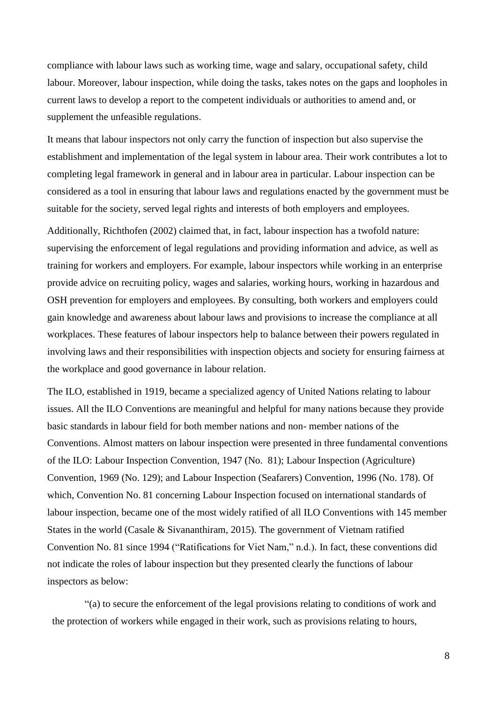compliance with labour laws such as working time, wage and salary, occupational safety, child labour. Moreover, labour inspection, while doing the tasks, takes notes on the gaps and loopholes in current laws to develop a report to the competent individuals or authorities to amend and, or supplement the unfeasible regulations.

It means that labour inspectors not only carry the function of inspection but also supervise the establishment and implementation of the legal system in labour area. Their work contributes a lot to completing legal framework in general and in labour area in particular. Labour inspection can be considered as a tool in ensuring that labour laws and regulations enacted by the government must be suitable for the society, served legal rights and interests of both employers and employees.

Additionally, Richthofen (2002) claimed that, in fact, labour inspection has a twofold nature: supervising the enforcement of legal regulations and providing information and advice, as well as training for workers and employers. For example, labour inspectors while working in an enterprise provide advice on recruiting policy, wages and salaries, working hours, working in hazardous and OSH prevention for employers and employees. By consulting, both workers and employers could gain knowledge and awareness about labour laws and provisions to increase the compliance at all workplaces. These features of labour inspectors help to balance between their powers regulated in involving laws and their responsibilities with inspection objects and society for ensuring fairness at the workplace and good governance in labour relation.

The ILO, established in 1919, became a specialized agency of United Nations relating to labour issues. All the ILO Conventions are meaningful and helpful for many nations because they provide basic standards in labour field for both member nations and non- member nations of the Conventions. Almost matters on labour inspection were presented in three fundamental conventions of the ILO: Labour Inspection Convention, 1947 (No. 81); Labour Inspection (Agriculture) Convention, 1969 (No. 129); and Labour Inspection (Seafarers) Convention, 1996 (No. 178). Of which, Convention No. 81 concerning Labour Inspection focused on international standards of labour inspection, became one of the most widely ratified of all ILO Conventions with 145 member States in the world (Casale & Sivananthiram, 2015). The government of Vietnam ratified Convention No. 81 since 1994 ("Ratifications for Viet Nam," n.d.). In fact, these conventions did not indicate the roles of labour inspection but they presented clearly the functions of labour inspectors as below:

"(a) to secure the enforcement of the legal provisions relating to conditions of work and the protection of workers while engaged in their work, such as provisions relating to hours,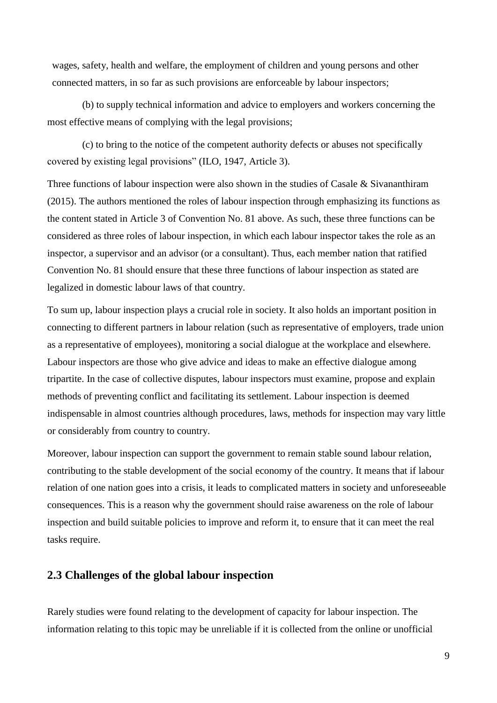wages, safety, health and welfare, the employment of children and young persons and other connected matters, in so far as such provisions are enforceable by labour inspectors;

(b) to supply technical information and advice to employers and workers concerning the most effective means of complying with the legal provisions;

(c) to bring to the notice of the competent authority defects or abuses not specifically covered by existing legal provisions" (ILO, 1947, Article 3).

Three functions of labour inspection were also shown in the studies of Casale & Sivananthiram (2015). The authors mentioned the roles of labour inspection through emphasizing its functions as the content stated in Article 3 of Convention No. 81 above. As such, these three functions can be considered as three roles of labour inspection, in which each labour inspector takes the role as an inspector, a supervisor and an advisor (or a consultant). Thus, each member nation that ratified Convention No. 81 should ensure that these three functions of labour inspection as stated are legalized in domestic labour laws of that country.

To sum up, labour inspection plays a crucial role in society. It also holds an important position in connecting to different partners in labour relation (such as representative of employers, trade union as a representative of employees), monitoring a social dialogue at the workplace and elsewhere. Labour inspectors are those who give advice and ideas to make an effective dialogue among tripartite. In the case of collective disputes, labour inspectors must examine, propose and explain methods of preventing conflict and facilitating its settlement. Labour inspection is deemed indispensable in almost countries although procedures, laws, methods for inspection may vary little or considerably from country to country.

Moreover, labour inspection can support the government to remain stable sound labour relation, contributing to the stable development of the social economy of the country. It means that if labour relation of one nation goes into a crisis, it leads to complicated matters in society and unforeseeable consequences. This is a reason why the government should raise awareness on the role of labour inspection and build suitable policies to improve and reform it, to ensure that it can meet the real tasks require.

# <span id="page-14-0"></span>**2.3 Challenges of the global labour inspection**

Rarely studies were found relating to the development of capacity for labour inspection. The information relating to this topic may be unreliable if it is collected from the online or unofficial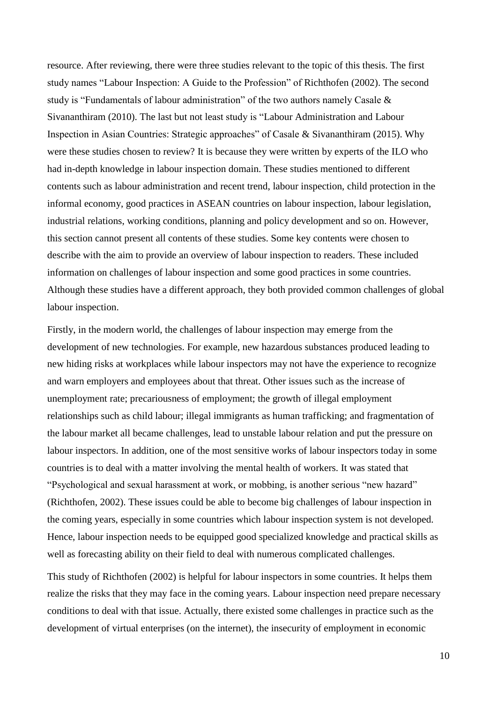resource. After reviewing, there were three studies relevant to the topic of this thesis. The first study names "Labour Inspection: A Guide to the Profession" of Richthofen (2002). The second study is "Fundamentals of labour administration" of the two authors namely Casale & Sivananthiram (2010). The last but not least study is "Labour Administration and Labour Inspection in Asian Countries: Strategic approaches" of Casale & Sivananthiram (2015). Why were these studies chosen to review? It is because they were written by experts of the ILO who had in-depth knowledge in labour inspection domain. These studies mentioned to different contents such as labour administration and recent trend, labour inspection, child protection in the informal economy, good practices in ASEAN countries on labour inspection, labour legislation, industrial relations, working conditions, planning and policy development and so on. However, this section cannot present all contents of these studies. Some key contents were chosen to describe with the aim to provide an overview of labour inspection to readers. These included information on challenges of labour inspection and some good practices in some countries. Although these studies have a different approach, they both provided common challenges of global labour inspection.

Firstly, in the modern world, the challenges of labour inspection may emerge from the development of new technologies. For example, new hazardous substances produced leading to new hiding risks at workplaces while labour inspectors may not have the experience to recognize and warn employers and employees about that threat. Other issues such as the increase of unemployment rate; precariousness of employment; the growth of illegal employment relationships such as child labour; illegal immigrants as human trafficking; and fragmentation of the labour market all became challenges, lead to unstable labour relation and put the pressure on labour inspectors. In addition, one of the most sensitive works of labour inspectors today in some countries is to deal with a matter involving the mental health of workers. It was stated that "Psychological and sexual harassment at work, or mobbing, is another serious "new hazard" (Richthofen, 2002). These issues could be able to become big challenges of labour inspection in the coming years, especially in some countries which labour inspection system is not developed. Hence, labour inspection needs to be equipped good specialized knowledge and practical skills as well as forecasting ability on their field to deal with numerous complicated challenges.

This study of Richthofen (2002) is helpful for labour inspectors in some countries. It helps them realize the risks that they may face in the coming years. Labour inspection need prepare necessary conditions to deal with that issue. Actually, there existed some challenges in practice such as the development of virtual enterprises (on the internet), the insecurity of employment in economic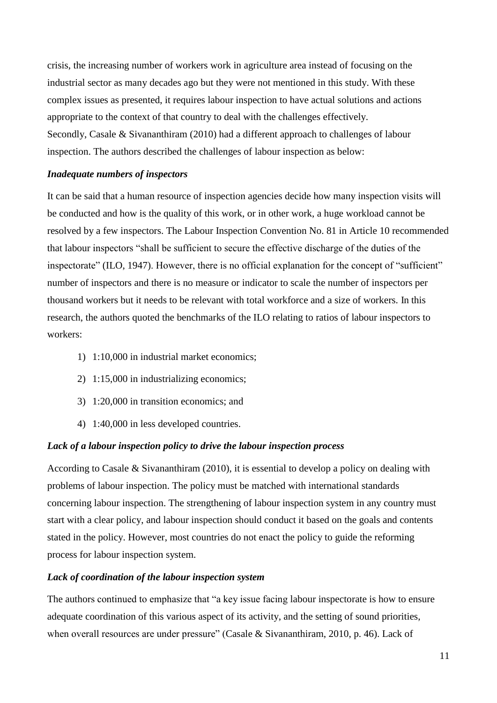crisis, the increasing number of workers work in agriculture area instead of focusing on the industrial sector as many decades ago but they were not mentioned in this study. With these complex issues as presented, it requires labour inspection to have actual solutions and actions appropriate to the context of that country to deal with the challenges effectively. Secondly, Casale & Sivananthiram (2010) had a different approach to challenges of labour inspection. The authors described the challenges of labour inspection as below:

#### *Inadequate numbers of inspectors*

It can be said that a human resource of inspection agencies decide how many inspection visits will be conducted and how is the quality of this work, or in other work, a huge workload cannot be resolved by a few inspectors. The Labour Inspection Convention No. 81 in Article 10 recommended that labour inspectors "shall be sufficient to secure the effective discharge of the duties of the inspectorate" (ILO, 1947). However, there is no official explanation for the concept of "sufficient" number of inspectors and there is no measure or indicator to scale the number of inspectors per thousand workers but it needs to be relevant with total workforce and a size of workers. In this research, the authors quoted the benchmarks of the ILO relating to ratios of labour inspectors to workers:

- 1) 1:10,000 in industrial market economics;
- 2) 1:15,000 in industrializing economics;
- 3) 1:20,000 in transition economics; and
- 4) 1:40,000 in less developed countries.

#### *Lack of a labour inspection policy to drive the labour inspection process*

According to Casale & Sivananthiram (2010), it is essential to develop a policy on dealing with problems of labour inspection. The policy must be matched with international standards concerning labour inspection. The strengthening of labour inspection system in any country must start with a clear policy, and labour inspection should conduct it based on the goals and contents stated in the policy. However, most countries do not enact the policy to guide the reforming process for labour inspection system.

#### *Lack of coordination of the labour inspection system*

The authors continued to emphasize that "a key issue facing labour inspectorate is how to ensure adequate coordination of this various aspect of its activity, and the setting of sound priorities, when overall resources are under pressure" (Casale & Sivananthiram, 2010, p. 46). Lack of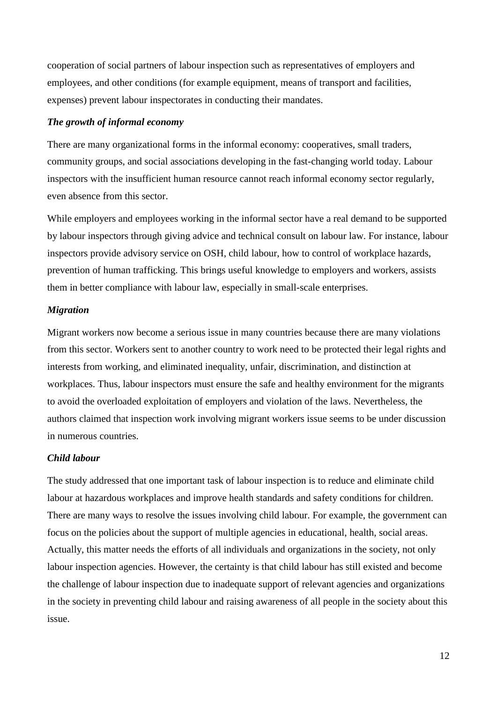cooperation of social partners of labour inspection such as representatives of employers and employees, and other conditions (for example equipment, means of transport and facilities, expenses) prevent labour inspectorates in conducting their mandates.

#### *The growth of informal economy*

There are many organizational forms in the informal economy: cooperatives, small traders, community groups, and social associations developing in the fast-changing world today. Labour inspectors with the insufficient human resource cannot reach informal economy sector regularly, even absence from this sector.

While employers and employees working in the informal sector have a real demand to be supported by labour inspectors through giving advice and technical consult on labour law. For instance, labour inspectors provide advisory service on OSH, child labour, how to control of workplace hazards, prevention of human trafficking. This brings useful knowledge to employers and workers, assists them in better compliance with labour law, especially in small-scale enterprises.

# *Migration*

Migrant workers now become a serious issue in many countries because there are many violations from this sector. Workers sent to another country to work need to be protected their legal rights and interests from working, and eliminated inequality, unfair, discrimination, and distinction at workplaces. Thus, labour inspectors must ensure the safe and healthy environment for the migrants to avoid the overloaded exploitation of employers and violation of the laws. Nevertheless, the authors claimed that inspection work involving migrant workers issue seems to be under discussion in numerous countries.

#### *Child labour*

The study addressed that one important task of labour inspection is to reduce and eliminate child labour at hazardous workplaces and improve health standards and safety conditions for children. There are many ways to resolve the issues involving child labour. For example, the government can focus on the policies about the support of multiple agencies in educational, health, social areas. Actually, this matter needs the efforts of all individuals and organizations in the society, not only labour inspection agencies. However, the certainty is that child labour has still existed and become the challenge of labour inspection due to inadequate support of relevant agencies and organizations in the society in preventing child labour and raising awareness of all people in the society about this issue.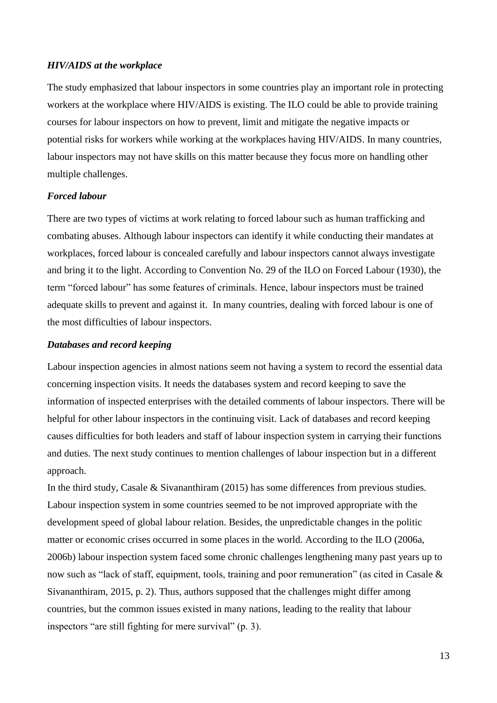#### *HIV/AIDS at the workplace*

The study emphasized that labour inspectors in some countries play an important role in protecting workers at the workplace where HIV/AIDS is existing. The ILO could be able to provide training courses for labour inspectors on how to prevent, limit and mitigate the negative impacts or potential risks for workers while working at the workplaces having HIV/AIDS. In many countries, labour inspectors may not have skills on this matter because they focus more on handling other multiple challenges.

#### *Forced labour*

There are two types of victims at work relating to forced labour such as human trafficking and combating abuses. Although labour inspectors can identify it while conducting their mandates at workplaces, forced labour is concealed carefully and labour inspectors cannot always investigate and bring it to the light. According to Convention No. 29 of the ILO on Forced Labour (1930), the term "forced labour" has some features of criminals. Hence, labour inspectors must be trained adequate skills to prevent and against it. In many countries, dealing with forced labour is one of the most difficulties of labour inspectors.

#### *Databases and record keeping*

Labour inspection agencies in almost nations seem not having a system to record the essential data concerning inspection visits. It needs the databases system and record keeping to save the information of inspected enterprises with the detailed comments of labour inspectors. There will be helpful for other labour inspectors in the continuing visit. Lack of databases and record keeping causes difficulties for both leaders and staff of labour inspection system in carrying their functions and duties. The next study continues to mention challenges of labour inspection but in a different approach.

In the third study, Casale & Sivananthiram (2015) has some differences from previous studies. Labour inspection system in some countries seemed to be not improved appropriate with the development speed of global labour relation. Besides, the unpredictable changes in the politic matter or economic crises occurred in some places in the world. According to the ILO (2006a, 2006b) labour inspection system faced some chronic challenges lengthening many past years up to now such as "lack of staff, equipment, tools, training and poor remuneration" (as cited in Casale & Sivananthiram, 2015, p. 2). Thus, authors supposed that the challenges might differ among countries, but the common issues existed in many nations, leading to the reality that labour inspectors "are still fighting for mere survival" (p. 3).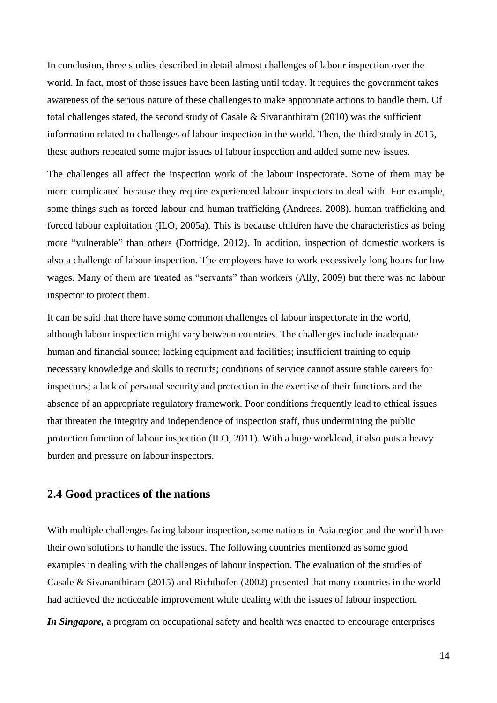In conclusion, three studies described in detail almost challenges of labour inspection over the world. In fact, most of those issues have been lasting until today. It requires the government takes awareness of the serious nature of these challenges to make appropriate actions to handle them. Of total challenges stated, the second study of Casale & Sivananthiram (2010) was the sufficient information related to challenges of labour inspection in the world. Then, the third study in 2015, these authors repeated some major issues of labour inspection and added some new issues.

The challenges all affect the inspection work of the labour inspectorate. Some of them may be more complicated because they require experienced labour inspectors to deal with. For example, some things such as forced labour and human trafficking (Andrees, 2008), human trafficking and forced labour exploitation (ILO, 2005a). This is because children have the characteristics as being more "vulnerable" than others (Dottridge, 2012). In addition, inspection of domestic workers is also a challenge of labour inspection. The employees have to work excessively long hours for low wages. Many of them are treated as "servants" than workers (Ally, 2009) but there was no labour inspector to protect them.

It can be said that there have some common challenges of labour inspectorate in the world, although labour inspection might vary between countries. The challenges include inadequate human and financial source; lacking equipment and facilities; insufficient training to equip necessary knowledge and skills to recruits; conditions of service cannot assure stable careers for inspectors; a lack of personal security and protection in the exercise of their functions and the absence of an appropriate regulatory framework. Poor conditions frequently lead to ethical issues that threaten the integrity and independence of inspection staff, thus undermining the public protection function of labour inspection (ILO, 2011). With a huge workload, it also puts a heavy burden and pressure on labour inspectors.

### <span id="page-19-0"></span>**2.4 Good practices of the nations**

With multiple challenges facing labour inspection, some nations in Asia region and the world have their own solutions to handle the issues. The following countries mentioned as some good examples in dealing with the challenges of labour inspection. The evaluation of the studies of Casale & Sivananthiram (2015) and Richthofen (2002) presented that many countries in the world had achieved the noticeable improvement while dealing with the issues of labour inspection.

*In Singapore,* a program on occupational safety and health was enacted to encourage enterprises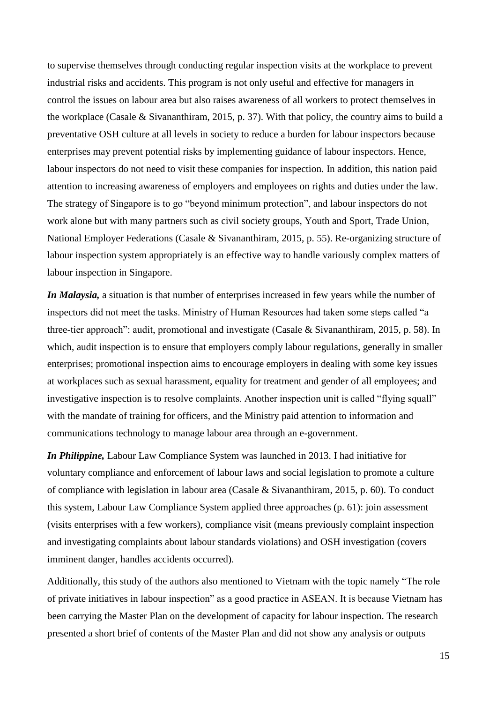to supervise themselves through conducting regular inspection visits at the workplace to prevent industrial risks and accidents. This program is not only useful and effective for managers in control the issues on labour area but also raises awareness of all workers to protect themselves in the workplace (Casale & Sivananthiram, 2015, p. 37). With that policy, the country aims to build a preventative OSH culture at all levels in society to reduce a burden for labour inspectors because enterprises may prevent potential risks by implementing guidance of labour inspectors. Hence, labour inspectors do not need to visit these companies for inspection. In addition, this nation paid attention to increasing awareness of employers and employees on rights and duties under the law. The strategy of Singapore is to go "beyond minimum protection", and labour inspectors do not work alone but with many partners such as civil society groups, Youth and Sport, Trade Union, National Employer Federations (Casale & Sivananthiram, 2015, p. 55). Re-organizing structure of labour inspection system appropriately is an effective way to handle variously complex matters of labour inspection in Singapore.

*In Malaysia,* a situation is that number of enterprises increased in few years while the number of inspectors did not meet the tasks. Ministry of Human Resources had taken some steps called "a three-tier approach": audit, promotional and investigate (Casale & Sivananthiram, 2015, p. 58). In which, audit inspection is to ensure that employers comply labour regulations, generally in smaller enterprises; promotional inspection aims to encourage employers in dealing with some key issues at workplaces such as sexual harassment, equality for treatment and gender of all employees; and investigative inspection is to resolve complaints. Another inspection unit is called "flying squall" with the mandate of training for officers, and the Ministry paid attention to information and communications technology to manage labour area through an e-government.

*In Philippine,* Labour Law Compliance System was launched in 2013. I had initiative for voluntary compliance and enforcement of labour laws and social legislation to promote a culture of compliance with legislation in labour area (Casale & Sivananthiram, 2015, p. 60). To conduct this system, Labour Law Compliance System applied three approaches (p. 61): join assessment (visits enterprises with a few workers), compliance visit (means previously complaint inspection and investigating complaints about labour standards violations) and OSH investigation (covers imminent danger, handles accidents occurred).

Additionally, this study of the authors also mentioned to Vietnam with the topic namely "The role of private initiatives in labour inspection" as a good practice in ASEAN. It is because Vietnam has been carrying the Master Plan on the development of capacity for labour inspection. The research presented a short brief of contents of the Master Plan and did not show any analysis or outputs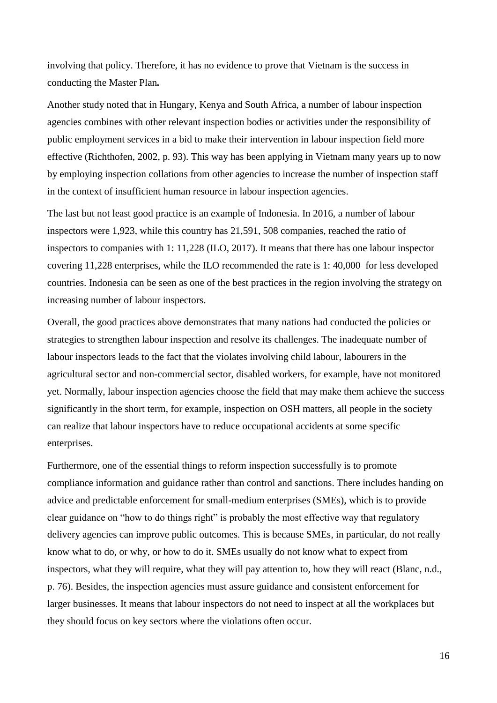involving that policy. Therefore, it has no evidence to prove that Vietnam is the success in conducting the Master Plan*.*

Another study noted that in Hungary, Kenya and South Africa, a number of labour inspection agencies combines with other relevant inspection bodies or activities under the responsibility of public employment services in a bid to make their intervention in labour inspection field more effective (Richthofen, 2002, p. 93). This way has been applying in Vietnam many years up to now by employing inspection collations from other agencies to increase the number of inspection staff in the context of insufficient human resource in labour inspection agencies.

The last but not least good practice is an example of Indonesia. In 2016, a number of labour inspectors were 1,923, while this country has 21,591, 508 companies, reached the ratio of inspectors to companies with 1: 11,228 (ILO, 2017). It means that there has one labour inspector covering 11,228 enterprises, while the ILO recommended the rate is 1: 40,000 for less developed countries. Indonesia can be seen as one of the best practices in the region involving the strategy on increasing number of labour inspectors.

Overall, the good practices above demonstrates that many nations had conducted the policies or strategies to strengthen labour inspection and resolve its challenges. The inadequate number of labour inspectors leads to the fact that the violates involving child labour, labourers in the agricultural sector and non-commercial sector, disabled workers, for example, have not monitored yet. Normally, labour inspection agencies choose the field that may make them achieve the success significantly in the short term, for example, inspection on OSH matters, all people in the society can realize that labour inspectors have to reduce occupational accidents at some specific enterprises.

Furthermore, one of the essential things to reform inspection successfully is to promote compliance information and guidance rather than control and sanctions. There includes handing on advice and predictable enforcement for small-medium enterprises (SMEs), which is to provide clear guidance on "how to do things right" is probably the most effective way that regulatory delivery agencies can improve public outcomes. This is because SMEs, in particular, do not really know what to do, or why, or how to do it. SMEs usually do not know what to expect from inspectors, what they will require, what they will pay attention to, how they will react (Blanc, n.d., p. 76). Besides, the inspection agencies must assure guidance and consistent enforcement for larger businesses. It means that labour inspectors do not need to inspect at all the workplaces but they should focus on key sectors where the violations often occur.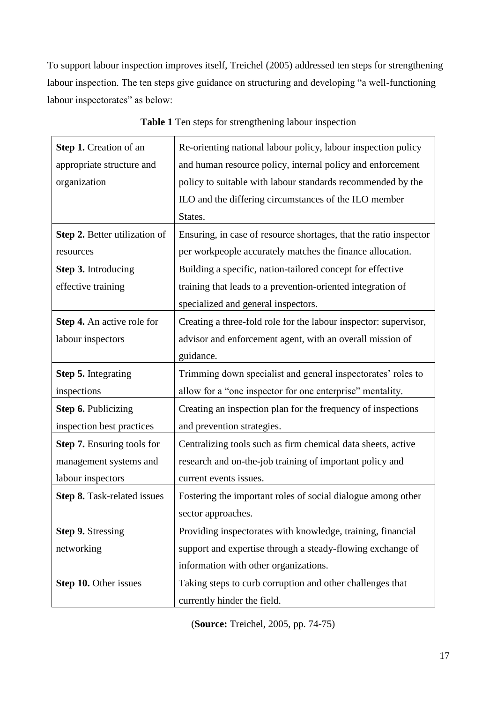To support labour inspection improves itself, Treichel (2005) addressed ten steps for strengthening labour inspection. The ten steps give guidance on structuring and developing "a well-functioning labour inspectorates" as below:

<span id="page-22-0"></span>

| Step 1. Creation of an            | Re-orienting national labour policy, labour inspection policy     |
|-----------------------------------|-------------------------------------------------------------------|
| appropriate structure and         | and human resource policy, internal policy and enforcement        |
| organization                      | policy to suitable with labour standards recommended by the       |
|                                   | ILO and the differing circumstances of the ILO member             |
|                                   | States.                                                           |
| Step 2. Better utilization of     | Ensuring, in case of resource shortages, that the ratio inspector |
| resources                         | per workpeople accurately matches the finance allocation.         |
| Step 3. Introducing               | Building a specific, nation-tailored concept for effective        |
| effective training                | training that leads to a prevention-oriented integration of       |
|                                   | specialized and general inspectors.                               |
| Step 4. An active role for        | Creating a three-fold role for the labour inspector: supervisor,  |
| labour inspectors                 | advisor and enforcement agent, with an overall mission of         |
|                                   | guidance.                                                         |
| Step 5. Integrating               | Trimming down specialist and general inspectorates' roles to      |
| inspections                       | allow for a "one inspector for one enterprise" mentality.         |
| Step 6. Publicizing               | Creating an inspection plan for the frequency of inspections      |
| inspection best practices         | and prevention strategies.                                        |
| <b>Step 7.</b> Ensuring tools for | Centralizing tools such as firm chemical data sheets, active      |
| management systems and            | research and on-the-job training of important policy and          |
| labour inspectors                 | current events issues.                                            |
| Step 8. Task-related issues       | Fostering the important roles of social dialogue among other      |
|                                   | sector approaches.                                                |
| <b>Step 9. Stressing</b>          | Providing inspectorates with knowledge, training, financial       |
| networking                        | support and expertise through a steady-flowing exchange of        |
|                                   | information with other organizations.                             |
| Step 10. Other issues             | Taking steps to curb corruption and other challenges that         |
|                                   | currently hinder the field.                                       |

**Table 1** Ten steps for strengthening labour inspection

(**Source:** Treichel, 2005, pp. 74-75)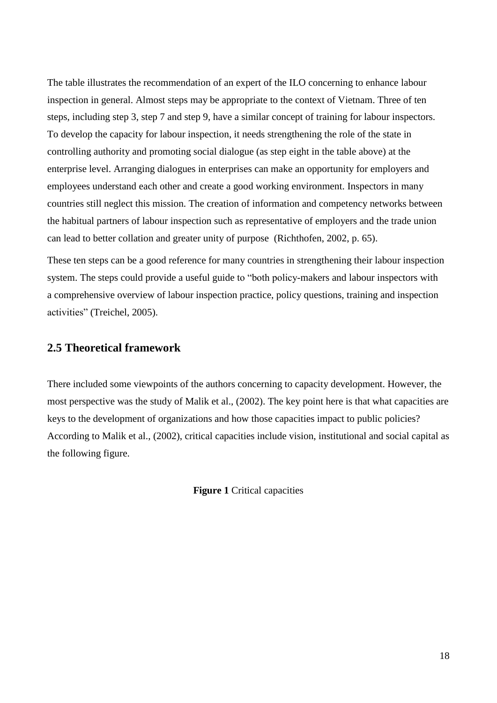The table illustrates the recommendation of an expert of the ILO concerning to enhance labour inspection in general. Almost steps may be appropriate to the context of Vietnam. Three of ten steps, including step 3, step 7 and step 9, have a similar concept of training for labour inspectors. To develop the capacity for labour inspection, it needs strengthening the role of the state in controlling authority and promoting social dialogue (as step eight in the table above) at the enterprise level. Arranging dialogues in enterprises can make an opportunity for employers and employees understand each other and create a good working environment. Inspectors in many countries still neglect this mission. The creation of information and competency networks between the habitual partners of labour inspection such as representative of employers and the trade union can lead to better collation and greater unity of purpose (Richthofen, 2002, p. 65).

These ten steps can be a good reference for many countries in strengthening their labour inspection system. The steps could provide a useful guide to "both policy-makers and labour inspectors with a comprehensive overview of labour inspection practice, policy questions, training and inspection activities" (Treichel, 2005).

# <span id="page-23-0"></span>**2.5 Theoretical framework**

<span id="page-23-1"></span>There included some viewpoints of the authors concerning to capacity development. However, the most perspective was the study of Malik et al., (2002). The key point here is that what capacities are keys to the development of organizations and how those capacities impact to public policies? According to Malik et al., (2002), critical capacities include vision, institutional and social capital as the following figure.

**Figure 1** Critical capacities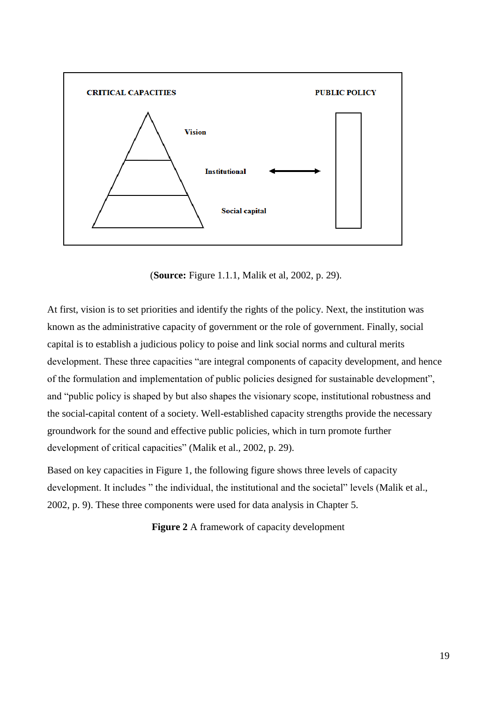

(**Source:** Figure 1.1.1, Malik et al, 2002, p. 29).

At first, vision is to set priorities and identify the rights of the policy. Next, the institution was known as the administrative capacity of government or the role of government. Finally, social capital is to establish a judicious policy to poise and link social norms and cultural merits development. These three capacities "are integral components of capacity development, and hence of the formulation and implementation of public policies designed for sustainable development", and "public policy is shaped by but also shapes the visionary scope, institutional robustness and the social-capital content of a society. Well-established capacity strengths provide the necessary groundwork for the sound and effective public policies, which in turn promote further development of critical capacities" (Malik et al., 2002, p. 29).

<span id="page-24-0"></span>Based on key capacities in Figure 1, the following figure shows three levels of capacity development. It includes " the individual, the institutional and the societal" levels (Malik et al., 2002, p. 9). These three components were used for data analysis in Chapter 5.

**Figure 2** A framework of capacity development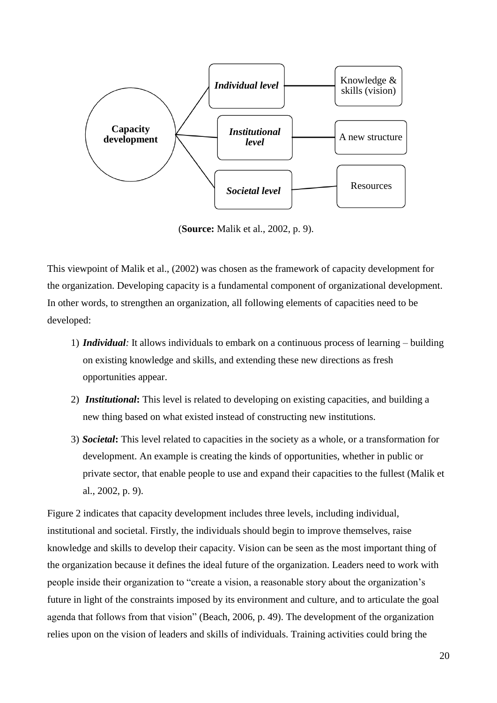

(**Source:** Malik et al., 2002, p. 9).

This viewpoint of Malik et al., (2002) was chosen as the framework of capacity development for the organization. Developing capacity is a fundamental component of organizational development. In other words, to strengthen an organization, all following elements of capacities need to be developed:

- 1) *Individual:* It allows individuals to embark on a continuous process of learning building on existing knowledge and skills, and extending these new directions as fresh opportunities appear.
- 2) *Institutional***:** This level is related to developing on existing capacities, and building a new thing based on what existed instead of constructing new institutions.
- 3) *Societal***:** This level related to capacities in the society as a whole, or a transformation for development. An example is creating the kinds of opportunities, whether in public or private sector, that enable people to use and expand their capacities to the fullest (Malik et al., 2002, p. 9).

Figure 2 indicates that capacity development includes three levels, including individual, institutional and societal. Firstly, the individuals should begin to improve themselves, raise knowledge and skills to develop their capacity. Vision can be seen as the most important thing of the organization because it defines the ideal future of the organization. Leaders need to work with people inside their organization to "create a vision, a reasonable story about the organization's future in light of the constraints imposed by its environment and culture, and to articulate the goal agenda that follows from that vision" (Beach, 2006, p. 49). The development of the organization relies upon on the vision of leaders and skills of individuals. Training activities could bring the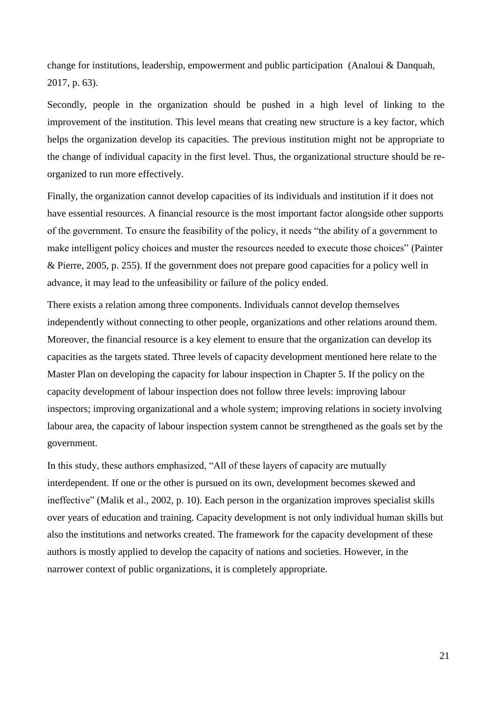change for institutions, leadership, empowerment and public participation (Analoui & Danquah, 2017, p. 63).

Secondly, people in the organization should be pushed in a high level of linking to the improvement of the institution. This level means that creating new structure is a key factor, which helps the organization develop its capacities. The previous institution might not be appropriate to the change of individual capacity in the first level. Thus, the organizational structure should be reorganized to run more effectively.

Finally, the organization cannot develop capacities of its individuals and institution if it does not have essential resources. A financial resource is the most important factor alongside other supports of the government. To ensure the feasibility of the policy, it needs "the ability of a government to make intelligent policy choices and muster the resources needed to execute those choices" (Painter & Pierre, 2005, p. 255). If the government does not prepare good capacities for a policy well in advance, it may lead to the unfeasibility or failure of the policy ended.

There exists a relation among three components. Individuals cannot develop themselves independently without connecting to other people, organizations and other relations around them. Moreover, the financial resource is a key element to ensure that the organization can develop its capacities as the targets stated. Three levels of capacity development mentioned here relate to the Master Plan on developing the capacity for labour inspection in Chapter 5. If the policy on the capacity development of labour inspection does not follow three levels: improving labour inspectors; improving organizational and a whole system; improving relations in society involving labour area, the capacity of labour inspection system cannot be strengthened as the goals set by the government.

In this study, these authors emphasized, "All of these layers of capacity are mutually interdependent. If one or the other is pursued on its own, development becomes skewed and ineffective" (Malik et al., 2002, p. 10). Each person in the organization improves specialist skills over years of education and training. Capacity development is not only individual human skills but also the institutions and networks created. The framework for the capacity development of these authors is mostly applied to develop the capacity of nations and societies. However, in the narrower context of public organizations, it is completely appropriate.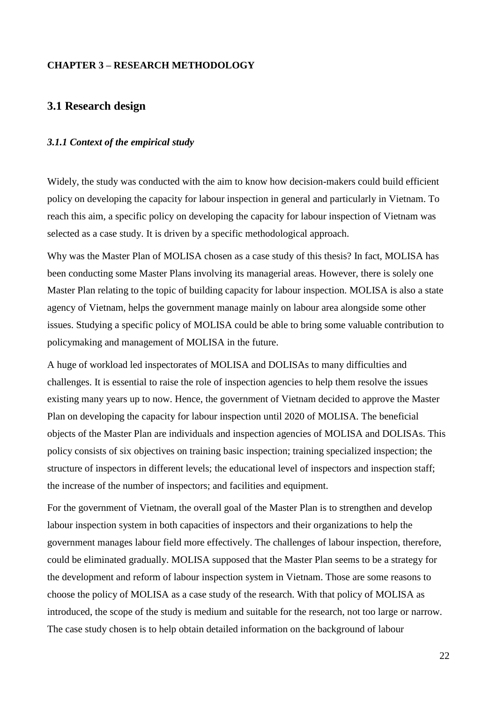### <span id="page-27-0"></span>**CHAPTER 3 – RESEARCH METHODOLOGY**

# <span id="page-27-1"></span>**3.1 Research design**

#### <span id="page-27-2"></span>*3.1.1 Context of the empirical study*

Widely, the study was conducted with the aim to know how decision-makers could build efficient policy on developing the capacity for labour inspection in general and particularly in Vietnam. To reach this aim, a specific policy on developing the capacity for labour inspection of Vietnam was selected as a case study. It is driven by a specific methodological approach.

Why was the Master Plan of MOLISA chosen as a case study of this thesis? In fact, MOLISA has been conducting some Master Plans involving its managerial areas. However, there is solely one Master Plan relating to the topic of building capacity for labour inspection. MOLISA is also a state agency of Vietnam, helps the government manage mainly on labour area alongside some other issues. Studying a specific policy of MOLISA could be able to bring some valuable contribution to policymaking and management of MOLISA in the future.

A huge of workload led inspectorates of MOLISA and DOLISAs to many difficulties and challenges. It is essential to raise the role of inspection agencies to help them resolve the issues existing many years up to now. Hence, the government of Vietnam decided to approve the Master Plan on developing the capacity for labour inspection until 2020 of MOLISA. The beneficial objects of the Master Plan are individuals and inspection agencies of MOLISA and DOLISAs. This policy consists of six objectives on training basic inspection; training specialized inspection; the structure of inspectors in different levels; the educational level of inspectors and inspection staff; the increase of the number of inspectors; and facilities and equipment.

For the government of Vietnam, the overall goal of the Master Plan is to strengthen and develop labour inspection system in both capacities of inspectors and their organizations to help the government manages labour field more effectively. The challenges of labour inspection, therefore, could be eliminated gradually. MOLISA supposed that the Master Plan seems to be a strategy for the development and reform of labour inspection system in Vietnam. Those are some reasons to choose the policy of MOLISA as a case study of the research. With that policy of MOLISA as introduced, the scope of the study is medium and suitable for the research, not too large or narrow. The case study chosen is to help obtain detailed information on the background of labour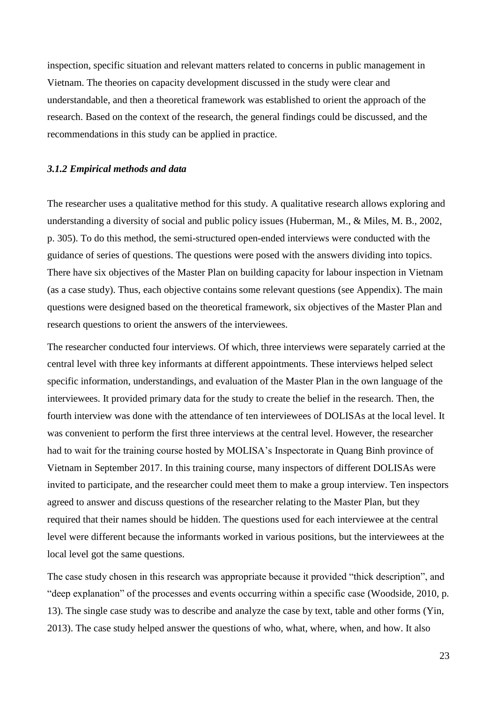inspection, specific situation and relevant matters related to concerns in public management in Vietnam. The theories on capacity development discussed in the study were clear and understandable, and then a theoretical framework was established to orient the approach of the research. Based on the context of the research, the general findings could be discussed, and the recommendations in this study can be applied in practice.

#### <span id="page-28-0"></span>*3.1.2 Empirical methods and data*

The researcher uses a qualitative method for this study. A qualitative research allows exploring and understanding a diversity of social and public policy issues (Huberman, M., & Miles, M. B., 2002, p. 305). To do this method, the semi-structured open-ended interviews were conducted with the guidance of series of questions. The questions were posed with the answers dividing into topics. There have six objectives of the Master Plan on building capacity for labour inspection in Vietnam (as a case study). Thus, each objective contains some relevant questions (see Appendix). The main questions were designed based on the theoretical framework, six objectives of the Master Plan and research questions to orient the answers of the interviewees.

The researcher conducted four interviews. Of which, three interviews were separately carried at the central level with three key informants at different appointments. These interviews helped select specific information, understandings, and evaluation of the Master Plan in the own language of the interviewees. It provided primary data for the study to create the belief in the research. Then, the fourth interview was done with the attendance of ten interviewees of DOLISAs at the local level. It was convenient to perform the first three interviews at the central level. However, the researcher had to wait for the training course hosted by MOLISA's Inspectorate in Quang Binh province of Vietnam in September 2017. In this training course, many inspectors of different DOLISAs were invited to participate, and the researcher could meet them to make a group interview. Ten inspectors agreed to answer and discuss questions of the researcher relating to the Master Plan, but they required that their names should be hidden. The questions used for each interviewee at the central level were different because the informants worked in various positions, but the interviewees at the local level got the same questions.

The case study chosen in this research was appropriate because it provided "thick description", and "deep explanation" of the processes and events occurring within a specific case (Woodside, 2010, p. 13). The single case study was to describe and analyze the case by text, table and other forms (Yin, 2013). The case study helped answer the questions of who, what, where, when, and how. It also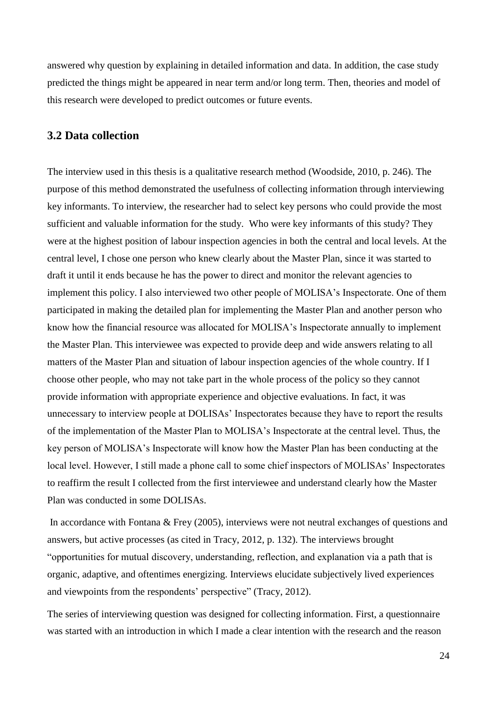answered why question by explaining in detailed information and data. In addition, the case study predicted the things might be appeared in near term and/or long term. Then, theories and model of this research were developed to predict outcomes or future events.

# <span id="page-29-0"></span>**3.2 Data collection**

The interview used in this thesis is a qualitative research method (Woodside, 2010, p. 246). The purpose of this method demonstrated the usefulness of collecting information through interviewing key informants. To interview, the researcher had to select key persons who could provide the most sufficient and valuable information for the study. Who were key informants of this study? They were at the highest position of labour inspection agencies in both the central and local levels. At the central level, I chose one person who knew clearly about the Master Plan, since it was started to draft it until it ends because he has the power to direct and monitor the relevant agencies to implement this policy. I also interviewed two other people of MOLISA's Inspectorate. One of them participated in making the detailed plan for implementing the Master Plan and another person who know how the financial resource was allocated for MOLISA's Inspectorate annually to implement the Master Plan. This interviewee was expected to provide deep and wide answers relating to all matters of the Master Plan and situation of labour inspection agencies of the whole country. If I choose other people, who may not take part in the whole process of the policy so they cannot provide information with appropriate experience and objective evaluations. In fact, it was unnecessary to interview people at DOLISAs' Inspectorates because they have to report the results of the implementation of the Master Plan to MOLISA's Inspectorate at the central level. Thus, the key person of MOLISA's Inspectorate will know how the Master Plan has been conducting at the local level. However, I still made a phone call to some chief inspectors of MOLISAs' Inspectorates to reaffirm the result I collected from the first interviewee and understand clearly how the Master Plan was conducted in some DOLISAs.

In accordance with Fontana & Frey (2005), interviews were not neutral exchanges of questions and answers, but active processes (as cited in Tracy, 2012, p. 132). The interviews brought "opportunities for mutual discovery, understanding, reflection, and explanation via a path that is organic, adaptive, and oftentimes energizing. Interviews elucidate subjectively lived experiences and viewpoints from the respondents' perspective" (Tracy, 2012).

The series of interviewing question was designed for collecting information. First, a questionnaire was started with an introduction in which I made a clear intention with the research and the reason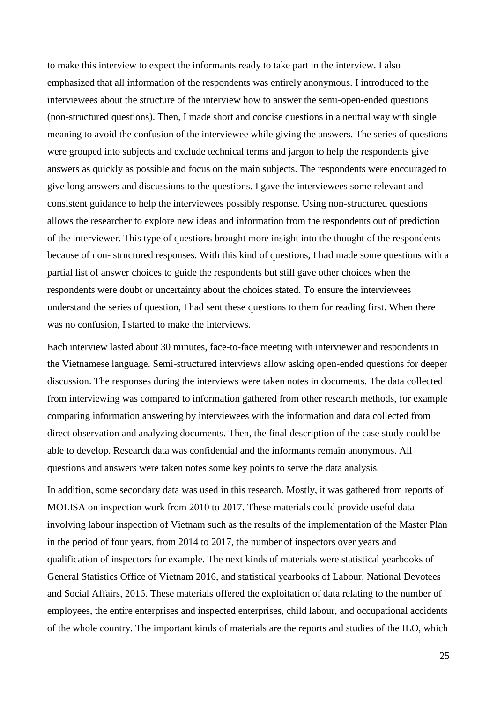to make this interview to expect the informants ready to take part in the interview. I also emphasized that all information of the respondents was entirely anonymous. I introduced to the interviewees about the structure of the interview how to answer the semi-open-ended questions (non-structured questions). Then, I made short and concise questions in a neutral way with single meaning to avoid the confusion of the interviewee while giving the answers. The series of questions were grouped into subjects and exclude technical terms and jargon to help the respondents give answers as quickly as possible and focus on the main subjects. The respondents were encouraged to give long answers and discussions to the questions. I gave the interviewees some relevant and consistent guidance to help the interviewees possibly response. Using non-structured questions allows the researcher to explore new ideas and information from the respondents out of prediction of the interviewer. This type of questions brought more insight into the thought of the respondents because of non- structured responses. With this kind of questions, I had made some questions with a partial list of answer choices to guide the respondents but still gave other choices when the respondents were doubt or uncertainty about the choices stated. To ensure the interviewees understand the series of question, I had sent these questions to them for reading first. When there was no confusion, I started to make the interviews.

Each interview lasted about 30 minutes, face-to-face meeting with interviewer and respondents in the Vietnamese language. Semi-structured interviews allow asking open-ended questions for deeper discussion. The responses during the interviews were taken notes in documents. The data collected from interviewing was compared to information gathered from other research methods, for example comparing information answering by interviewees with the information and data collected from direct observation and analyzing documents. Then, the final description of the case study could be able to develop. Research data was confidential and the informants remain anonymous. All questions and answers were taken notes some key points to serve the data analysis.

In addition, some secondary data was used in this research. Mostly, it was gathered from reports of MOLISA on inspection work from 2010 to 2017. These materials could provide useful data involving labour inspection of Vietnam such as the results of the implementation of the Master Plan in the period of four years, from 2014 to 2017, the number of inspectors over years and qualification of inspectors for example. The next kinds of materials were statistical yearbooks of General Statistics Office of Vietnam 2016, and statistical yearbooks of Labour, National Devotees and Social Affairs, 2016. These materials offered the exploitation of data relating to the number of employees, the entire enterprises and inspected enterprises, child labour, and occupational accidents of the whole country. The important kinds of materials are the reports and studies of the ILO, which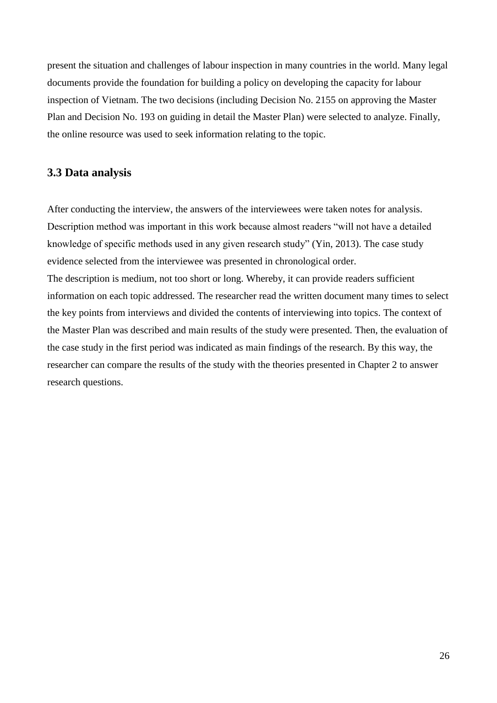present the situation and challenges of labour inspection in many countries in the world. Many legal documents provide the foundation for building a policy on developing the capacity for labour inspection of Vietnam. The two decisions (including Decision No. 2155 on approving the Master Plan and Decision No. 193 on guiding in detail the Master Plan) were selected to analyze. Finally, the online resource was used to seek information relating to the topic.

## <span id="page-31-0"></span>**3.3 Data analysis**

After conducting the interview, the answers of the interviewees were taken notes for analysis. Description method was important in this work because almost readers "will not have a detailed knowledge of specific methods used in any given research study" (Yin, 2013). The case study evidence selected from the interviewee was presented in chronological order. The description is medium, not too short or long. Whereby, it can provide readers sufficient information on each topic addressed. The researcher read the written document many times to select the key points from interviews and divided the contents of interviewing into topics. The context of the Master Plan was described and main results of the study were presented. Then, the evaluation of the case study in the first period was indicated as main findings of the research. By this way, the researcher can compare the results of the study with the theories presented in Chapter 2 to answer research questions.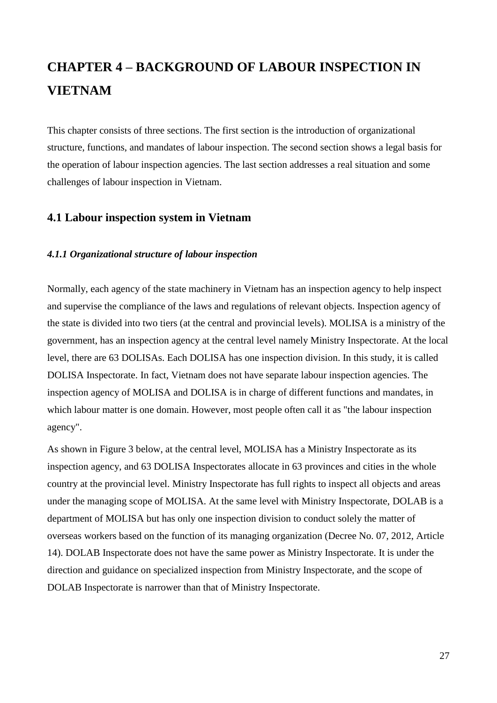# <span id="page-32-0"></span>**CHAPTER 4 – BACKGROUND OF LABOUR INSPECTION IN VIETNAM**

This chapter consists of three sections. The first section is the introduction of organizational structure, functions, and mandates of labour inspection. The second section shows a legal basis for the operation of labour inspection agencies. The last section addresses a real situation and some challenges of labour inspection in Vietnam.

# <span id="page-32-1"></span>**4.1 Labour inspection system in Vietnam**

#### <span id="page-32-2"></span>*4.1.1 Organizational structure of labour inspection*

Normally, each agency of the state machinery in Vietnam has an inspection agency to help inspect and supervise the compliance of the laws and regulations of relevant objects. Inspection agency of the state is divided into two tiers (at the central and provincial levels). MOLISA is a ministry of the government, has an inspection agency at the central level namely Ministry Inspectorate. At the local level, there are 63 DOLISAs. Each DOLISA has one inspection division. In this study, it is called DOLISA Inspectorate. In fact, Vietnam does not have separate labour inspection agencies. The inspection agency of MOLISA and DOLISA is in charge of different functions and mandates, in which labour matter is one domain. However, most people often call it as "the labour inspection agency".

As shown in Figure 3 below, at the central level, MOLISA has a Ministry Inspectorate as its inspection agency, and 63 DOLISA Inspectorates allocate in 63 provinces and cities in the whole country at the provincial level. Ministry Inspectorate has full rights to inspect all objects and areas under the managing scope of MOLISA. At the same level with Ministry Inspectorate, DOLAB is a department of MOLISA but has only one inspection division to conduct solely the matter of overseas workers based on the function of its managing organization (Decree No. 07, 2012, Article 14). DOLAB Inspectorate does not have the same power as Ministry Inspectorate. It is under the direction and guidance on specialized inspection from Ministry Inspectorate, and the scope of DOLAB Inspectorate is narrower than that of Ministry Inspectorate.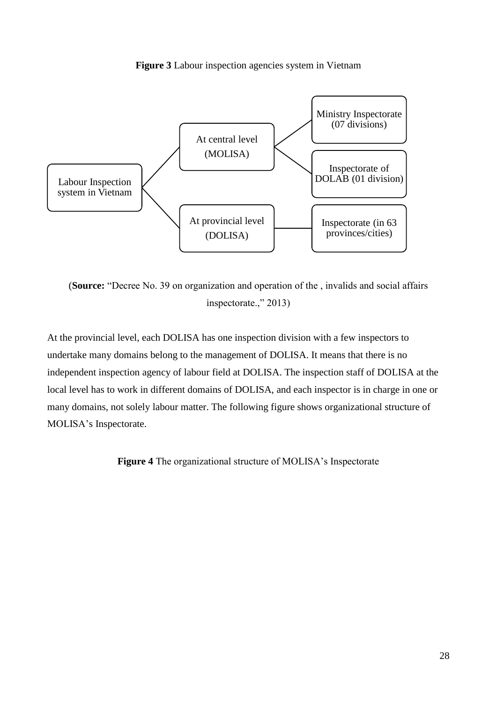

<span id="page-33-0"></span>

(**Source:** "Decree No. 39 on organization and operation of the , invalids and social affairs inspectorate.," 2013)

At the provincial level, each DOLISA has one inspection division with a few inspectors to undertake many domains belong to the management of DOLISA. It means that there is no independent inspection agency of labour field at DOLISA. The inspection staff of DOLISA at the local level has to work in different domains of DOLISA, and each inspector is in charge in one or many domains, not solely labour matter. The following figure shows organizational structure of MOLISA's Inspectorate.

<span id="page-33-1"></span>**Figure 4** The organizational structure of MOLISA's Inspectorate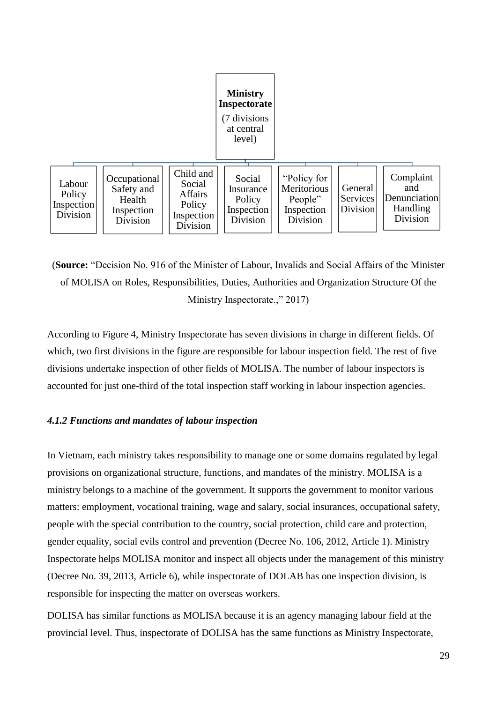

(**Source:** "Decision No. 916 of the Minister of Labour, Invalids and Social Affairs of the Minister of MOLISA on Roles, Responsibilities, Duties, Authorities and Organization Structure Of the Ministry Inspectorate.," 2017)

According to Figure 4, Ministry Inspectorate has seven divisions in charge in different fields. Of which, two first divisions in the figure are responsible for labour inspection field. The rest of five divisions undertake inspection of other fields of MOLISA. The number of labour inspectors is accounted for just one-third of the total inspection staff working in labour inspection agencies.

#### <span id="page-34-0"></span>*4.1.2 Functions and mandates of labour inspection*

In Vietnam, each ministry takes responsibility to manage one or some domains regulated by legal provisions on organizational structure, functions, and mandates of the ministry. MOLISA is a ministry belongs to a machine of the government. It supports the government to monitor various matters: employment, vocational training, wage and salary, social insurances, occupational safety, people with the special contribution to the country, social protection, child care and protection, gender equality, social evils control and prevention (Decree No. 106, 2012, Article 1). Ministry Inspectorate helps MOLISA monitor and inspect all objects under the management of this ministry (Decree No. 39, 2013, Article 6), while inspectorate of DOLAB has one inspection division, is responsible for inspecting the matter on overseas workers.

DOLISA has similar functions as MOLISA because it is an agency managing labour field at the provincial level. Thus, inspectorate of DOLISA has the same functions as Ministry Inspectorate,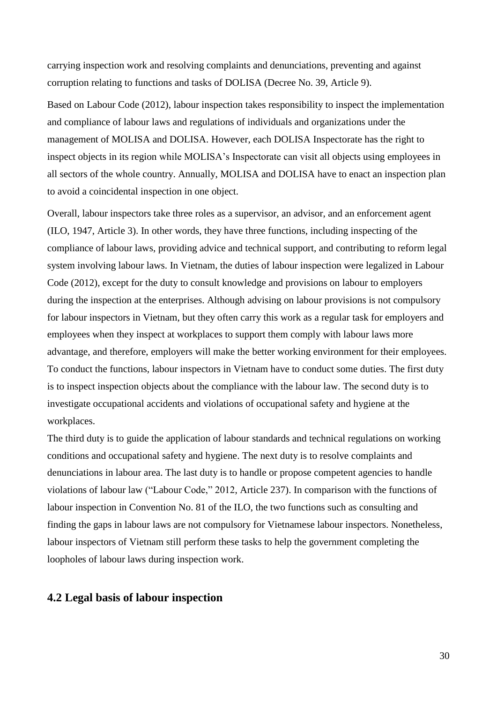carrying inspection work and resolving complaints and denunciations, preventing and against corruption relating to functions and tasks of DOLISA (Decree No. 39, Article 9).

Based on Labour Code (2012), labour inspection takes responsibility to inspect the implementation and compliance of labour laws and regulations of individuals and organizations under the management of MOLISA and DOLISA. However, each DOLISA Inspectorate has the right to inspect objects in its region while MOLISA's Inspectorate can visit all objects using employees in all sectors of the whole country. Annually, MOLISA and DOLISA have to enact an inspection plan to avoid a coincidental inspection in one object.

Overall, labour inspectors take three roles as a supervisor, an advisor, and an enforcement agent (ILO, 1947, Article 3). In other words, they have three functions, including inspecting of the compliance of labour laws, providing advice and technical support, and contributing to reform legal system involving labour laws. In Vietnam, the duties of labour inspection were legalized in Labour Code (2012), except for the duty to consult knowledge and provisions on labour to employers during the inspection at the enterprises. Although advising on labour provisions is not compulsory for labour inspectors in Vietnam, but they often carry this work as a regular task for employers and employees when they inspect at workplaces to support them comply with labour laws more advantage, and therefore, employers will make the better working environment for their employees. To conduct the functions, labour inspectors in Vietnam have to conduct some duties. The first duty is to inspect inspection objects about the compliance with the labour law. The second duty is to investigate occupational accidents and violations of occupational safety and hygiene at the workplaces.

The third duty is to guide the application of labour standards and technical regulations on working conditions and occupational safety and hygiene. The next duty is to resolve complaints and denunciations in labour area. The last duty is to handle or propose competent agencies to handle violations of labour law ("Labour Code," 2012, Article 237). In comparison with the functions of labour inspection in Convention No. 81 of the ILO, the two functions such as consulting and finding the gaps in labour laws are not compulsory for Vietnamese labour inspectors. Nonetheless, labour inspectors of Vietnam still perform these tasks to help the government completing the loopholes of labour laws during inspection work.

# <span id="page-35-0"></span>**4.2 Legal basis of labour inspection**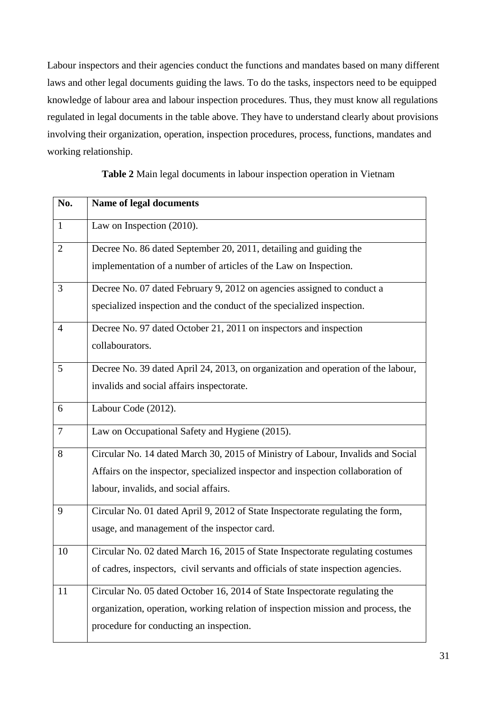Labour inspectors and their agencies conduct the functions and mandates based on many different laws and other legal documents guiding the laws. To do the tasks, inspectors need to be equipped knowledge of labour area and labour inspection procedures. Thus, they must know all regulations regulated in legal documents in the table above. They have to understand clearly about provisions involving their organization, operation, inspection procedures, process, functions, mandates and working relationship.

**Table 2** Main legal documents in labour inspection operation in Vietnam

| No.            | Name of legal documents                                                           |
|----------------|-----------------------------------------------------------------------------------|
| $\mathbf{1}$   | Law on Inspection (2010).                                                         |
| $\overline{2}$ | Decree No. 86 dated September 20, 2011, detailing and guiding the                 |
|                | implementation of a number of articles of the Law on Inspection.                  |
| 3              | Decree No. 07 dated February 9, 2012 on agencies assigned to conduct a            |
|                | specialized inspection and the conduct of the specialized inspection.             |
| $\overline{4}$ | Decree No. 97 dated October 21, 2011 on inspectors and inspection                 |
|                | collabourators.                                                                   |
| 5              | Decree No. 39 dated April 24, 2013, on organization and operation of the labour,  |
|                | invalids and social affairs inspectorate.                                         |
| 6              | Labour Code (2012).                                                               |
| $\overline{7}$ | Law on Occupational Safety and Hygiene (2015).                                    |
| 8              | Circular No. 14 dated March 30, 2015 of Ministry of Labour, Invalids and Social   |
|                | Affairs on the inspector, specialized inspector and inspection collaboration of   |
|                | labour, invalids, and social affairs.                                             |
| 9              | Circular No. 01 dated April 9, 2012 of State Inspectorate regulating the form,    |
|                | usage, and management of the inspector card.                                      |
| 10             | Circular No. 02 dated March 16, 2015 of State Inspectorate regulating costumes    |
|                | of cadres, inspectors, civil servants and officials of state inspection agencies. |
| 11             | Circular No. 05 dated October 16, 2014 of State Inspectorate regulating the       |
|                | organization, operation, working relation of inspection mission and process, the  |
|                | procedure for conducting an inspection.                                           |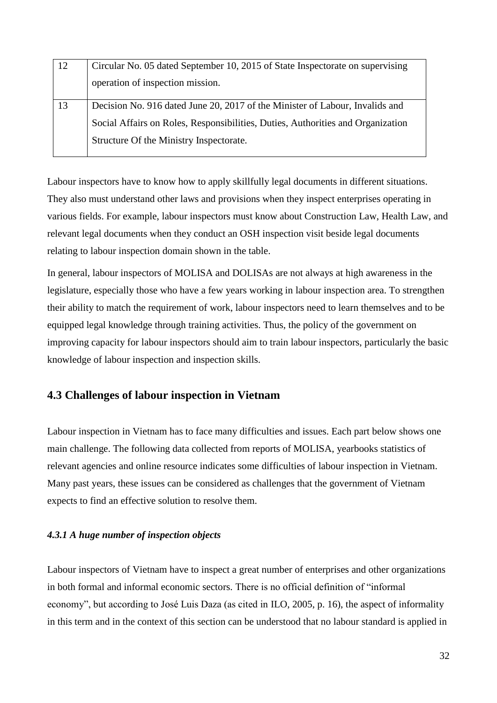| 12 | Circular No. 05 dated September 10, 2015 of State Inspectorate on supervising<br>operation of inspection mission. |
|----|-------------------------------------------------------------------------------------------------------------------|
|    |                                                                                                                   |
| 13 | Decision No. 916 dated June 20, 2017 of the Minister of Labour, Invalids and                                      |
|    | Social Affairs on Roles, Responsibilities, Duties, Authorities and Organization                                   |
|    | Structure Of the Ministry Inspectorate.                                                                           |
|    |                                                                                                                   |

Labour inspectors have to know how to apply skillfully legal documents in different situations. They also must understand other laws and provisions when they inspect enterprises operating in various fields. For example, labour inspectors must know about Construction Law, Health Law, and relevant legal documents when they conduct an OSH inspection visit beside legal documents relating to labour inspection domain shown in the table.

In general, labour inspectors of MOLISA and DOLISAs are not always at high awareness in the legislature, especially those who have a few years working in labour inspection area. To strengthen their ability to match the requirement of work, labour inspectors need to learn themselves and to be equipped legal knowledge through training activities. Thus, the policy of the government on improving capacity for labour inspectors should aim to train labour inspectors, particularly the basic knowledge of labour inspection and inspection skills.

# **4.3 Challenges of labour inspection in Vietnam**

Labour inspection in Vietnam has to face many difficulties and issues. Each part below shows one main challenge. The following data collected from reports of MOLISA, yearbooks statistics of relevant agencies and online resource indicates some difficulties of labour inspection in Vietnam. Many past years, these issues can be considered as challenges that the government of Vietnam expects to find an effective solution to resolve them.

### *4.3.1 A huge number of inspection objects*

Labour inspectors of Vietnam have to inspect a great number of enterprises and other organizations in both formal and informal economic sectors. There is no official definition of "informal economy", but according to José Luis Daza (as cited in ILO, 2005, p. 16), the aspect of informality in this term and in the context of this section can be understood that no labour standard is applied in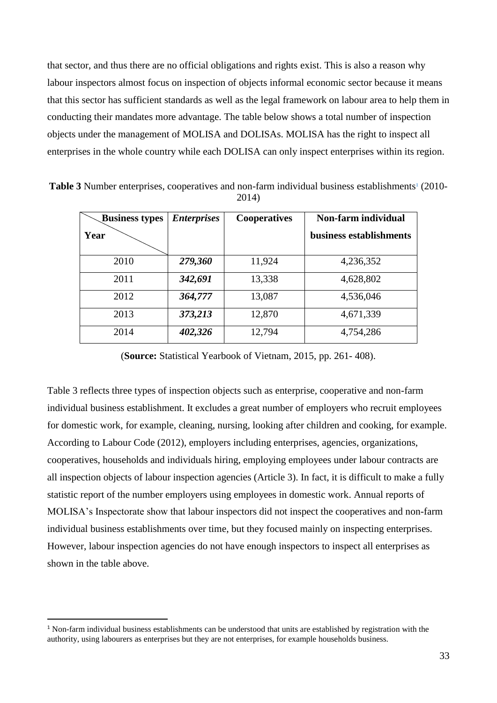that sector, and thus there are no official obligations and rights exist. This is also a reason why labour inspectors almost focus on inspection of objects informal economic sector because it means that this sector has sufficient standards as well as the legal framework on labour area to help them in conducting their mandates more advantage. The table below shows a total number of inspection objects under the management of MOLISA and DOLISAs. MOLISA has the right to inspect all enterprises in the whole country while each DOLISA can only inspect enterprises within its region.

Table 3 Number enterprises, cooperatives and non-farm individual business establishments<sup>1</sup> (2010-2014)

| <b>Business types</b> | <b>Enterprises</b> | <b>Cooperatives</b> | Non-farm individual     |  |  |
|-----------------------|--------------------|---------------------|-------------------------|--|--|
| Year                  |                    |                     | business establishments |  |  |
|                       |                    |                     |                         |  |  |
| 2010                  | 279,360            | 11,924              | 4,236,352               |  |  |
| 2011                  | 342,691            | 13,338              | 4,628,802               |  |  |
|                       |                    |                     |                         |  |  |
| 2012                  | 364,777            | 13,087              | 4,536,046               |  |  |
| 2013                  | 373,213            | 12,870              | 4,671,339               |  |  |
| 2014                  | 402,326            | 12,794              | 4,754,286               |  |  |

(**Source:** Statistical Yearbook of Vietnam, 2015, pp. 261- 408).

Table 3 reflects three types of inspection objects such as enterprise, cooperative and non-farm individual business establishment. It excludes a great number of employers who recruit employees for domestic work, for example, cleaning, nursing, looking after children and cooking, for example. According to Labour Code (2012), employers including enterprises, agencies, organizations, cooperatives, households and individuals hiring, employing employees under labour contracts are all inspection objects of labour inspection agencies (Article 3). In fact, it is difficult to make a fully statistic report of the number employers using employees in domestic work. Annual reports of MOLISA's Inspectorate show that labour inspectors did not inspect the cooperatives and non-farm individual business establishments over time, but they focused mainly on inspecting enterprises. However, labour inspection agencies do not have enough inspectors to inspect all enterprises as shown in the table above.

-

<sup>&</sup>lt;sup>1</sup> Non-farm individual business establishments can be understood that units are established by registration with the authority, using labourers as enterprises but they are not enterprises, for example households business.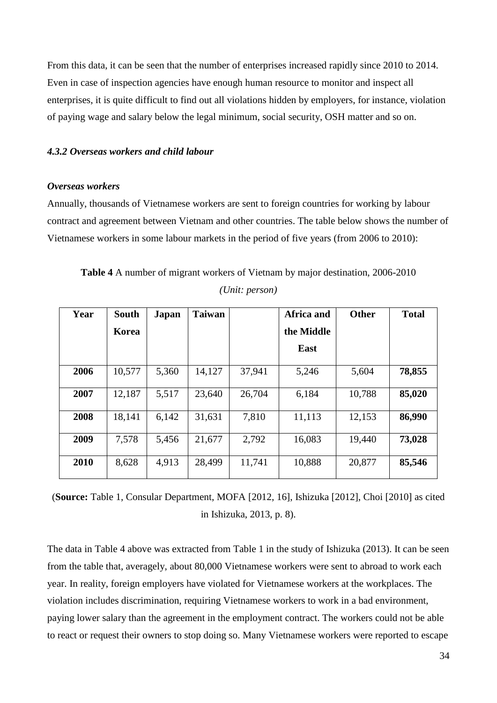From this data, it can be seen that the number of enterprises increased rapidly since 2010 to 2014. Even in case of inspection agencies have enough human resource to monitor and inspect all enterprises, it is quite difficult to find out all violations hidden by employers, for instance, violation of paying wage and salary below the legal minimum, social security, OSH matter and so on.

### *4.3.2 Overseas workers and child labour*

#### *Overseas workers*

Annually, thousands of Vietnamese workers are sent to foreign countries for working by labour contract and agreement between Vietnam and other countries. The table below shows the number of Vietnamese workers in some labour markets in the period of five years (from 2006 to 2010):

| Year | <b>South</b> | Japan | <b>Taiwan</b> |        | Africa and | <b>Other</b> | <b>Total</b> |
|------|--------------|-------|---------------|--------|------------|--------------|--------------|
|      | Korea        |       |               |        | the Middle |              |              |
|      |              |       |               |        | East       |              |              |
| 2006 | 10,577       | 5,360 | 14,127        | 37,941 | 5,246      | 5,604        | 78,855       |
| 2007 | 12,187       | 5,517 | 23,640        | 26,704 | 6,184      | 10,788       | 85,020       |
| 2008 | 18,141       | 6,142 | 31,631        | 7,810  | 11,113     | 12,153       | 86,990       |
| 2009 | 7,578        | 5,456 | 21,677        | 2,792  | 16,083     | 19,440       | 73,028       |
| 2010 | 8,628        | 4,913 | 28,499        | 11,741 | 10,888     | 20,877       | 85,546       |

**Table 4** A number of migrant workers of Vietnam by major destination, 2006-2010 *(Unit: person)*

(**Source:** Table 1, Consular Department, MOFA [2012, 16], Ishizuka [2012], Choi [2010] as cited in Ishizuka, 2013, p. 8).

The data in Table 4 above was extracted from Table 1 in the study of Ishizuka (2013). It can be seen from the table that, averagely, about 80,000 Vietnamese workers were sent to abroad to work each year. In reality, foreign employers have violated for Vietnamese workers at the workplaces. The violation includes discrimination, requiring Vietnamese workers to work in a bad environment, paying lower salary than the agreement in the employment contract. The workers could not be able to react or request their owners to stop doing so. Many Vietnamese workers were reported to escape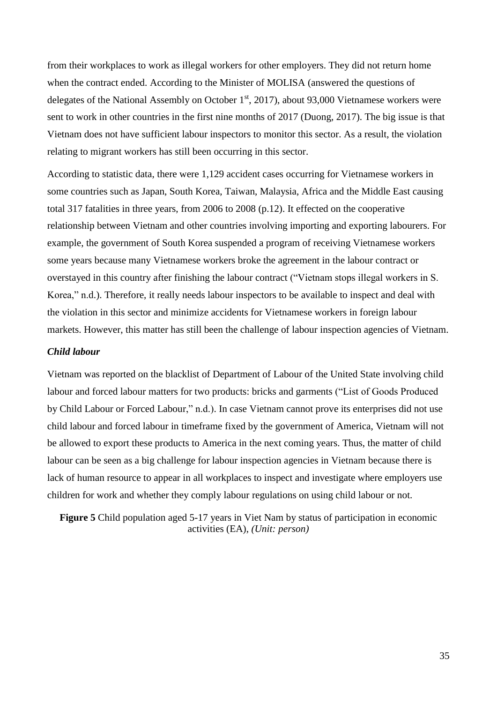from their workplaces to work as illegal workers for other employers. They did not return home when the contract ended. According to the Minister of MOLISA (answered the questions of delegates of the National Assembly on October  $1<sup>st</sup>$ , 2017), about 93,000 Vietnamese workers were sent to work in other countries in the first nine months of 2017 (Duong, 2017). The big issue is that Vietnam does not have sufficient labour inspectors to monitor this sector. As a result, the violation relating to migrant workers has still been occurring in this sector.

According to statistic data, there were 1,129 accident cases occurring for Vietnamese workers in some countries such as Japan, South Korea, Taiwan, Malaysia, Africa and the Middle East causing total 317 fatalities in three years, from 2006 to 2008 (p.12). It effected on the cooperative relationship between Vietnam and other countries involving importing and exporting labourers. For example, the government of South Korea suspended a program of receiving Vietnamese workers some years because many Vietnamese workers broke the agreement in the labour contract or overstayed in this country after finishing the labour contract ("Vietnam stops illegal workers in S. Korea," n.d.). Therefore, it really needs labour inspectors to be available to inspect and deal with the violation in this sector and minimize accidents for Vietnamese workers in foreign labour markets. However, this matter has still been the challenge of labour inspection agencies of Vietnam.

### *Child labour*

Vietnam was reported on the blacklist of Department of Labour of the United State involving child labour and forced labour matters for two products: bricks and garments ("List of Goods Produced by Child Labour or Forced Labour," n.d.). In case Vietnam cannot prove its enterprises did not use child labour and forced labour in timeframe fixed by the government of America, Vietnam will not be allowed to export these products to America in the next coming years. Thus, the matter of child labour can be seen as a big challenge for labour inspection agencies in Vietnam because there is lack of human resource to appear in all workplaces to inspect and investigate where employers use children for work and whether they comply labour regulations on using child labour or not.

**Figure 5** Child population aged 5-17 years in Viet Nam by status of participation in economic activities (EA), *(Unit: person)*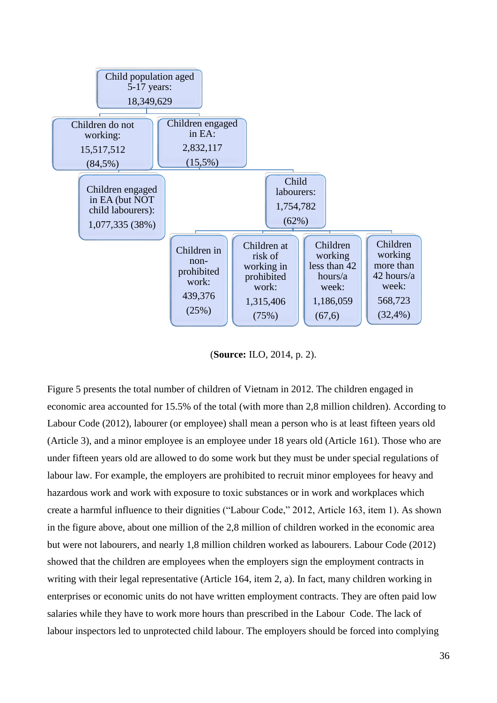

(**Source:** ILO, 2014, p. 2).

Figure 5 presents the total number of children of Vietnam in 2012. The children engaged in economic area accounted for 15.5% of the total (with more than 2,8 million children). According to Labour Code (2012), labourer (or employee) shall mean a person who is at least fifteen years old (Article 3), and a minor employee is an employee under 18 years old (Article 161). Those who are under fifteen years old are allowed to do some work but they must be under special regulations of labour law. For example, the employers are prohibited to recruit minor employees for heavy and hazardous work and work with exposure to toxic substances or in work and workplaces which create a harmful influence to their dignities ("Labour Code," 2012, Article 163, item 1). As shown in the figure above, about one million of the 2,8 million of children worked in the economic area but were not labourers, and nearly 1,8 million children worked as labourers. Labour Code (2012) showed that the children are employees when the employers sign the employment contracts in writing with their legal representative (Article 164, item 2, a). In fact, many children working in enterprises or economic units do not have written employment contracts. They are often paid low salaries while they have to work more hours than prescribed in the Labour Code. The lack of labour inspectors led to unprotected child labour. The employers should be forced into complying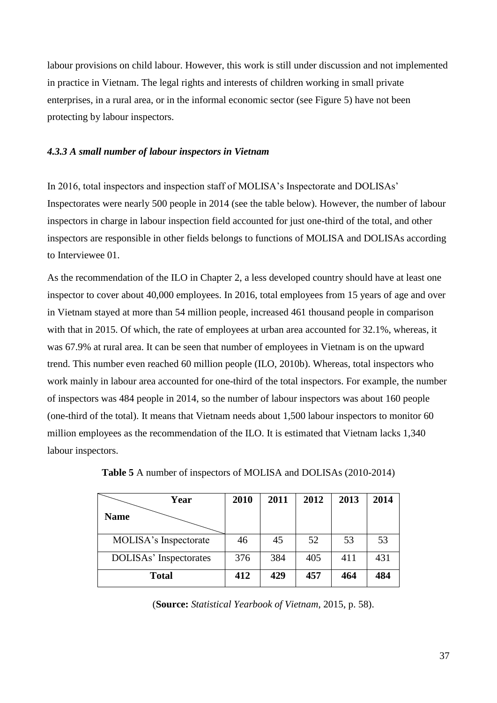labour provisions on child labour. However, this work is still under discussion and not implemented in practice in Vietnam. The legal rights and interests of children working in small private enterprises, in a rural area, or in the informal economic sector (see Figure 5) have not been protecting by labour inspectors.

#### *4.3.3 A small number of labour inspectors in Vietnam*

In 2016, total inspectors and inspection staff of MOLISA's Inspectorate and DOLISAs' Inspectorates were nearly 500 people in 2014 (see the table below). However, the number of labour inspectors in charge in labour inspection field accounted for just one-third of the total, and other inspectors are responsible in other fields belongs to functions of MOLISA and DOLISAs according to Interviewee 01.

As the recommendation of the ILO in Chapter 2, a less developed country should have at least one inspector to cover about 40,000 employees. In 2016, total employees from 15 years of age and over in Vietnam stayed at more than 54 million people, increased 461 thousand people in comparison with that in 2015. Of which, the rate of employees at urban area accounted for 32.1%, whereas, it was 67.9% at rural area. It can be seen that number of employees in Vietnam is on the upward trend. This number even reached 60 million people (ILO, 2010b). Whereas, total inspectors who work mainly in labour area accounted for one-third of the total inspectors. For example, the number of inspectors was 484 people in 2014, so the number of labour inspectors was about 160 people (one-third of the total). It means that Vietnam needs about 1,500 labour inspectors to monitor 60 million employees as the recommendation of the ILO. It is estimated that Vietnam lacks 1,340 labour inspectors.

| Year                   | 2010 | 2011 | 2012 | 2013 | 2014 |
|------------------------|------|------|------|------|------|
| <b>Name</b>            |      |      |      |      |      |
| MOLISA's Inspectorate  | 46   | 45   | 52   | 53   | 53   |
| DOLISAs' Inspectorates | 376  | 384  | 405  | 411  | 431  |
| <b>Total</b>           | 412  | 429  | 457  | 464  | 484  |

**Table 5** A number of inspectors of MOLISA and DOLISAs (2010-2014)

(**Source:** *Statistical Yearbook of Vietnam*, 2015, p. 58).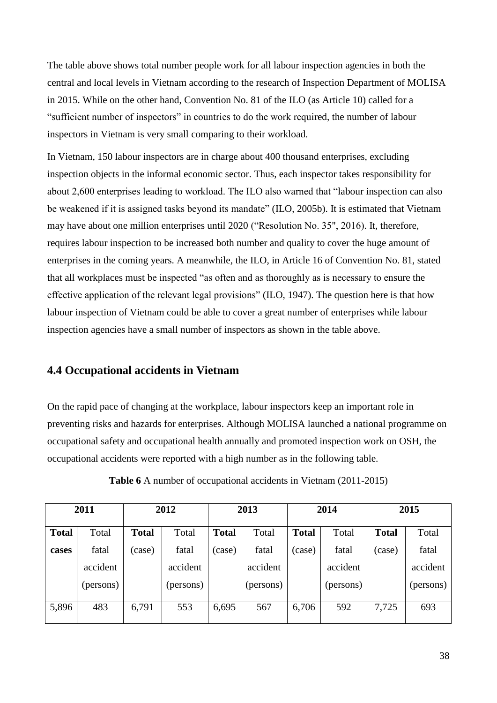The table above shows total number people work for all labour inspection agencies in both the central and local levels in Vietnam according to the research of Inspection Department of MOLISA in 2015. While on the other hand, Convention No. 81 of the ILO (as Article 10) called for a "sufficient number of inspectors" in countries to do the work required, the number of labour inspectors in Vietnam is very small comparing to their workload.

In Vietnam, 150 labour inspectors are in charge about 400 thousand enterprises, excluding inspection objects in the informal economic sector. Thus, each inspector takes responsibility for about 2,600 enterprises leading to workload. The ILO also warned that "labour inspection can also be weakened if it is assigned tasks beyond its mandate" (ILO, 2005b). It is estimated that Vietnam may have about one million enterprises until 2020 ("Resolution No. 35", 2016). It, therefore, requires labour inspection to be increased both number and quality to cover the huge amount of enterprises in the coming years. A meanwhile, the ILO, in Article 16 of Convention No. 81, stated that all workplaces must be inspected "as often and as thoroughly as is necessary to ensure the effective application of the relevant legal provisions" (ILO, 1947). The question here is that how labour inspection of Vietnam could be able to cover a great number of enterprises while labour inspection agencies have a small number of inspectors as shown in the table above.

# **4.4 Occupational accidents in Vietnam**

On the rapid pace of changing at the workplace, labour inspectors keep an important role in preventing risks and hazards for enterprises. Although MOLISA launched a national programme on occupational safety and occupational health annually and promoted inspection work on OSH, the occupational accidents were reported with a high number as in the following table.

|              | 2011      |              | 2012      | 2013         |           | 2014         |           |              | 2015      |
|--------------|-----------|--------------|-----------|--------------|-----------|--------------|-----------|--------------|-----------|
| <b>Total</b> | Total     | <b>Total</b> | Total     | <b>Total</b> | Total     | <b>Total</b> | Total     | <b>Total</b> | Total     |
| cases        | fatal     | (case)       | fatal     | (case)       | fatal     | (case)       | fatal     | (case)       | fatal     |
|              | accident  |              | accident  |              | accident  |              | accident  |              | accident  |
|              | (persons) |              | (persons) |              | (persons) |              | (persons) |              | (persons) |
| 5,896        | 483       | 6,791        | 553       | 6,695        | 567       | 6,706        | 592       | 7,725        | 693       |

**Table 6** A number of occupational accidents in Vietnam (2011-2015)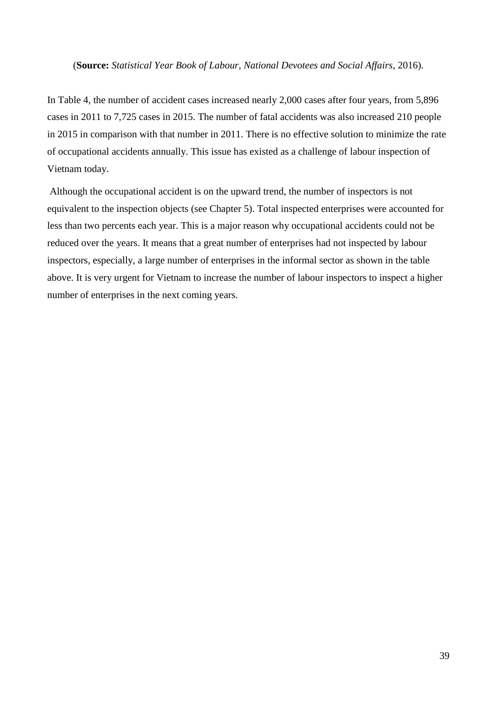#### (**Source:** *Statistical Year Book of Labour, National Devotees and Social Affairs*, 2016).

In Table 4, the number of accident cases increased nearly 2,000 cases after four years, from 5,896 cases in 2011 to 7,725 cases in 2015. The number of fatal accidents was also increased 210 people in 2015 in comparison with that number in 2011. There is no effective solution to minimize the rate of occupational accidents annually. This issue has existed as a challenge of labour inspection of Vietnam today.

Although the occupational accident is on the upward trend, the number of inspectors is not equivalent to the inspection objects (see Chapter 5). Total inspected enterprises were accounted for less than two percents each year. This is a major reason why occupational accidents could not be reduced over the years. It means that a great number of enterprises had not inspected by labour inspectors, especially, a large number of enterprises in the informal sector as shown in the table above. It is very urgent for Vietnam to increase the number of labour inspectors to inspect a higher number of enterprises in the next coming years.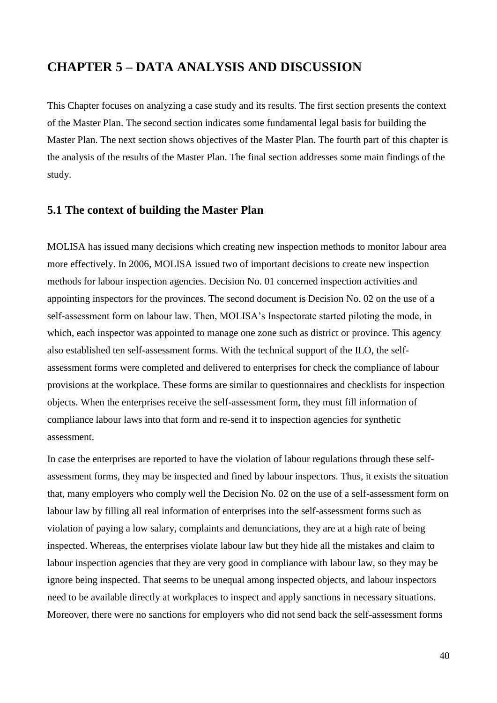# **CHAPTER 5 – DATA ANALYSIS AND DISCUSSION**

This Chapter focuses on analyzing a case study and its results. The first section presents the context of the Master Plan. The second section indicates some fundamental legal basis for building the Master Plan. The next section shows objectives of the Master Plan. The fourth part of this chapter is the analysis of the results of the Master Plan. The final section addresses some main findings of the study.

# **5.1 The context of building the Master Plan**

MOLISA has issued many decisions which creating new inspection methods to monitor labour area more effectively. In 2006, MOLISA issued two of important decisions to create new inspection methods for labour inspection agencies. Decision No. 01 concerned inspection activities and appointing inspectors for the provinces. The second document is Decision No. 02 on the use of a self-assessment form on labour law. Then, MOLISA's Inspectorate started piloting the mode, in which, each inspector was appointed to manage one zone such as district or province. This agency also established ten self-assessment forms. With the technical support of the ILO, the selfassessment forms were completed and delivered to enterprises for check the compliance of labour provisions at the workplace. These forms are similar to questionnaires and checklists for inspection objects. When the enterprises receive the self-assessment form, they must fill information of compliance labour laws into that form and re-send it to inspection agencies for synthetic assessment.

In case the enterprises are reported to have the violation of labour regulations through these selfassessment forms, they may be inspected and fined by labour inspectors. Thus, it exists the situation that, many employers who comply well the Decision No. 02 on the use of a self-assessment form on labour law by filling all real information of enterprises into the self-assessment forms such as violation of paying a low salary, complaints and denunciations, they are at a high rate of being inspected. Whereas, the enterprises violate labour law but they hide all the mistakes and claim to labour inspection agencies that they are very good in compliance with labour law, so they may be ignore being inspected. That seems to be unequal among inspected objects, and labour inspectors need to be available directly at workplaces to inspect and apply sanctions in necessary situations. Moreover, there were no sanctions for employers who did not send back the self-assessment forms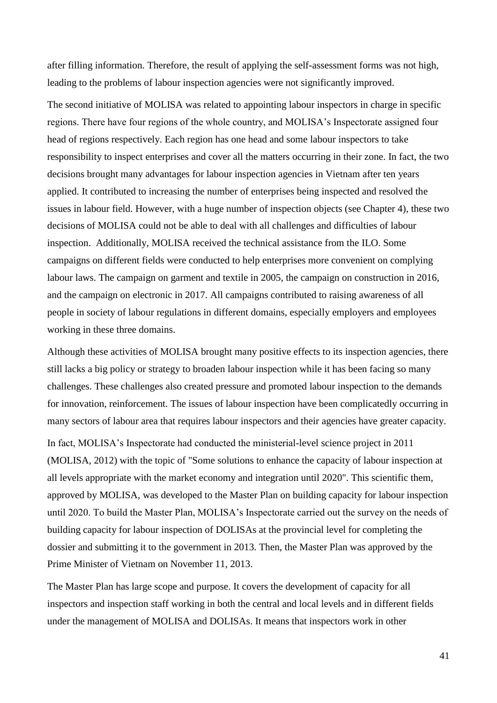after filling information. Therefore, the result of applying the self-assessment forms was not high, leading to the problems of labour inspection agencies were not significantly improved.

The second initiative of MOLISA was related to appointing labour inspectors in charge in specific regions. There have four regions of the whole country, and MOLISA's Inspectorate assigned four head of regions respectively. Each region has one head and some labour inspectors to take responsibility to inspect enterprises and cover all the matters occurring in their zone. In fact, the two decisions brought many advantages for labour inspection agencies in Vietnam after ten years applied. It contributed to increasing the number of enterprises being inspected and resolved the issues in labour field. However, with a huge number of inspection objects (see Chapter 4), these two decisions of MOLISA could not be able to deal with all challenges and difficulties of labour inspection. Additionally, MOLISA received the technical assistance from the ILO. Some campaigns on different fields were conducted to help enterprises more convenient on complying labour laws. The campaign on garment and textile in 2005, the campaign on construction in 2016, and the campaign on electronic in 2017. All campaigns contributed to raising awareness of all people in society of labour regulations in different domains, especially employers and employees working in these three domains.

Although these activities of MOLISA brought many positive effects to its inspection agencies, there still lacks a big policy or strategy to broaden labour inspection while it has been facing so many challenges. These challenges also created pressure and promoted labour inspection to the demands for innovation, reinforcement. The issues of labour inspection have been complicatedly occurring in many sectors of labour area that requires labour inspectors and their agencies have greater capacity.

In fact, MOLISA's Inspectorate had conducted the ministerial-level science project in 2011 (MOLISA, 2012) with the topic of "Some solutions to enhance the capacity of labour inspection at all levels appropriate with the market economy and integration until 2020". This scientific them, approved by MOLISA, was developed to the Master Plan on building capacity for labour inspection until 2020. To build the Master Plan, MOLISA's Inspectorate carried out the survey on the needs of building capacity for labour inspection of DOLISAs at the provincial level for completing the dossier and submitting it to the government in 2013. Then, the Master Plan was approved by the Prime Minister of Vietnam on November 11, 2013.

The Master Plan has large scope and purpose. It covers the development of capacity for all inspectors and inspection staff working in both the central and local levels and in different fields under the management of MOLISA and DOLISAs. It means that inspectors work in other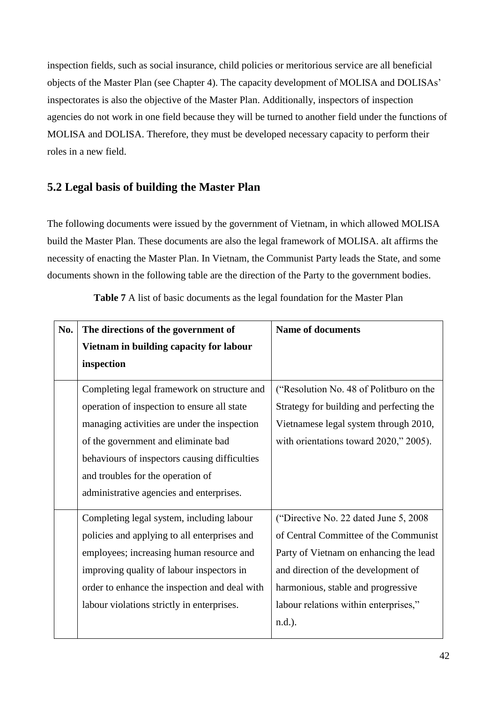inspection fields, such as social insurance, child policies or meritorious service are all beneficial objects of the Master Plan (see Chapter 4). The capacity development of MOLISA and DOLISAs' inspectorates is also the objective of the Master Plan. Additionally, inspectors of inspection agencies do not work in one field because they will be turned to another field under the functions of MOLISA and DOLISA. Therefore, they must be developed necessary capacity to perform their roles in a new field.

# **5.2 Legal basis of building the Master Plan**

The following documents were issued by the government of Vietnam, in which allowed MOLISA build the Master Plan. These documents are also the legal framework of MOLISA. aIt affirms the necessity of enacting the Master Plan. In Vietnam, the Communist Party leads the State, and some documents shown in the following table are the direction of the Party to the government bodies.

| No. | The directions of the government of           | <b>Name of documents</b>                 |
|-----|-----------------------------------------------|------------------------------------------|
|     | Vietnam in building capacity for labour       |                                          |
|     | inspection                                    |                                          |
|     | Completing legal framework on structure and   | ("Resolution No. 48 of Politburo on the  |
|     | operation of inspection to ensure all state   | Strategy for building and perfecting the |
|     | managing activities are under the inspection  | Vietnamese legal system through 2010,    |
|     | of the government and eliminate bad           | with orientations toward 2020," 2005).   |
|     | behaviours of inspectors causing difficulties |                                          |
|     | and troubles for the operation of             |                                          |
|     | administrative agencies and enterprises.      |                                          |
|     | Completing legal system, including labour     | ("Directive No. 22 dated June 5, 2008)   |
|     | policies and applying to all enterprises and  | of Central Committee of the Communist    |
|     | employees; increasing human resource and      | Party of Vietnam on enhancing the lead   |
|     | improving quality of labour inspectors in     | and direction of the development of      |
|     | order to enhance the inspection and deal with | harmonious, stable and progressive       |
|     | labour violations strictly in enterprises.    | labour relations within enterprises,"    |
|     |                                               | n.d.).                                   |

**Table 7** A list of basic documents as the legal foundation for the Master Plan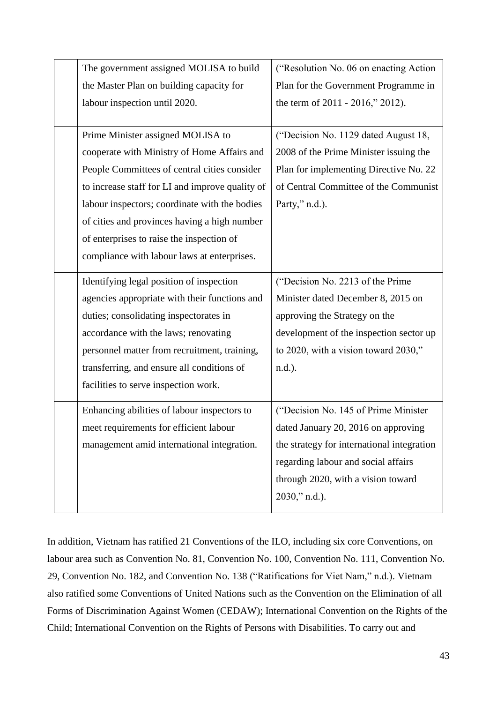| The government assigned MOLISA to build         | ("Resolution No. 06 on enacting Action"    |
|-------------------------------------------------|--------------------------------------------|
| the Master Plan on building capacity for        | Plan for the Government Programme in       |
| labour inspection until 2020.                   | the term of 2011 - 2016," 2012).           |
|                                                 |                                            |
| Prime Minister assigned MOLISA to               | ("Decision No. 1129 dated August 18,       |
| cooperate with Ministry of Home Affairs and     | 2008 of the Prime Minister issuing the     |
| People Committees of central cities consider    | Plan for implementing Directive No. 22     |
| to increase staff for LI and improve quality of | of Central Committee of the Communist      |
| labour inspectors; coordinate with the bodies   | Party," n.d.).                             |
| of cities and provinces having a high number    |                                            |
| of enterprises to raise the inspection of       |                                            |
| compliance with labour laws at enterprises.     |                                            |
| Identifying legal position of inspection        | ("Decision No. 2213 of the Prime           |
| agencies appropriate with their functions and   | Minister dated December 8, 2015 on         |
| duties; consolidating inspectorates in          | approving the Strategy on the              |
| accordance with the laws; renovating            | development of the inspection sector up    |
| personnel matter from recruitment, training,    | to 2020, with a vision toward 2030,"       |
| transferring, and ensure all conditions of      | n.d.).                                     |
| facilities to serve inspection work.            |                                            |
| Enhancing abilities of labour inspectors to     | ("Decision No. 145 of Prime Minister       |
| meet requirements for efficient labour          | dated January 20, 2016 on approving        |
| management amid international integration.      | the strategy for international integration |
|                                                 | regarding labour and social affairs        |
|                                                 | through 2020, with a vision toward         |
|                                                 | 2030," n.d.).                              |
|                                                 |                                            |

In addition, Vietnam has ratified 21 Conventions of the ILO, including six core Conventions, on labour area such as Convention No. 81, Convention No. 100, Convention No. 111, Convention No. 29, Convention No. 182, and Convention No. 138 ("Ratifications for Viet Nam," n.d.). Vietnam also ratified some Conventions of United Nations such as the Convention on the Elimination of all Forms of Discrimination Against Women (CEDAW); International Convention on the Rights of the Child; International Convention on the Rights of Persons with Disabilities. To carry out and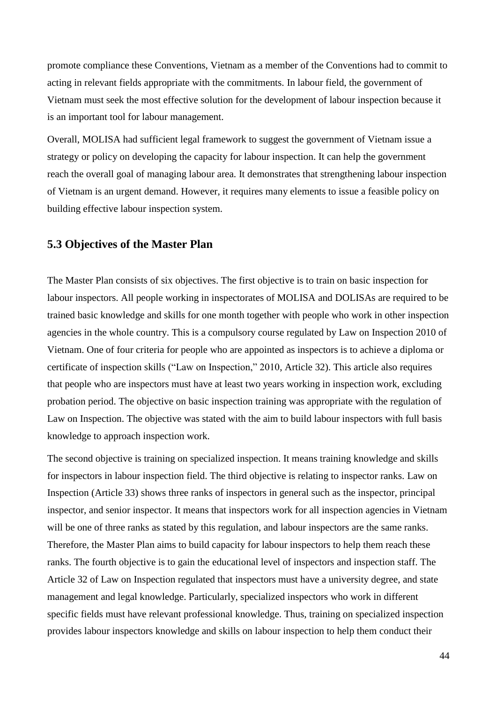promote compliance these Conventions, Vietnam as a member of the Conventions had to commit to acting in relevant fields appropriate with the commitments. In labour field, the government of Vietnam must seek the most effective solution for the development of labour inspection because it is an important tool for labour management.

Overall, MOLISA had sufficient legal framework to suggest the government of Vietnam issue a strategy or policy on developing the capacity for labour inspection. It can help the government reach the overall goal of managing labour area. It demonstrates that strengthening labour inspection of Vietnam is an urgent demand. However, it requires many elements to issue a feasible policy on building effective labour inspection system.

# **5.3 Objectives of the Master Plan**

The Master Plan consists of six objectives. The first objective is to train on basic inspection for labour inspectors. All people working in inspectorates of MOLISA and DOLISAs are required to be trained basic knowledge and skills for one month together with people who work in other inspection agencies in the whole country. This is a compulsory course regulated by Law on Inspection 2010 of Vietnam. One of four criteria for people who are appointed as inspectors is to achieve a diploma or certificate of inspection skills ("Law on Inspection," 2010, Article 32). This article also requires that people who are inspectors must have at least two years working in inspection work, excluding probation period. The objective on basic inspection training was appropriate with the regulation of Law on Inspection. The objective was stated with the aim to build labour inspectors with full basis knowledge to approach inspection work.

The second objective is training on specialized inspection. It means training knowledge and skills for inspectors in labour inspection field. The third objective is relating to inspector ranks. Law on Inspection (Article 33) shows three ranks of inspectors in general such as the inspector, principal inspector, and senior inspector. It means that inspectors work for all inspection agencies in Vietnam will be one of three ranks as stated by this regulation, and labour inspectors are the same ranks. Therefore, the Master Plan aims to build capacity for labour inspectors to help them reach these ranks. The fourth objective is to gain the educational level of inspectors and inspection staff. The Article 32 of Law on Inspection regulated that inspectors must have a university degree, and state management and legal knowledge. Particularly, specialized inspectors who work in different specific fields must have relevant professional knowledge. Thus, training on specialized inspection provides labour inspectors knowledge and skills on labour inspection to help them conduct their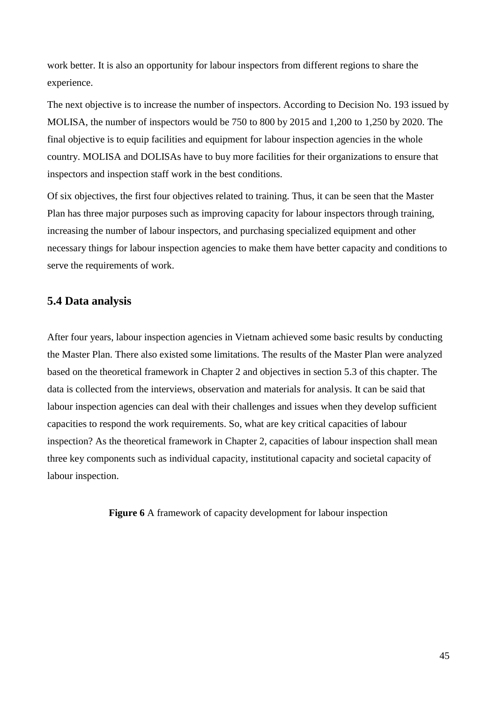work better. It is also an opportunity for labour inspectors from different regions to share the experience.

The next objective is to increase the number of inspectors. According to Decision No. 193 issued by MOLISA, the number of inspectors would be 750 to 800 by 2015 and 1,200 to 1,250 by 2020. The final objective is to equip facilities and equipment for labour inspection agencies in the whole country. MOLISA and DOLISAs have to buy more facilities for their organizations to ensure that inspectors and inspection staff work in the best conditions.

Of six objectives, the first four objectives related to training. Thus, it can be seen that the Master Plan has three major purposes such as improving capacity for labour inspectors through training, increasing the number of labour inspectors, and purchasing specialized equipment and other necessary things for labour inspection agencies to make them have better capacity and conditions to serve the requirements of work.

# **5.4 Data analysis**

After four years, labour inspection agencies in Vietnam achieved some basic results by conducting the Master Plan. There also existed some limitations. The results of the Master Plan were analyzed based on the theoretical framework in Chapter 2 and objectives in section 5.3 of this chapter. The data is collected from the interviews, observation and materials for analysis. It can be said that labour inspection agencies can deal with their challenges and issues when they develop sufficient capacities to respond the work requirements. So, what are key critical capacities of labour inspection? As the theoretical framework in Chapter 2, capacities of labour inspection shall mean three key components such as individual capacity, institutional capacity and societal capacity of labour inspection.

**Figure 6** A framework of capacity development for labour inspection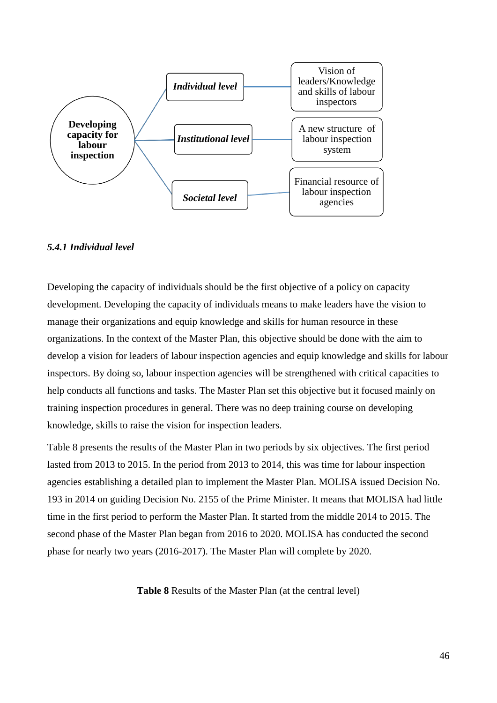

### *5.4.1 Individual level*

Developing the capacity of individuals should be the first objective of a policy on capacity development. Developing the capacity of individuals means to make leaders have the vision to manage their organizations and equip knowledge and skills for human resource in these organizations. In the context of the Master Plan, this objective should be done with the aim to develop a vision for leaders of labour inspection agencies and equip knowledge and skills for labour inspectors. By doing so, labour inspection agencies will be strengthened with critical capacities to help conducts all functions and tasks. The Master Plan set this objective but it focused mainly on training inspection procedures in general. There was no deep training course on developing knowledge, skills to raise the vision for inspection leaders.

Table 8 presents the results of the Master Plan in two periods by six objectives. The first period lasted from 2013 to 2015. In the period from 2013 to 2014, this was time for labour inspection agencies establishing a detailed plan to implement the Master Plan. MOLISA issued Decision No. 193 in 2014 on guiding Decision No. 2155 of the Prime Minister. It means that MOLISA had little time in the first period to perform the Master Plan. It started from the middle 2014 to 2015. The second phase of the Master Plan began from 2016 to 2020. MOLISA has conducted the second phase for nearly two years (2016-2017). The Master Plan will complete by 2020.

**Table 8** Results of the Master Plan (at the central level)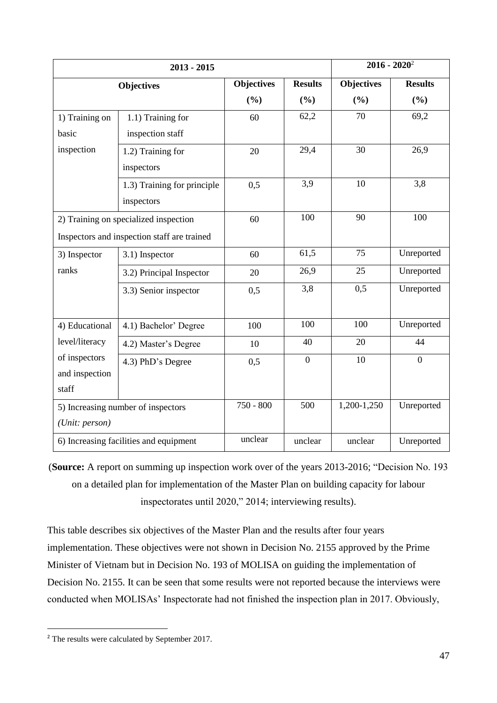|                | $2013 - 2015$                               |                   |                | $2016 - 2020^2$   |                |
|----------------|---------------------------------------------|-------------------|----------------|-------------------|----------------|
|                | <b>Objectives</b>                           | <b>Objectives</b> | <b>Results</b> | <b>Objectives</b> | <b>Results</b> |
|                |                                             | (%)               | (%)            | (%)               | (%)            |
| 1) Training on | 1.1) Training for                           | 60                | 62,2           | 70                | 69,2           |
| basic          | inspection staff                            |                   |                |                   |                |
| inspection     | 1.2) Training for                           | 20                | 29,4           | 30                | 26,9           |
|                | inspectors                                  |                   |                |                   |                |
|                | 1.3) Training for principle                 | 0,5               | 3,9            | 10                | 3,8            |
|                | inspectors                                  |                   |                |                   |                |
|                | 2) Training on specialized inspection       | 60                | 100            | 90                | 100            |
|                | Inspectors and inspection staff are trained |                   |                |                   |                |
| 3) Inspector   | 3.1) Inspector                              | 60                | 61,5           | 75                | Unreported     |
| ranks          | 3.2) Principal Inspector                    | 20                | 26,9           | 25                | Unreported     |
|                | 3.3) Senior inspector                       | 0,5               | 3,8            | 0,5               | Unreported     |
|                |                                             |                   |                |                   |                |
| 4) Educational | 4.1) Bachelor' Degree                       | 100               | 100            | 100               | Unreported     |
| level/literacy | 4.2) Master's Degree                        | 10                | 40             | 20                | 44             |
| of inspectors  | 4.3) PhD's Degree                           | 0,5               | $\overline{0}$ | 10                | $\overline{0}$ |
| and inspection |                                             |                   |                |                   |                |
| staff          |                                             |                   |                |                   |                |
|                | 5) Increasing number of inspectors          | 750 - 800         | 500            | 1,200-1,250       | Unreported     |
| (Unit: person) |                                             |                   |                |                   |                |
|                | 6) Increasing facilities and equipment      | unclear           | unclear        | unclear           | Unreported     |

(**Source:** A report on summing up inspection work over of the years 2013-2016; "Decision No. 193 on a detailed plan for implementation of the Master Plan on building capacity for labour inspectorates until 2020," 2014; interviewing results).

This table describes six objectives of the Master Plan and the results after four years implementation. These objectives were not shown in Decision No. 2155 approved by the Prime Minister of Vietnam but in Decision No. 193 of MOLISA on guiding the implementation of Decision No. 2155. It can be seen that some results were not reported because the interviews were conducted when MOLISAs' Inspectorate had not finished the inspection plan in 2017. Obviously,

-

<sup>&</sup>lt;sup>2</sup> The results were calculated by September 2017.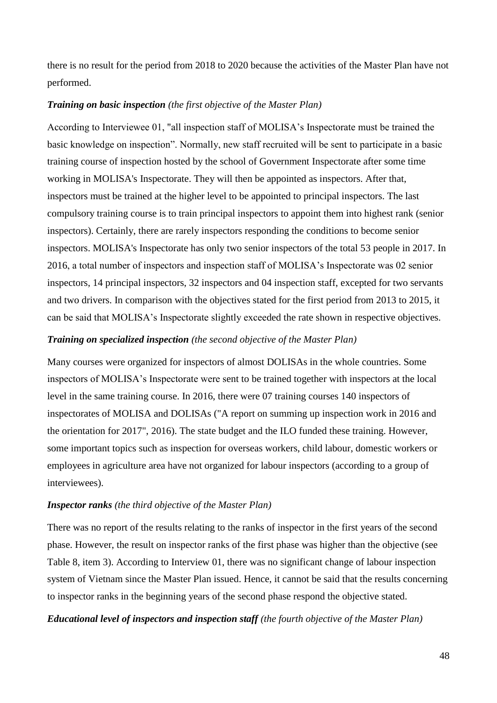there is no result for the period from 2018 to 2020 because the activities of the Master Plan have not performed.

#### *Training on basic inspection (the first objective of the Master Plan)*

According to Interviewee 01, "all inspection staff of MOLISA's Inspectorate must be trained the basic knowledge on inspection". Normally, new staff recruited will be sent to participate in a basic training course of inspection hosted by the school of Government Inspectorate after some time working in MOLISA's Inspectorate. They will then be appointed as inspectors. After that, inspectors must be trained at the higher level to be appointed to principal inspectors. The last compulsory training course is to train principal inspectors to appoint them into highest rank (senior inspectors). Certainly, there are rarely inspectors responding the conditions to become senior inspectors. MOLISA's Inspectorate has only two senior inspectors of the total 53 people in 2017. In 2016, a total number of inspectors and inspection staff of MOLISA's Inspectorate was 02 senior inspectors, 14 principal inspectors, 32 inspectors and 04 inspection staff, excepted for two servants and two drivers. In comparison with the objectives stated for the first period from 2013 to 2015, it can be said that MOLISA's Inspectorate slightly exceeded the rate shown in respective objectives.

#### *Training on specialized inspection (the second objective of the Master Plan)*

Many courses were organized for inspectors of almost DOLISAs in the whole countries. Some inspectors of MOLISA's Inspectorate were sent to be trained together with inspectors at the local level in the same training course. In 2016, there were 07 training courses 140 inspectors of inspectorates of MOLISA and DOLISAs ("A report on summing up inspection work in 2016 and the orientation for 2017", 2016). The state budget and the ILO funded these training. However, some important topics such as inspection for overseas workers, child labour, domestic workers or employees in agriculture area have not organized for labour inspectors (according to a group of interviewees).

#### *Inspector ranks (the third objective of the Master Plan)*

There was no report of the results relating to the ranks of inspector in the first years of the second phase. However, the result on inspector ranks of the first phase was higher than the objective (see Table 8, item 3). According to Interview 01, there was no significant change of labour inspection system of Vietnam since the Master Plan issued. Hence, it cannot be said that the results concerning to inspector ranks in the beginning years of the second phase respond the objective stated.

#### *Educational level of inspectors and inspection staff (the fourth objective of the Master Plan)*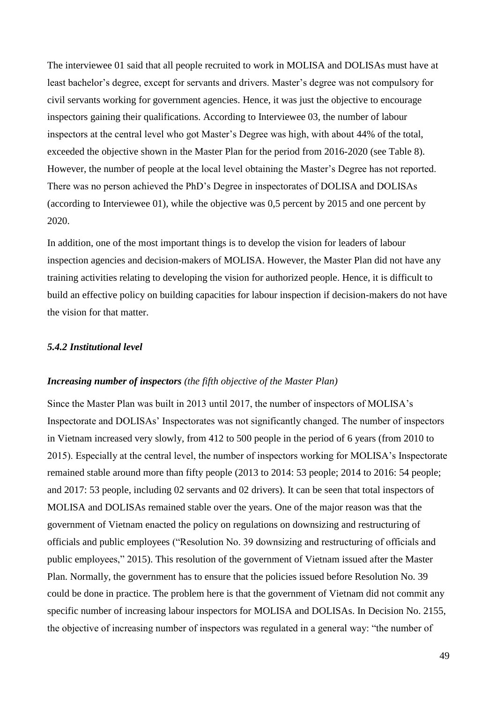The interviewee 01 said that all people recruited to work in MOLISA and DOLISAs must have at least bachelor's degree, except for servants and drivers. Master's degree was not compulsory for civil servants working for government agencies. Hence, it was just the objective to encourage inspectors gaining their qualifications. According to Interviewee 03, the number of labour inspectors at the central level who got Master's Degree was high, with about 44% of the total, exceeded the objective shown in the Master Plan for the period from 2016-2020 (see Table 8). However, the number of people at the local level obtaining the Master's Degree has not reported. There was no person achieved the PhD's Degree in inspectorates of DOLISA and DOLISAs (according to Interviewee 01), while the objective was 0,5 percent by 2015 and one percent by 2020.

In addition, one of the most important things is to develop the vision for leaders of labour inspection agencies and decision-makers of MOLISA. However, the Master Plan did not have any training activities relating to developing the vision for authorized people. Hence, it is difficult to build an effective policy on building capacities for labour inspection if decision-makers do not have the vision for that matter.

#### *5.4.2 Institutional level*

#### *Increasing number of inspectors (the fifth objective of the Master Plan)*

Since the Master Plan was built in 2013 until 2017, the number of inspectors of MOLISA's Inspectorate and DOLISAs' Inspectorates was not significantly changed. The number of inspectors in Vietnam increased very slowly, from 412 to 500 people in the period of 6 years (from 2010 to 2015). Especially at the central level, the number of inspectors working for MOLISA's Inspectorate remained stable around more than fifty people (2013 to 2014: 53 people; 2014 to 2016: 54 people; and 2017: 53 people, including 02 servants and 02 drivers). It can be seen that total inspectors of MOLISA and DOLISAs remained stable over the years. One of the major reason was that the government of Vietnam enacted the policy on regulations on downsizing and restructuring of officials and public employees ("Resolution No. 39 downsizing and restructuring of officials and public employees," 2015). This resolution of the government of Vietnam issued after the Master Plan. Normally, the government has to ensure that the policies issued before Resolution No. 39 could be done in practice. The problem here is that the government of Vietnam did not commit any specific number of increasing labour inspectors for MOLISA and DOLISAs. In Decision No. 2155, the objective of increasing number of inspectors was regulated in a general way: "the number of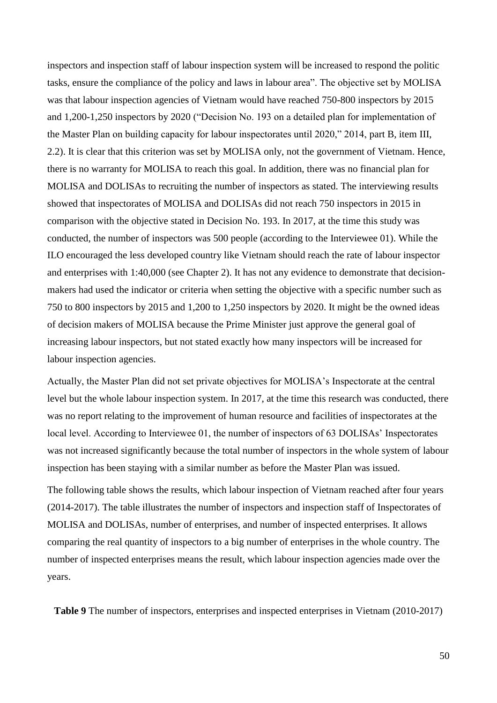inspectors and inspection staff of labour inspection system will be increased to respond the politic tasks, ensure the compliance of the policy and laws in labour area". The objective set by MOLISA was that labour inspection agencies of Vietnam would have reached 750-800 inspectors by 2015 and 1,200-1,250 inspectors by 2020 ("Decision No. 193 on a detailed plan for implementation of the Master Plan on building capacity for labour inspectorates until 2020," 2014, part B, item III, 2.2). It is clear that this criterion was set by MOLISA only, not the government of Vietnam. Hence, there is no warranty for MOLISA to reach this goal. In addition, there was no financial plan for MOLISA and DOLISAs to recruiting the number of inspectors as stated. The interviewing results showed that inspectorates of MOLISA and DOLISAs did not reach 750 inspectors in 2015 in comparison with the objective stated in Decision No. 193. In 2017, at the time this study was conducted, the number of inspectors was 500 people (according to the Interviewee 01). While the ILO encouraged the less developed country like Vietnam should reach the rate of labour inspector and enterprises with 1:40,000 (see Chapter 2). It has not any evidence to demonstrate that decisionmakers had used the indicator or criteria when setting the objective with a specific number such as 750 to 800 inspectors by 2015 and 1,200 to 1,250 inspectors by 2020. It might be the owned ideas of decision makers of MOLISA because the Prime Minister just approve the general goal of increasing labour inspectors, but not stated exactly how many inspectors will be increased for labour inspection agencies.

Actually, the Master Plan did not set private objectives for MOLISA's Inspectorate at the central level but the whole labour inspection system. In 2017, at the time this research was conducted, there was no report relating to the improvement of human resource and facilities of inspectorates at the local level. According to Interviewee 01, the number of inspectors of 63 DOLISAs' Inspectorates was not increased significantly because the total number of inspectors in the whole system of labour inspection has been staying with a similar number as before the Master Plan was issued.

The following table shows the results, which labour inspection of Vietnam reached after four years (2014-2017). The table illustrates the number of inspectors and inspection staff of Inspectorates of MOLISA and DOLISAs, number of enterprises, and number of inspected enterprises. It allows comparing the real quantity of inspectors to a big number of enterprises in the whole country. The number of inspected enterprises means the result, which labour inspection agencies made over the years.

**Table 9** The number of inspectors, enterprises and inspected enterprises in Vietnam (2010-2017)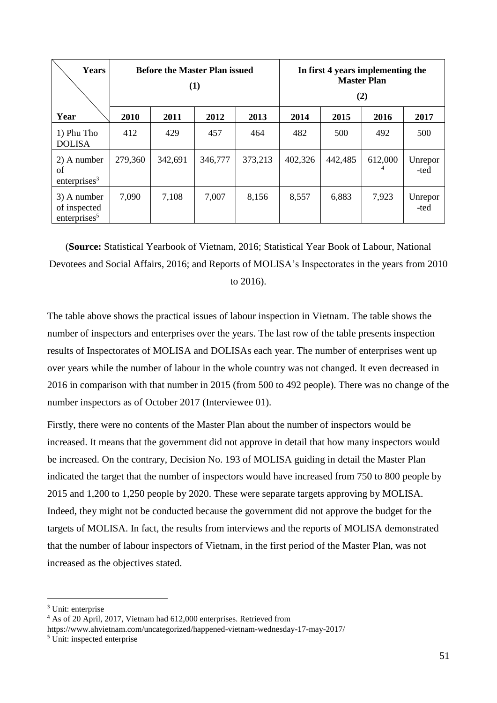| <b>Years</b>                                            | <b>Before the Master Plan issued</b><br>(1) |         |         |         |         |         | In first 4 years implementing the<br><b>Master Plan</b><br>(2) |                 |
|---------------------------------------------------------|---------------------------------------------|---------|---------|---------|---------|---------|----------------------------------------------------------------|-----------------|
| Year                                                    | 2010                                        | 2011    | 2012    | 2013    | 2014    | 2015    | 2016                                                           | 2017            |
| 1) Phu Tho<br><b>DOLISA</b>                             | 412                                         | 429     | 457     | 464     | 482     | 500     | 492                                                            | 500             |
| 2) A number<br>of<br>enterprises <sup>3</sup>           | 279,360                                     | 342,691 | 346,777 | 373,213 | 402,326 | 442,485 | 612,000                                                        | Unrepor<br>-ted |
| 3) A number<br>of inspected<br>enterprises <sup>5</sup> | 7,090                                       | 7,108   | 7,007   | 8,156   | 8,557   | 6,883   | 7,923                                                          | Unrepor<br>-ted |

(**Source:** Statistical Yearbook of Vietnam, 2016; Statistical Year Book of Labour, National Devotees and Social Affairs, 2016; and Reports of MOLISA's Inspectorates in the years from 2010 to 2016).

The table above shows the practical issues of labour inspection in Vietnam. The table shows the number of inspectors and enterprises over the years. The last row of the table presents inspection results of Inspectorates of MOLISA and DOLISAs each year. The number of enterprises went up over years while the number of labour in the whole country was not changed. It even decreased in 2016 in comparison with that number in 2015 (from 500 to 492 people). There was no change of the number inspectors as of October 2017 (Interviewee 01).

Firstly, there were no contents of the Master Plan about the number of inspectors would be increased. It means that the government did not approve in detail that how many inspectors would be increased. On the contrary, Decision No. 193 of MOLISA guiding in detail the Master Plan indicated the target that the number of inspectors would have increased from 750 to 800 people by 2015 and 1,200 to 1,250 people by 2020. These were separate targets approving by MOLISA. Indeed, they might not be conducted because the government did not approve the budget for the targets of MOLISA. In fact, the results from interviews and the reports of MOLISA demonstrated that the number of labour inspectors of Vietnam, in the first period of the Master Plan, was not increased as the objectives stated.

-

<sup>&</sup>lt;sup>3</sup> Unit: enterprise

<sup>4</sup> As of 20 April, 2017, Vietnam had 612,000 enterprises. Retrieved from

https://www.ahvietnam.com/uncategorized/happened-vietnam-wednesday-17-may-2017/

<sup>5</sup> Unit: inspected enterprise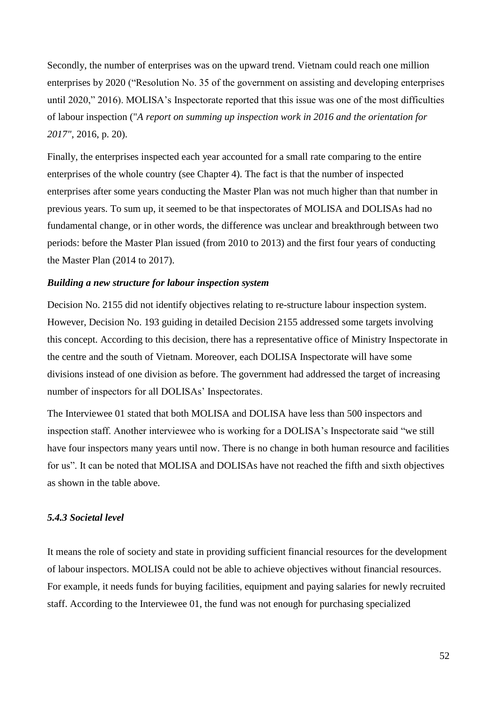Secondly, the number of enterprises was on the upward trend. Vietnam could reach one million enterprises by 2020 ("Resolution No. 35 of the government on assisting and developing enterprises until 2020," 2016). MOLISA's Inspectorate reported that this issue was one of the most difficulties of labour inspection ("*A report on summing up inspection work in 2016 and the orientation for 2017"*, 2016, p. 20).

Finally, the enterprises inspected each year accounted for a small rate comparing to the entire enterprises of the whole country (see Chapter 4). The fact is that the number of inspected enterprises after some years conducting the Master Plan was not much higher than that number in previous years. To sum up, it seemed to be that inspectorates of MOLISA and DOLISAs had no fundamental change, or in other words, the difference was unclear and breakthrough between two periods: before the Master Plan issued (from 2010 to 2013) and the first four years of conducting the Master Plan (2014 to 2017).

#### *Building a new structure for labour inspection system*

Decision No. 2155 did not identify objectives relating to re-structure labour inspection system. However, Decision No. 193 guiding in detailed Decision 2155 addressed some targets involving this concept. According to this decision, there has a representative office of Ministry Inspectorate in the centre and the south of Vietnam. Moreover, each DOLISA Inspectorate will have some divisions instead of one division as before. The government had addressed the target of increasing number of inspectors for all DOLISAs' Inspectorates.

The Interviewee 01 stated that both MOLISA and DOLISA have less than 500 inspectors and inspection staff. Another interviewee who is working for a DOLISA's Inspectorate said "we still have four inspectors many years until now. There is no change in both human resource and facilities for us". It can be noted that MOLISA and DOLISAs have not reached the fifth and sixth objectives as shown in the table above.

### *5.4.3 Societal level*

It means the role of society and state in providing sufficient financial resources for the development of labour inspectors. MOLISA could not be able to achieve objectives without financial resources. For example, it needs funds for buying facilities, equipment and paying salaries for newly recruited staff. According to the Interviewee 01, the fund was not enough for purchasing specialized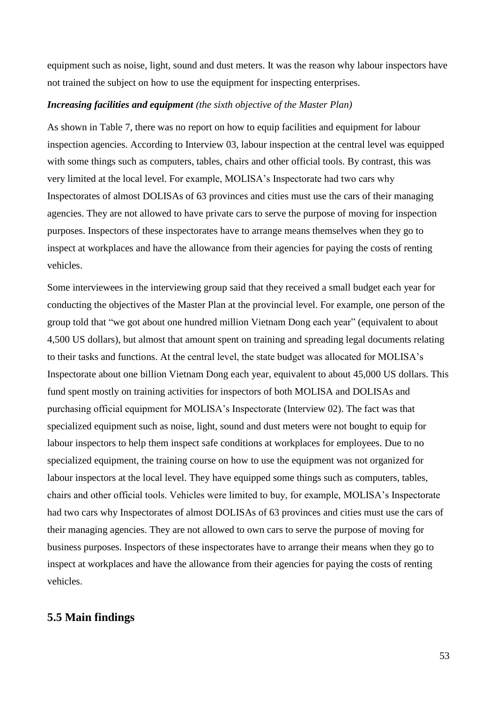equipment such as noise, light, sound and dust meters. It was the reason why labour inspectors have not trained the subject on how to use the equipment for inspecting enterprises.

### *Increasing facilities and equipment (the sixth objective of the Master Plan)*

As shown in Table 7, there was no report on how to equip facilities and equipment for labour inspection agencies. According to Interview 03, labour inspection at the central level was equipped with some things such as computers, tables, chairs and other official tools. By contrast, this was very limited at the local level. For example, MOLISA's Inspectorate had two cars why Inspectorates of almost DOLISAs of 63 provinces and cities must use the cars of their managing agencies. They are not allowed to have private cars to serve the purpose of moving for inspection purposes. Inspectors of these inspectorates have to arrange means themselves when they go to inspect at workplaces and have the allowance from their agencies for paying the costs of renting vehicles.

Some interviewees in the interviewing group said that they received a small budget each year for conducting the objectives of the Master Plan at the provincial level. For example, one person of the group told that "we got about one hundred million Vietnam Dong each year" (equivalent to about 4,500 US dollars), but almost that amount spent on training and spreading legal documents relating to their tasks and functions. At the central level, the state budget was allocated for MOLISA's Inspectorate about one billion Vietnam Dong each year, equivalent to about 45,000 US dollars. This fund spent mostly on training activities for inspectors of both MOLISA and DOLISAs and purchasing official equipment for MOLISA's Inspectorate (Interview 02). The fact was that specialized equipment such as noise, light, sound and dust meters were not bought to equip for labour inspectors to help them inspect safe conditions at workplaces for employees. Due to no specialized equipment, the training course on how to use the equipment was not organized for labour inspectors at the local level. They have equipped some things such as computers, tables, chairs and other official tools. Vehicles were limited to buy, for example, MOLISA's Inspectorate had two cars why Inspectorates of almost DOLISAs of 63 provinces and cities must use the cars of their managing agencies. They are not allowed to own cars to serve the purpose of moving for business purposes. Inspectors of these inspectorates have to arrange their means when they go to inspect at workplaces and have the allowance from their agencies for paying the costs of renting vehicles.

# **5.5 Main findings**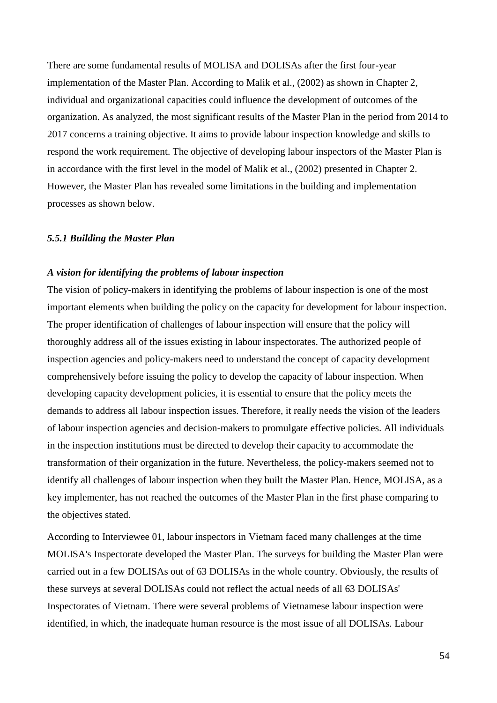There are some fundamental results of MOLISA and DOLISAs after the first four-year implementation of the Master Plan. According to Malik et al., (2002) as shown in Chapter 2, individual and organizational capacities could influence the development of outcomes of the organization. As analyzed, the most significant results of the Master Plan in the period from 2014 to 2017 concerns a training objective. It aims to provide labour inspection knowledge and skills to respond the work requirement. The objective of developing labour inspectors of the Master Plan is in accordance with the first level in the model of Malik et al., (2002) presented in Chapter 2. However, the Master Plan has revealed some limitations in the building and implementation processes as shown below.

#### *5.5.1 Building the Master Plan*

### *A vision for identifying the problems of labour inspection*

The vision of policy-makers in identifying the problems of labour inspection is one of the most important elements when building the policy on the capacity for development for labour inspection. The proper identification of challenges of labour inspection will ensure that the policy will thoroughly address all of the issues existing in labour inspectorates. The authorized people of inspection agencies and policy-makers need to understand the concept of capacity development comprehensively before issuing the policy to develop the capacity of labour inspection. When developing capacity development policies, it is essential to ensure that the policy meets the demands to address all labour inspection issues. Therefore, it really needs the vision of the leaders of labour inspection agencies and decision-makers to promulgate effective policies. All individuals in the inspection institutions must be directed to develop their capacity to accommodate the transformation of their organization in the future. Nevertheless, the policy-makers seemed not to identify all challenges of labour inspection when they built the Master Plan. Hence, MOLISA, as a key implementer, has not reached the outcomes of the Master Plan in the first phase comparing to the objectives stated.

According to Interviewee 01, labour inspectors in Vietnam faced many challenges at the time MOLISA's Inspectorate developed the Master Plan. The surveys for building the Master Plan were carried out in a few DOLISAs out of 63 DOLISAs in the whole country. Obviously, the results of these surveys at several DOLISAs could not reflect the actual needs of all 63 DOLISAs' Inspectorates of Vietnam. There were several problems of Vietnamese labour inspection were identified, in which, the inadequate human resource is the most issue of all DOLISAs. Labour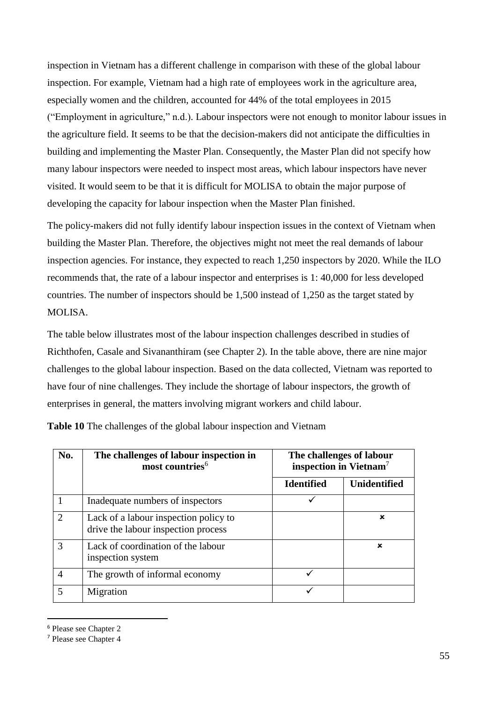inspection in Vietnam has a different challenge in comparison with these of the global labour inspection. For example, Vietnam had a high rate of employees work in the agriculture area, especially women and the children, accounted for 44% of the total employees in 2015 ("Employment in agriculture," n.d.). Labour inspectors were not enough to monitor labour issues in the agriculture field. It seems to be that the decision-makers did not anticipate the difficulties in building and implementing the Master Plan. Consequently, the Master Plan did not specify how many labour inspectors were needed to inspect most areas, which labour inspectors have never visited. It would seem to be that it is difficult for MOLISA to obtain the major purpose of developing the capacity for labour inspection when the Master Plan finished.

The policy-makers did not fully identify labour inspection issues in the context of Vietnam when building the Master Plan. Therefore, the objectives might not meet the real demands of labour inspection agencies. For instance, they expected to reach 1,250 inspectors by 2020. While the ILO recommends that, the rate of a labour inspector and enterprises is 1: 40,000 for less developed countries. The number of inspectors should be 1,500 instead of 1,250 as the target stated by MOLISA.

The table below illustrates most of the labour inspection challenges described in studies of Richthofen, Casale and Sivananthiram (see Chapter 2). In the table above, there are nine major challenges to the global labour inspection. Based on the data collected, Vietnam was reported to have four of nine challenges. They include the shortage of labour inspectors, the growth of enterprises in general, the matters involving migrant workers and child labour.

| No.                         | The challenges of labour inspection in<br>most countries <sup>6</sup>        | The challenges of labour<br>inspection in Vietnam <sup>7</sup> |                     |
|-----------------------------|------------------------------------------------------------------------------|----------------------------------------------------------------|---------------------|
|                             |                                                                              | <b>Identified</b>                                              | <b>Unidentified</b> |
|                             | Inadequate numbers of inspectors                                             |                                                                |                     |
| $\mathcal{D}_{\mathcal{L}}$ | Lack of a labour inspection policy to<br>drive the labour inspection process |                                                                | ×                   |
| $\mathcal{R}$               | Lack of coordination of the labour<br>inspection system                      |                                                                | $\mathbf x$         |
| $\overline{A}$              | The growth of informal economy                                               |                                                                |                     |
|                             | Migration                                                                    |                                                                |                     |

**Table 10** The challenges of the global labour inspection and Vietnam

-

<sup>6</sup> Please see Chapter 2

<sup>7</sup> Please see Chapter 4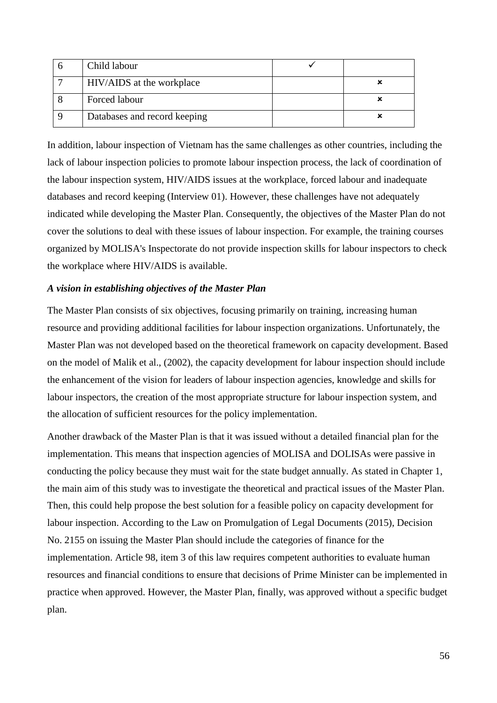| Child labour                 |  |
|------------------------------|--|
| HIV/AIDS at the workplace    |  |
| Forced labour                |  |
| Databases and record keeping |  |

In addition, labour inspection of Vietnam has the same challenges as other countries, including the lack of labour inspection policies to promote labour inspection process, the lack of coordination of the labour inspection system, HIV/AIDS issues at the workplace, forced labour and inadequate databases and record keeping (Interview 01). However, these challenges have not adequately indicated while developing the Master Plan. Consequently, the objectives of the Master Plan do not cover the solutions to deal with these issues of labour inspection. For example, the training courses organized by MOLISA's Inspectorate do not provide inspection skills for labour inspectors to check the workplace where HIV/AIDS is available.

### *A vision in establishing objectives of the Master Plan*

The Master Plan consists of six objectives, focusing primarily on training, increasing human resource and providing additional facilities for labour inspection organizations. Unfortunately, the Master Plan was not developed based on the theoretical framework on capacity development. Based on the model of Malik et al., (2002), the capacity development for labour inspection should include the enhancement of the vision for leaders of labour inspection agencies, knowledge and skills for labour inspectors, the creation of the most appropriate structure for labour inspection system, and the allocation of sufficient resources for the policy implementation.

Another drawback of the Master Plan is that it was issued without a detailed financial plan for the implementation. This means that inspection agencies of MOLISA and DOLISAs were passive in conducting the policy because they must wait for the state budget annually. As stated in Chapter 1, the main aim of this study was to investigate the theoretical and practical issues of the Master Plan. Then, this could help propose the best solution for a feasible policy on capacity development for labour inspection. According to the Law on Promulgation of Legal Documents (2015), Decision No. 2155 on issuing the Master Plan should include the categories of finance for the implementation. Article 98, item 3 of this law requires competent authorities to evaluate human resources and financial conditions to ensure that decisions of Prime Minister can be implemented in practice when approved. However, the Master Plan, finally, was approved without a specific budget plan.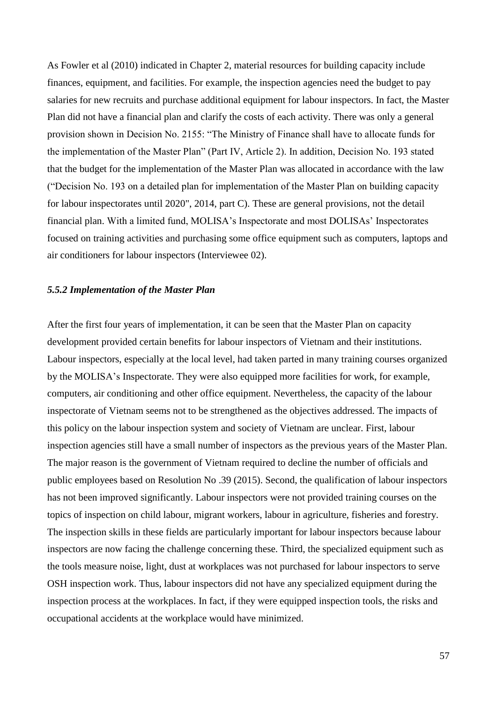As Fowler et al (2010) indicated in Chapter 2, material resources for building capacity include finances, equipment, and facilities. For example, the inspection agencies need the budget to pay salaries for new recruits and purchase additional equipment for labour inspectors. In fact, the Master Plan did not have a financial plan and clarify the costs of each activity. There was only a general provision shown in Decision No. 2155: "The Ministry of Finance shall have to allocate funds for the implementation of the Master Plan" (Part IV, Article 2). In addition, Decision No. 193 stated that the budget for the implementation of the Master Plan was allocated in accordance with the law ("Decision No. 193 on a detailed plan for implementation of the Master Plan on building capacity for labour inspectorates until 2020", 2014, part C). These are general provisions, not the detail financial plan. With a limited fund, MOLISA's Inspectorate and most DOLISAs' Inspectorates focused on training activities and purchasing some office equipment such as computers, laptops and air conditioners for labour inspectors (Interviewee 02).

#### *5.5.2 Implementation of the Master Plan*

After the first four years of implementation, it can be seen that the Master Plan on capacity development provided certain benefits for labour inspectors of Vietnam and their institutions. Labour inspectors, especially at the local level, had taken parted in many training courses organized by the MOLISA's Inspectorate. They were also equipped more facilities for work, for example, computers, air conditioning and other office equipment. Nevertheless, the capacity of the labour inspectorate of Vietnam seems not to be strengthened as the objectives addressed. The impacts of this policy on the labour inspection system and society of Vietnam are unclear. First, labour inspection agencies still have a small number of inspectors as the previous years of the Master Plan. The major reason is the government of Vietnam required to decline the number of officials and public employees based on Resolution No .39 (2015). Second, the qualification of labour inspectors has not been improved significantly. Labour inspectors were not provided training courses on the topics of inspection on child labour, migrant workers, labour in agriculture, fisheries and forestry. The inspection skills in these fields are particularly important for labour inspectors because labour inspectors are now facing the challenge concerning these. Third, the specialized equipment such as the tools measure noise, light, dust at workplaces was not purchased for labour inspectors to serve OSH inspection work. Thus, labour inspectors did not have any specialized equipment during the inspection process at the workplaces. In fact, if they were equipped inspection tools, the risks and occupational accidents at the workplace would have minimized.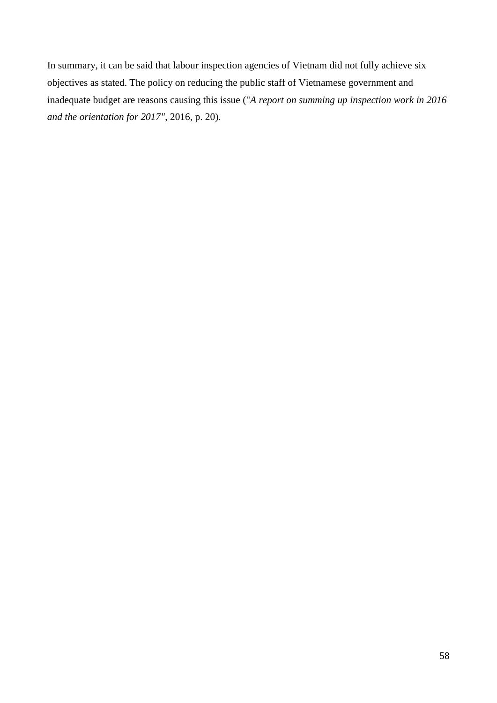In summary, it can be said that labour inspection agencies of Vietnam did not fully achieve six objectives as stated. The policy on reducing the public staff of Vietnamese government and inadequate budget are reasons causing this issue ("*A report on summing up inspection work in 2016 and the orientation for 2017"*, 2016, p. 20).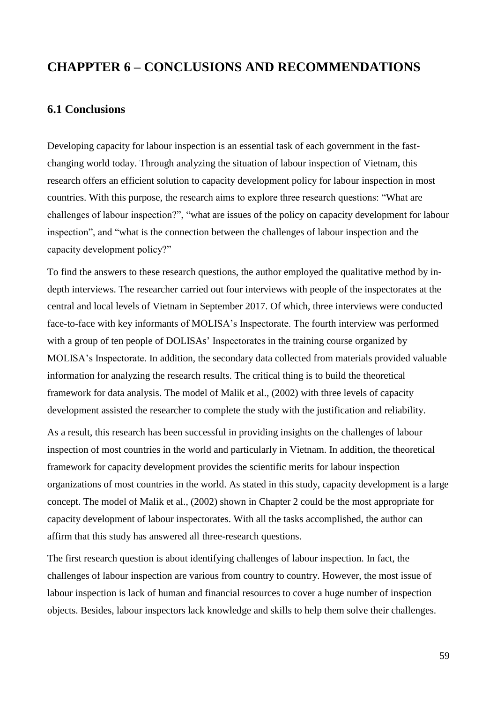# **CHAPPTER 6 – CONCLUSIONS AND RECOMMENDATIONS**

# **6.1 Conclusions**

Developing capacity for labour inspection is an essential task of each government in the fastchanging world today. Through analyzing the situation of labour inspection of Vietnam, this research offers an efficient solution to capacity development policy for labour inspection in most countries. With this purpose, the research aims to explore three research questions: "What are challenges of labour inspection?", "what are issues of the policy on capacity development for labour inspection", and "what is the connection between the challenges of labour inspection and the capacity development policy?"

To find the answers to these research questions, the author employed the qualitative method by indepth interviews. The researcher carried out four interviews with people of the inspectorates at the central and local levels of Vietnam in September 2017. Of which, three interviews were conducted face-to-face with key informants of MOLISA's Inspectorate. The fourth interview was performed with a group of ten people of DOLISAs' Inspectorates in the training course organized by MOLISA's Inspectorate. In addition, the secondary data collected from materials provided valuable information for analyzing the research results. The critical thing is to build the theoretical framework for data analysis. The model of Malik et al., (2002) with three levels of capacity development assisted the researcher to complete the study with the justification and reliability.

As a result, this research has been successful in providing insights on the challenges of labour inspection of most countries in the world and particularly in Vietnam. In addition, the theoretical framework for capacity development provides the scientific merits for labour inspection organizations of most countries in the world. As stated in this study, capacity development is a large concept. The model of Malik et al., (2002) shown in Chapter 2 could be the most appropriate for capacity development of labour inspectorates. With all the tasks accomplished, the author can affirm that this study has answered all three-research questions.

The first research question is about identifying challenges of labour inspection. In fact, the challenges of labour inspection are various from country to country. However, the most issue of labour inspection is lack of human and financial resources to cover a huge number of inspection objects. Besides, labour inspectors lack knowledge and skills to help them solve their challenges.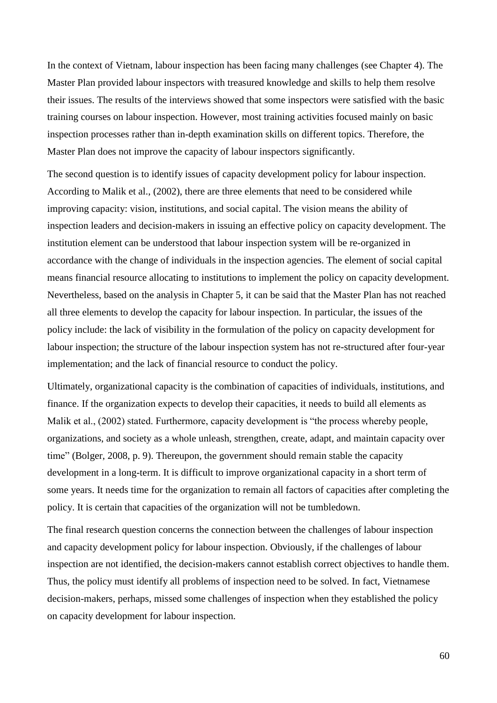In the context of Vietnam, labour inspection has been facing many challenges (see Chapter 4). The Master Plan provided labour inspectors with treasured knowledge and skills to help them resolve their issues. The results of the interviews showed that some inspectors were satisfied with the basic training courses on labour inspection. However, most training activities focused mainly on basic inspection processes rather than in-depth examination skills on different topics. Therefore, the Master Plan does not improve the capacity of labour inspectors significantly.

The second question is to identify issues of capacity development policy for labour inspection. According to Malik et al., (2002), there are three elements that need to be considered while improving capacity: vision, institutions, and social capital. The vision means the ability of inspection leaders and decision-makers in issuing an effective policy on capacity development. The institution element can be understood that labour inspection system will be re-organized in accordance with the change of individuals in the inspection agencies. The element of social capital means financial resource allocating to institutions to implement the policy on capacity development. Nevertheless, based on the analysis in Chapter 5, it can be said that the Master Plan has not reached all three elements to develop the capacity for labour inspection. In particular, the issues of the policy include: the lack of visibility in the formulation of the policy on capacity development for labour inspection; the structure of the labour inspection system has not re-structured after four-year implementation; and the lack of financial resource to conduct the policy.

Ultimately, organizational capacity is the combination of capacities of individuals, institutions, and finance. If the organization expects to develop their capacities, it needs to build all elements as Malik et al., (2002) stated. Furthermore, capacity development is "the process whereby people, organizations, and society as a whole unleash, strengthen, create, adapt, and maintain capacity over time" (Bolger, 2008, p. 9). Thereupon, the government should remain stable the capacity development in a long-term. It is difficult to improve organizational capacity in a short term of some years. It needs time for the organization to remain all factors of capacities after completing the policy. It is certain that capacities of the organization will not be tumbledown.

The final research question concerns the connection between the challenges of labour inspection and capacity development policy for labour inspection. Obviously, if the challenges of labour inspection are not identified, the decision-makers cannot establish correct objectives to handle them. Thus, the policy must identify all problems of inspection need to be solved. In fact, Vietnamese decision-makers, perhaps, missed some challenges of inspection when they established the policy on capacity development for labour inspection.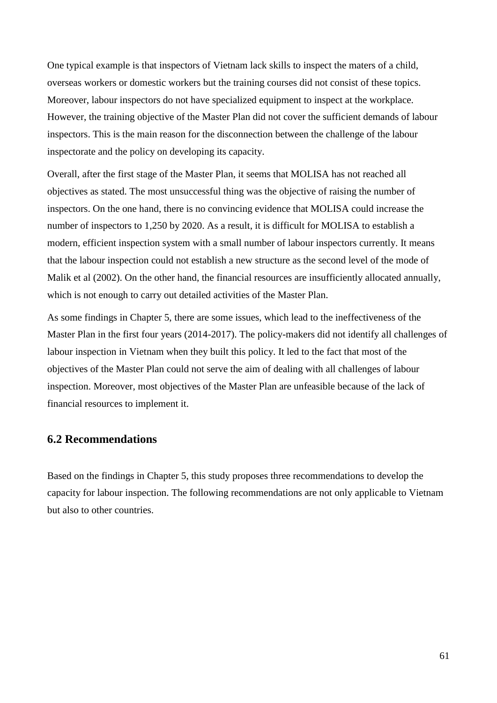One typical example is that inspectors of Vietnam lack skills to inspect the maters of a child, overseas workers or domestic workers but the training courses did not consist of these topics. Moreover, labour inspectors do not have specialized equipment to inspect at the workplace. However, the training objective of the Master Plan did not cover the sufficient demands of labour inspectors. This is the main reason for the disconnection between the challenge of the labour inspectorate and the policy on developing its capacity.

Overall, after the first stage of the Master Plan, it seems that MOLISA has not reached all objectives as stated. The most unsuccessful thing was the objective of raising the number of inspectors. On the one hand, there is no convincing evidence that MOLISA could increase the number of inspectors to 1,250 by 2020. As a result, it is difficult for MOLISA to establish a modern, efficient inspection system with a small number of labour inspectors currently. It means that the labour inspection could not establish a new structure as the second level of the mode of Malik et al (2002). On the other hand, the financial resources are insufficiently allocated annually, which is not enough to carry out detailed activities of the Master Plan.

As some findings in Chapter 5, there are some issues, which lead to the ineffectiveness of the Master Plan in the first four years (2014-2017). The policy-makers did not identify all challenges of labour inspection in Vietnam when they built this policy. It led to the fact that most of the objectives of the Master Plan could not serve the aim of dealing with all challenges of labour inspection. Moreover, most objectives of the Master Plan are unfeasible because of the lack of financial resources to implement it.

# **6.2 Recommendations**

Based on the findings in Chapter 5, this study proposes three recommendations to develop the capacity for labour inspection. The following recommendations are not only applicable to Vietnam but also to other countries.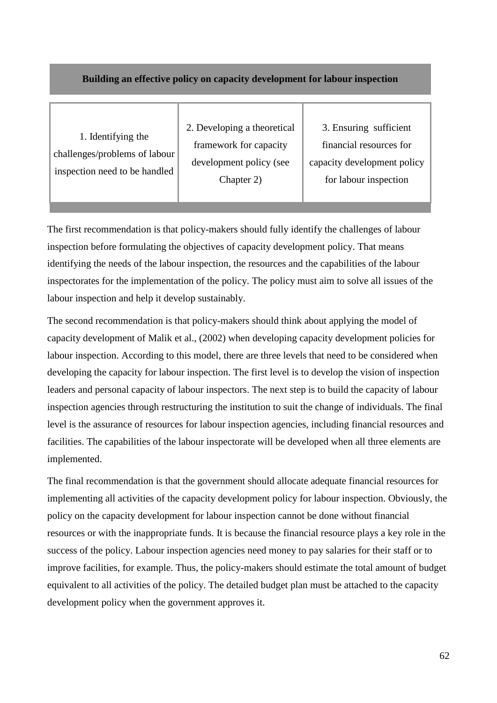## **Building an effective policy on capacity development for labour inspection**

1. Identifying the challenges/problems of labour inspection need to be handled 2. Developing a theoretical framework for capacity development policy (see Chapter 2)

3. Ensuring sufficient financial resources for capacity development policy for labour inspection

The first recommendation is that policy-makers should fully identify the challenges of labour inspection before formulating the objectives of capacity development policy. That means identifying the needs of the labour inspection, the resources and the capabilities of the labour inspectorates for the implementation of the policy. The policy must aim to solve all issues of the labour inspection and help it develop sustainably.

The second recommendation is that policy-makers should think about applying the model of capacity development of Malik et al., (2002) when developing capacity development policies for labour inspection. According to this model, there are three levels that need to be considered when developing the capacity for labour inspection. The first level is to develop the vision of inspection leaders and personal capacity of labour inspectors. The next step is to build the capacity of labour inspection agencies through restructuring the institution to suit the change of individuals. The final level is the assurance of resources for labour inspection agencies, including financial resources and facilities. The capabilities of the labour inspectorate will be developed when all three elements are implemented.

The final recommendation is that the government should allocate adequate financial resources for implementing all activities of the capacity development policy for labour inspection. Obviously, the policy on the capacity development for labour inspection cannot be done without financial resources or with the inappropriate funds. It is because the financial resource plays a key role in the success of the policy. Labour inspection agencies need money to pay salaries for their staff or to improve facilities, for example. Thus, the policy-makers should estimate the total amount of budget equivalent to all activities of the policy. The detailed budget plan must be attached to the capacity development policy when the government approves it.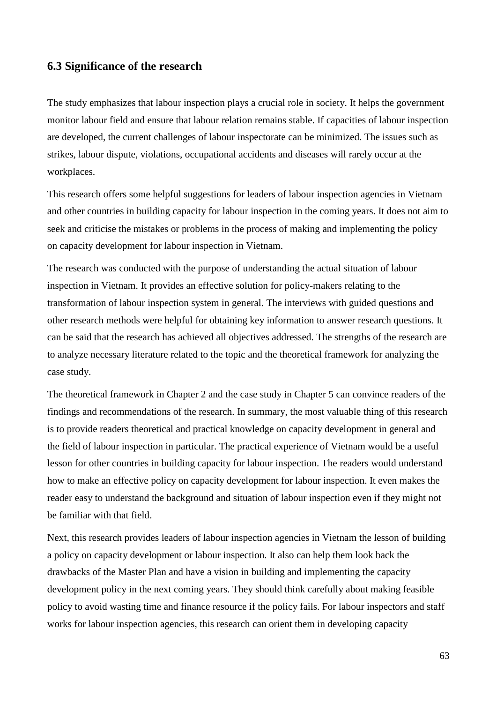### **6.3 Significance of the research**

The study emphasizes that labour inspection plays a crucial role in society. It helps the government monitor labour field and ensure that labour relation remains stable. If capacities of labour inspection are developed, the current challenges of labour inspectorate can be minimized. The issues such as strikes, labour dispute, violations, occupational accidents and diseases will rarely occur at the workplaces.

This research offers some helpful suggestions for leaders of labour inspection agencies in Vietnam and other countries in building capacity for labour inspection in the coming years. It does not aim to seek and criticise the mistakes or problems in the process of making and implementing the policy on capacity development for labour inspection in Vietnam.

The research was conducted with the purpose of understanding the actual situation of labour inspection in Vietnam. It provides an effective solution for policy-makers relating to the transformation of labour inspection system in general. The interviews with guided questions and other research methods were helpful for obtaining key information to answer research questions. It can be said that the research has achieved all objectives addressed. The strengths of the research are to analyze necessary literature related to the topic and the theoretical framework for analyzing the case study.

The theoretical framework in Chapter 2 and the case study in Chapter 5 can convince readers of the findings and recommendations of the research. In summary, the most valuable thing of this research is to provide readers theoretical and practical knowledge on capacity development in general and the field of labour inspection in particular. The practical experience of Vietnam would be a useful lesson for other countries in building capacity for labour inspection. The readers would understand how to make an effective policy on capacity development for labour inspection. It even makes the reader easy to understand the background and situation of labour inspection even if they might not be familiar with that field.

Next, this research provides leaders of labour inspection agencies in Vietnam the lesson of building a policy on capacity development or labour inspection. It also can help them look back the drawbacks of the Master Plan and have a vision in building and implementing the capacity development policy in the next coming years. They should think carefully about making feasible policy to avoid wasting time and finance resource if the policy fails. For labour inspectors and staff works for labour inspection agencies, this research can orient them in developing capacity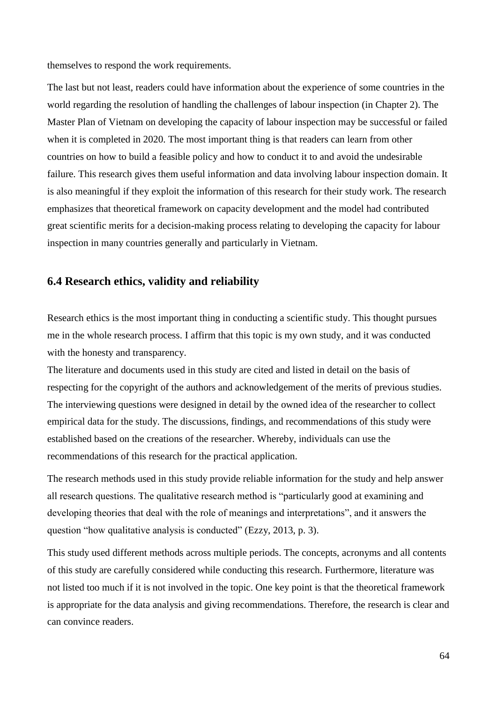themselves to respond the work requirements.

The last but not least, readers could have information about the experience of some countries in the world regarding the resolution of handling the challenges of labour inspection (in Chapter 2). The Master Plan of Vietnam on developing the capacity of labour inspection may be successful or failed when it is completed in 2020. The most important thing is that readers can learn from other countries on how to build a feasible policy and how to conduct it to and avoid the undesirable failure. This research gives them useful information and data involving labour inspection domain. It is also meaningful if they exploit the information of this research for their study work. The research emphasizes that theoretical framework on capacity development and the model had contributed great scientific merits for a decision-making process relating to developing the capacity for labour inspection in many countries generally and particularly in Vietnam.

# **6.4 Research ethics, validity and reliability**

Research ethics is the most important thing in conducting a scientific study. This thought pursues me in the whole research process. I affirm that this topic is my own study, and it was conducted with the honesty and transparency.

The literature and documents used in this study are cited and listed in detail on the basis of respecting for the copyright of the authors and acknowledgement of the merits of previous studies. The interviewing questions were designed in detail by the owned idea of the researcher to collect empirical data for the study. The discussions, findings, and recommendations of this study were established based on the creations of the researcher. Whereby, individuals can use the recommendations of this research for the practical application.

The research methods used in this study provide reliable information for the study and help answer all research questions. The qualitative research method is "particularly good at examining and developing theories that deal with the role of meanings and interpretations", and it answers the question "how qualitative analysis is conducted" (Ezzy, 2013, p. 3).

This study used different methods across multiple periods. The concepts, acronyms and all contents of this study are carefully considered while conducting this research. Furthermore, literature was not listed too much if it is not involved in the topic. One key point is that the theoretical framework is appropriate for the data analysis and giving recommendations. Therefore, the research is clear and can convince readers.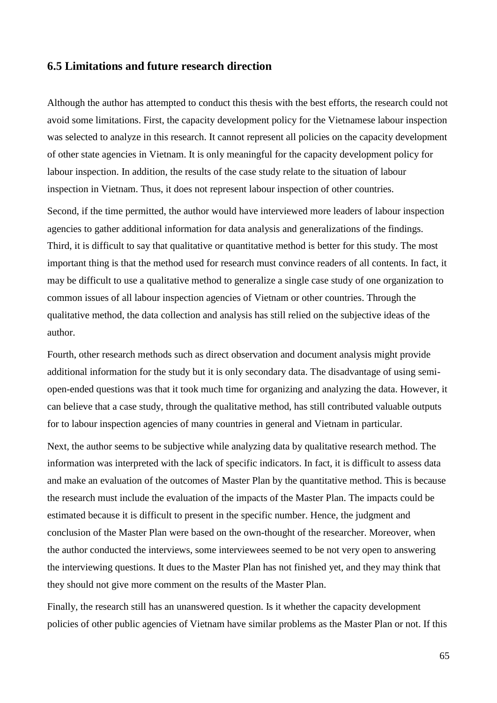### **6.5 Limitations and future research direction**

Although the author has attempted to conduct this thesis with the best efforts, the research could not avoid some limitations. First, the capacity development policy for the Vietnamese labour inspection was selected to analyze in this research. It cannot represent all policies on the capacity development of other state agencies in Vietnam. It is only meaningful for the capacity development policy for labour inspection. In addition, the results of the case study relate to the situation of labour inspection in Vietnam. Thus, it does not represent labour inspection of other countries.

Second, if the time permitted, the author would have interviewed more leaders of labour inspection agencies to gather additional information for data analysis and generalizations of the findings. Third, it is difficult to say that qualitative or quantitative method is better for this study. The most important thing is that the method used for research must convince readers of all contents. In fact, it may be difficult to use a qualitative method to generalize a single case study of one organization to common issues of all labour inspection agencies of Vietnam or other countries. Through the qualitative method, the data collection and analysis has still relied on the subjective ideas of the author.

Fourth, other research methods such as direct observation and document analysis might provide additional information for the study but it is only secondary data. The disadvantage of using semiopen-ended questions was that it took much time for organizing and analyzing the data. However, it can believe that a case study, through the qualitative method, has still contributed valuable outputs for to labour inspection agencies of many countries in general and Vietnam in particular.

Next, the author seems to be subjective while analyzing data by qualitative research method. The information was interpreted with the lack of specific indicators. In fact, it is difficult to assess data and make an evaluation of the outcomes of Master Plan by the quantitative method. This is because the research must include the evaluation of the impacts of the Master Plan. The impacts could be estimated because it is difficult to present in the specific number. Hence, the judgment and conclusion of the Master Plan were based on the own-thought of the researcher. Moreover, when the author conducted the interviews, some interviewees seemed to be not very open to answering the interviewing questions. It dues to the Master Plan has not finished yet, and they may think that they should not give more comment on the results of the Master Plan.

Finally, the research still has an unanswered question. Is it whether the capacity development policies of other public agencies of Vietnam have similar problems as the Master Plan or not. If this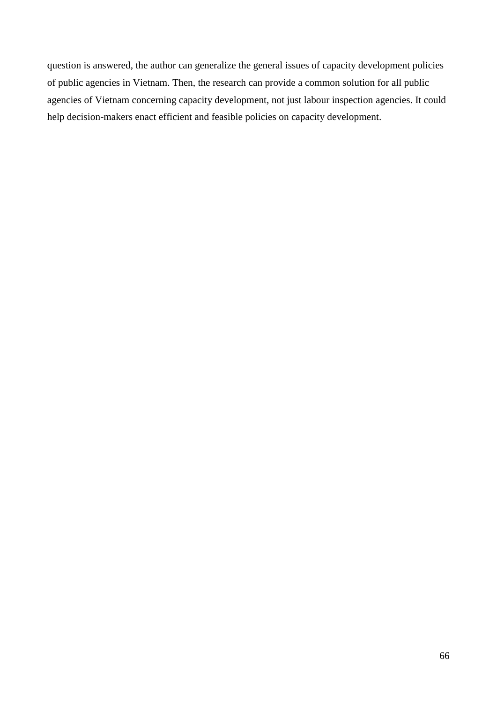question is answered, the author can generalize the general issues of capacity development policies of public agencies in Vietnam. Then, the research can provide a common solution for all public agencies of Vietnam concerning capacity development, not just labour inspection agencies. It could help decision-makers enact efficient and feasible policies on capacity development.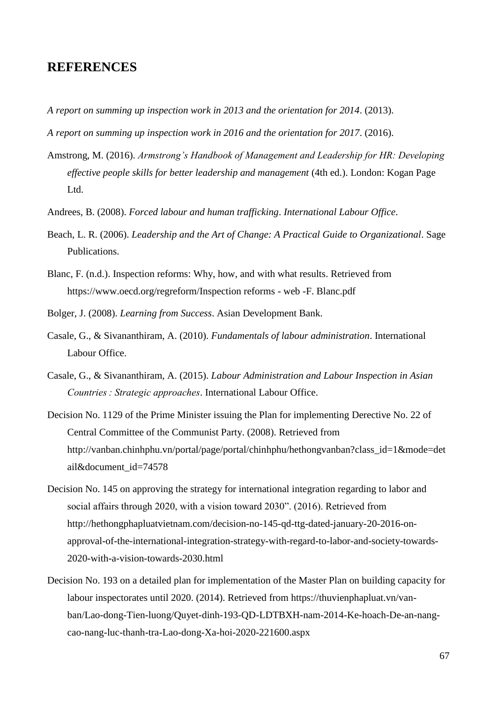### **REFERENCES**

- *A report on summing up inspection work in 2013 and the orientation for 2014*. (2013).
- *A report on summing up inspection work in 2016 and the orientation for 2017*. (2016).
- Amstrong, M. (2016). *Armstrong's Handbook of Management and Leadership for HR: Developing effective people skills for better leadership and management* (4th ed.). London: Kogan Page L<sub>td</sub>
- Andrees, B. (2008). *Forced labour and human trafficking*. *International Labour Office*.
- Beach, L. R. (2006). *Leadership and the Art of Change: A Practical Guide to Organizational*. Sage Publications.
- Blanc, F. (n.d.). Inspection reforms: Why, how, and with what results. Retrieved from https://www.oecd.org/regreform/Inspection reforms - web -F. Blanc.pdf
- Bolger, J. (2008). *Learning from Success*. Asian Development Bank.
- Casale, G., & Sivananthiram, A. (2010). *Fundamentals of labour administration*. International Labour Office.
- Casale, G., & Sivananthiram, A. (2015). *Labour Administration and Labour Inspection in Asian Countries : Strategic approaches*. International Labour Office.
- Decision No. 1129 of the Prime Minister issuing the Plan for implementing Derective No. 22 of Central Committee of the Communist Party. (2008). Retrieved from http://vanban.chinhphu.vn/portal/page/portal/chinhphu/hethongvanban?class\_id=1&mode=det ail&document\_id=74578
- Decision No. 145 on approving the strategy for international integration regarding to labor and social affairs through 2020, with a vision toward 2030". (2016). Retrieved from http://hethongphapluatvietnam.com/decision-no-145-qd-ttg-dated-january-20-2016-onapproval-of-the-international-integration-strategy-with-regard-to-labor-and-society-towards-2020-with-a-vision-towards-2030.html
- Decision No. 193 on a detailed plan for implementation of the Master Plan on building capacity for labour inspectorates until 2020. (2014). Retrieved from https://thuvienphapluat.vn/vanban/Lao-dong-Tien-luong/Quyet-dinh-193-QD-LDTBXH-nam-2014-Ke-hoach-De-an-nangcao-nang-luc-thanh-tra-Lao-dong-Xa-hoi-2020-221600.aspx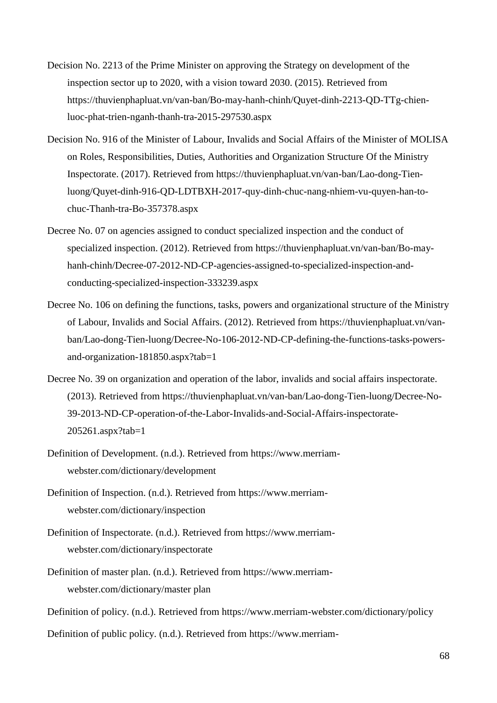- Decision No. 2213 of the Prime Minister on approving the Strategy on development of the inspection sector up to 2020, with a vision toward 2030. (2015). Retrieved from https://thuvienphapluat.vn/van-ban/Bo-may-hanh-chinh/Quyet-dinh-2213-QD-TTg-chienluoc-phat-trien-nganh-thanh-tra-2015-297530.aspx
- Decision No. 916 of the Minister of Labour, Invalids and Social Affairs of the Minister of MOLISA on Roles, Responsibilities, Duties, Authorities and Organization Structure Of the Ministry Inspectorate. (2017). Retrieved from https://thuvienphapluat.vn/van-ban/Lao-dong-Tienluong/Quyet-dinh-916-QD-LDTBXH-2017-quy-dinh-chuc-nang-nhiem-vu-quyen-han-tochuc-Thanh-tra-Bo-357378.aspx
- Decree No. 07 on agencies assigned to conduct specialized inspection and the conduct of specialized inspection. (2012). Retrieved from https://thuvienphapluat.vn/van-ban/Bo-mayhanh-chinh/Decree-07-2012-ND-CP-agencies-assigned-to-specialized-inspection-andconducting-specialized-inspection-333239.aspx
- Decree No. 106 on defining the functions, tasks, powers and organizational structure of the Ministry of Labour, Invalids and Social Affairs. (2012). Retrieved from https://thuvienphapluat.vn/vanban/Lao-dong-Tien-luong/Decree-No-106-2012-ND-CP-defining-the-functions-tasks-powersand-organization-181850.aspx?tab=1
- Decree No. 39 on organization and operation of the labor, invalids and social affairs inspectorate. (2013). Retrieved from https://thuvienphapluat.vn/van-ban/Lao-dong-Tien-luong/Decree-No-39-2013-ND-CP-operation-of-the-Labor-Invalids-and-Social-Affairs-inspectorate-205261.aspx?tab=1
- Definition of Development. (n.d.). Retrieved from https://www.merriamwebster.com/dictionary/development
- Definition of Inspection. (n.d.). Retrieved from https://www.merriamwebster.com/dictionary/inspection
- Definition of Inspectorate. (n.d.). Retrieved from https://www.merriamwebster.com/dictionary/inspectorate
- Definition of master plan. (n.d.). Retrieved from https://www.merriamwebster.com/dictionary/master plan
- Definition of policy. (n.d.). Retrieved from https://www.merriam-webster.com/dictionary/policy
- Definition of public policy. (n.d.). Retrieved from https://www.merriam-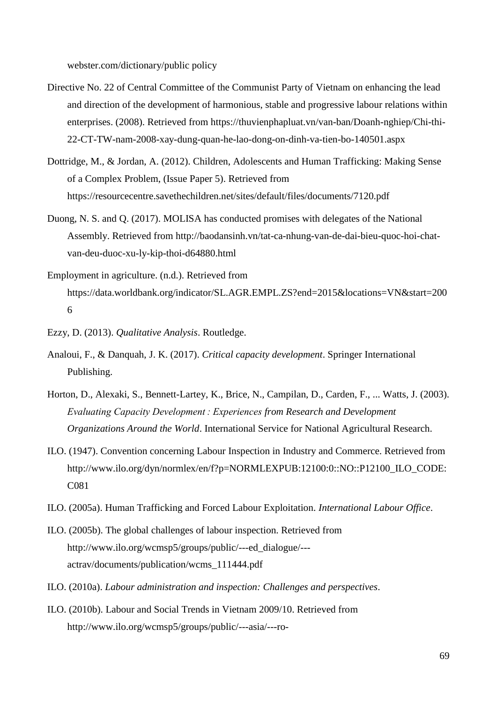webster.com/dictionary/public policy

- Directive No. 22 of Central Committee of the Communist Party of Vietnam on enhancing the lead and direction of the development of harmonious, stable and progressive labour relations within enterprises. (2008). Retrieved from https://thuvienphapluat.vn/van-ban/Doanh-nghiep/Chi-thi-22-CT-TW-nam-2008-xay-dung-quan-he-lao-dong-on-dinh-va-tien-bo-140501.aspx
- Dottridge, M., & Jordan, A. (2012). Children, Adolescents and Human Trafficking: Making Sense of a Complex Problem, (Issue Paper 5). Retrieved from https://resourcecentre.savethechildren.net/sites/default/files/documents/7120.pdf
- Duong, N. S. and Q. (2017). MOLISA has conducted promises with delegates of the National Assembly. Retrieved from http://baodansinh.vn/tat-ca-nhung-van-de-dai-bieu-quoc-hoi-chatvan-deu-duoc-xu-ly-kip-thoi-d64880.html
- Employment in agriculture. (n.d.). Retrieved from https://data.worldbank.org/indicator/SL.AGR.EMPL.ZS?end=2015&locations=VN&start=200 6
- Ezzy, D. (2013). *Qualitative Analysis*. Routledge.
- Analoui, F., & Danquah, J. K. (2017). *Critical capacity development*. Springer International Publishing.
- Horton, D., Alexaki, S., Bennett-Lartey, K., Brice, N., Campilan, D., Carden, F., ... Watts, J. (2003). *Evaluating Capacity Development : Experiences from Research and Development Organizations Around the World*. International Service for National Agricultural Research.
- ILO. (1947). Convention concerning Labour Inspection in Industry and Commerce. Retrieved from http://www.ilo.org/dyn/normlex/en/f?p=NORMLEXPUB:12100:0::NO::P12100\_ILO\_CODE: C081
- ILO. (2005a). Human Trafficking and Forced Labour Exploitation. *International Labour Office*.
- ILO. (2005b). The global challenges of labour inspection. Retrieved from http://www.ilo.org/wcmsp5/groups/public/---ed\_dialogue/-- actrav/documents/publication/wcms\_111444.pdf
- ILO. (2010a). *Labour administration and inspection: Challenges and perspectives*.
- ILO. (2010b). Labour and Social Trends in Vietnam 2009/10. Retrieved from http://www.ilo.org/wcmsp5/groups/public/---asia/---ro-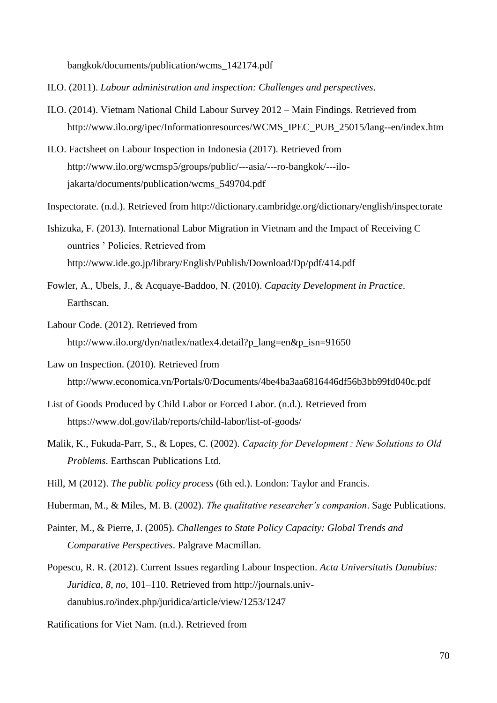bangkok/documents/publication/wcms\_142174.pdf

- ILO. (2011). *Labour administration and inspection: Challenges and perspectives*.
- ILO. (2014). Vietnam National Child Labour Survey 2012 Main Findings. Retrieved from http://www.ilo.org/ipec/Informationresources/WCMS\_IPEC\_PUB\_25015/lang--en/index.htm
- ILO. Factsheet on Labour Inspection in Indonesia (2017). Retrieved from http://www.ilo.org/wcmsp5/groups/public/---asia/---ro-bangkok/---ilojakarta/documents/publication/wcms\_549704.pdf
- Inspectorate. (n.d.). Retrieved from http://dictionary.cambridge.org/dictionary/english/inspectorate
- Ishizuka, F. (2013). International Labor Migration in Vietnam and the Impact of Receiving C ountries ' Policies. Retrieved from http://www.ide.go.jp/library/English/Publish/Download/Dp/pdf/414.pdf
- Fowler, A., Ubels, J., & Acquaye-Baddoo, N. (2010). *Capacity Development in Practice*. Earthscan.
- Labour Code. (2012). Retrieved from http://www.ilo.org/dyn/natlex/natlex4.detail?p\_lang=en&p\_isn=91650
- Law on Inspection. (2010). Retrieved from http://www.economica.vn/Portals/0/Documents/4be4ba3aa6816446df56b3bb99fd040c.pdf
- List of Goods Produced by Child Labor or Forced Labor. (n.d.). Retrieved from https://www.dol.gov/ilab/reports/child-labor/list-of-goods/
- Malik, K., Fukuda-Parr, S., & Lopes, C. (2002). *Capacity for Development : New Solutions to Old Problems*. Earthscan Publications Ltd.
- Hill, M (2012). *The public policy process* (6th ed.). London: Taylor and Francis.
- Huberman, M., & Miles, M. B. (2002). *The qualitative researcher's companion*. Sage Publications.
- Painter, M., & Pierre, J. (2005). *Challenges to State Policy Capacity: Global Trends and Comparative Perspectives*. Palgrave Macmillan.
- Popescu, R. R. (2012). Current Issues regarding Labour Inspection. *Acta Universitatis Danubius: Juridica*, *8*, *no*, 101–110. Retrieved from http://journals.univdanubius.ro/index.php/juridica/article/view/1253/1247
- Ratifications for Viet Nam. (n.d.). Retrieved from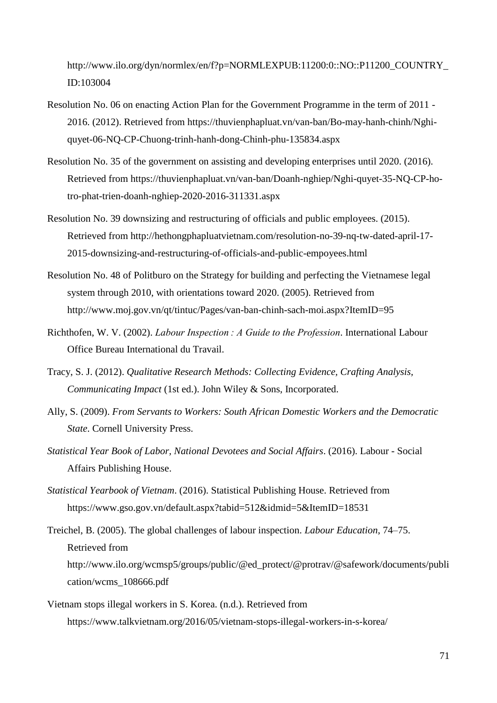http://www.ilo.org/dyn/normlex/en/f?p=NORMLEXPUB:11200:0::NO::P11200\_COUNTRY\_ ID:103004

- Resolution No. 06 on enacting Action Plan for the Government Programme in the term of 2011 2016. (2012). Retrieved from https://thuvienphapluat.vn/van-ban/Bo-may-hanh-chinh/Nghiquyet-06-NQ-CP-Chuong-trinh-hanh-dong-Chinh-phu-135834.aspx
- Resolution No. 35 of the government on assisting and developing enterprises until 2020. (2016). Retrieved from https://thuvienphapluat.vn/van-ban/Doanh-nghiep/Nghi-quyet-35-NQ-CP-hotro-phat-trien-doanh-nghiep-2020-2016-311331.aspx
- Resolution No. 39 downsizing and restructuring of officials and public employees. (2015). Retrieved from http://hethongphapluatvietnam.com/resolution-no-39-nq-tw-dated-april-17- 2015-downsizing-and-restructuring-of-officials-and-public-empoyees.html
- Resolution No. 48 of Politburo on the Strategy for building and perfecting the Vietnamese legal system through 2010, with orientations toward 2020. (2005). Retrieved from http://www.moj.gov.vn/qt/tintuc/Pages/van-ban-chinh-sach-moi.aspx?ItemID=95
- Richthofen, W. V. (2002). *Labour Inspection : A Guide to the Profession*. International Labour Office Bureau International du Travail.
- Tracy, S. J. (2012). *Qualitative Research Methods: Collecting Evidence, Crafting Analysis, Communicating Impact* (1st ed.). John Wiley & Sons, Incorporated.
- Ally, S. (2009). *From Servants to Workers: South African Domestic Workers and the Democratic State*. Cornell University Press.
- *Statistical Year Book of Labor, National Devotees and Social Affairs*. (2016). Labour Social Affairs Publishing House.
- *Statistical Yearbook of Vietnam*. (2016). Statistical Publishing House. Retrieved from https://www.gso.gov.vn/default.aspx?tabid=512&idmid=5&ItemID=18531
- Treichel, B. (2005). The global challenges of labour inspection. *Labour Education*, 74–75. Retrieved from http://www.ilo.org/wcmsp5/groups/public/@ed\_protect/@protrav/@safework/documents/publi cation/wcms\_108666.pdf
- Vietnam stops illegal workers in S. Korea. (n.d.). Retrieved from https://www.talkvietnam.org/2016/05/vietnam-stops-illegal-workers-in-s-korea/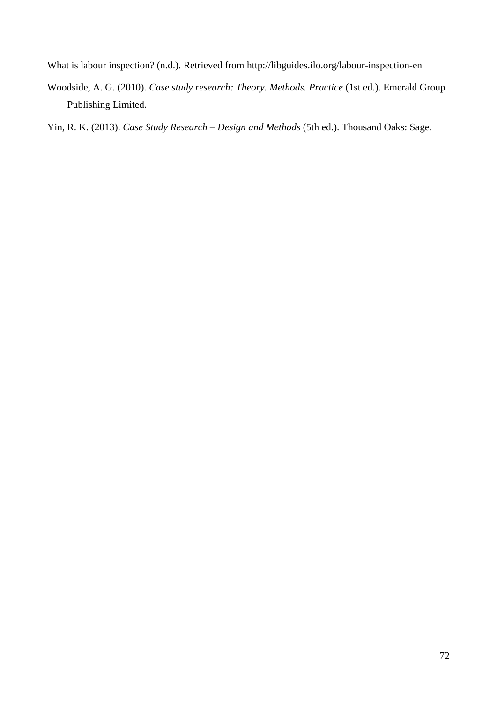What is labour inspection? (n.d.). Retrieved from http://libguides.ilo.org/labour-inspection-en

Woodside, A. G. (2010). *Case study research: Theory. Methods. Practice* (1st ed.). Emerald Group Publishing Limited.

Yin, R. K. (2013). *Case Study Research – Design and Methods* (5th ed.). Thousand Oaks: Sage.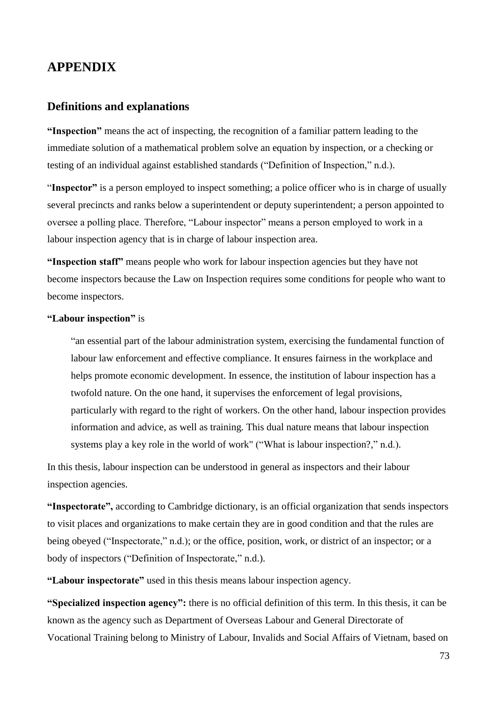## **APPENDIX**

#### **Definitions and explanations**

**"Inspection"** means the act of inspecting, the recognition of a familiar pattern leading to the immediate solution of a mathematical problem solve an equation by inspection, or a checking or testing of an individual against established standards ("Definition of Inspection," n.d.).

"**Inspector"** is a person employed to inspect something; a police officer who is in charge of usually several precincts and ranks below a superintendent or deputy superintendent; a person appointed to oversee a polling place. Therefore, "Labour inspector" means a person employed to work in a labour inspection agency that is in charge of labour inspection area.

**"Inspection staff"** means people who work for labour inspection agencies but they have not become inspectors because the Law on Inspection requires some conditions for people who want to become inspectors.

#### **"Labour inspection"** is

"an essential part of the labour administration system, exercising the fundamental function of labour law enforcement and effective compliance. It ensures fairness in the workplace and helps promote economic development. In essence, the institution of labour inspection has a twofold nature. On the one hand, it supervises the enforcement of legal provisions, particularly with regard to the right of workers. On the other hand, labour inspection provides information and advice, as well as training. This dual nature means that labour inspection systems play a key role in the world of work" ("What is labour inspection?," n.d.).

In this thesis, labour inspection can be understood in general as inspectors and their labour inspection agencies.

**"Inspectorate",** according to Cambridge dictionary, is an official organization that sends inspectors to visit places and organizations to make certain they are in good condition and that the rules are being obeyed ("Inspectorate," n.d.); or the office, position, work, or district of an inspector; or a body of inspectors ("Definition of Inspectorate," n.d.).

**"Labour inspectorate"** used in this thesis means labour inspection agency.

**"Specialized inspection agency":** there is no official definition of this term. In this thesis, it can be known as the agency such as Department of Overseas Labour and General Directorate of Vocational Training belong to Ministry of Labour, Invalids and Social Affairs of Vietnam, based on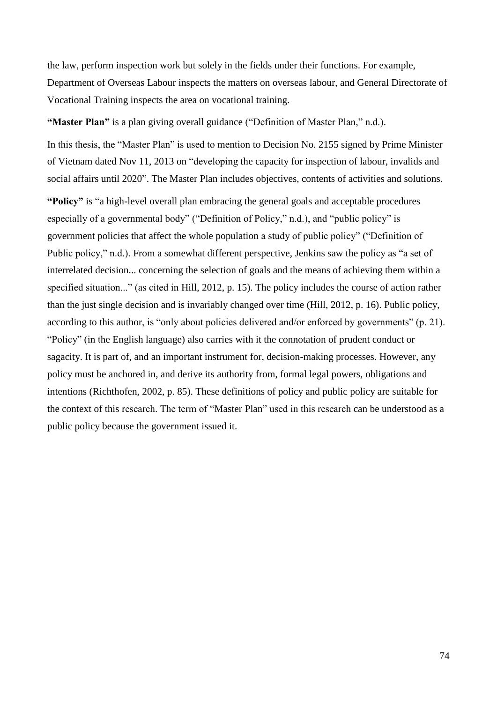the law, perform inspection work but solely in the fields under their functions. For example, Department of Overseas Labour inspects the matters on overseas labour, and General Directorate of Vocational Training inspects the area on vocational training.

**"Master Plan"** is a plan giving overall guidance ("Definition of Master Plan," n.d.).

In this thesis, the "Master Plan" is used to mention to Decision No. 2155 signed by Prime Minister of Vietnam dated Nov 11, 2013 on "developing the capacity for inspection of labour, invalids and social affairs until 2020". The Master Plan includes objectives, contents of activities and solutions.

**"Policy"** is "a high-level overall plan embracing the general goals and acceptable procedures especially of a governmental body" ("Definition of Policy," n.d.), and "public policy" is government policies that affect the whole population a study of public policy" ("Definition of Public policy," n.d.). From a somewhat different perspective, Jenkins saw the policy as "a set of interrelated decision... concerning the selection of goals and the means of achieving them within a specified situation..." (as cited in Hill, 2012, p. 15). The policy includes the course of action rather than the just single decision and is invariably changed over time (Hill, 2012, p. 16). Public policy, according to this author, is "only about policies delivered and/or enforced by governments" (p. 21). "Policy" (in the English language) also carries with it the connotation of prudent conduct or sagacity. It is part of, and an important instrument for, decision-making processes. However, any policy must be anchored in, and derive its authority from, formal legal powers, obligations and intentions (Richthofen, 2002, p. 85). These definitions of policy and public policy are suitable for the context of this research. The term of "Master Plan" used in this research can be understood as a public policy because the government issued it.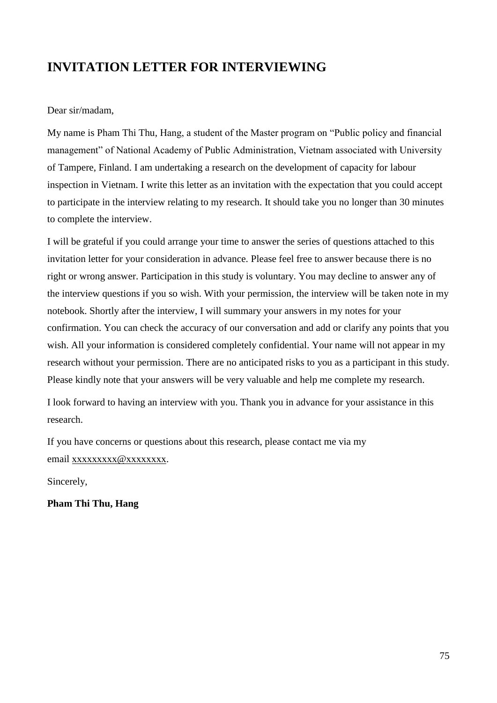# **INVITATION LETTER FOR INTERVIEWING**

#### Dear sir/madam,

My name is Pham Thi Thu, Hang, a student of the Master program on "Public policy and financial management" of National Academy of Public Administration, Vietnam associated with University of Tampere, Finland. I am undertaking a research on the development of capacity for labour inspection in Vietnam. I write this letter as an invitation with the expectation that you could accept to participate in the interview relating to my research. It should take you no longer than 30 minutes to complete the interview.

I will be grateful if you could arrange your time to answer the series of questions attached to this invitation letter for your consideration in advance. Please feel free to answer because there is no right or wrong answer. Participation in this study is voluntary. You may decline to answer any of the interview questions if you so wish. With your permission, the interview will be taken note in my notebook. Shortly after the interview, I will summary your answers in my notes for your confirmation. You can check the accuracy of our conversation and add or clarify any points that you wish. All your information is considered completely confidential. Your name will not appear in my research without your permission. There are no anticipated risks to you as a participant in this study. Please kindly note that your answers will be very valuable and help me complete my research.

I look forward to having an interview with you. Thank you in advance for your assistance in this research.

If you have concerns or questions about this research, please contact me via my email xxxxxxxxx @xxxxxxxxx.

Sincerely,

**Pham Thi Thu, Hang**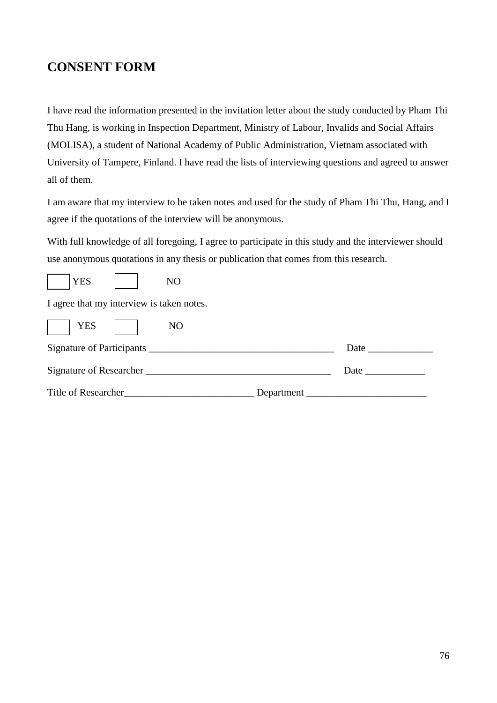## **CONSENT FORM**

I have read the information presented in the invitation letter about the study conducted by Pham Thi Thu Hang, is working in Inspection Department, Ministry of Labour, Invalids and Social Affairs (MOLISA), a student of National Academy of Public Administration, Vietnam associated with University of Tampere, Finland. I have read the lists of interviewing questions and agreed to answer all of them.

I am aware that my interview to be taken notes and used for the study of Pham Thi Thu, Hang, and I agree if the quotations of the interview will be anonymous.

With full knowledge of all foregoing, I agree to participate in this study and the interviewer should use anonymous quotations in any thesis or publication that comes from this research.

| $\mathbf{X}$ $\mathbf{A}$ |
|---------------------------|
|---------------------------|

I agree that my interview is taken notes.

| <b>YES</b>                | N <sub>O</sub> |      |
|---------------------------|----------------|------|
| Signature of Participants |                | Date |
| Signature of Researcher   |                | Date |
| Title of Researcher       | Department     |      |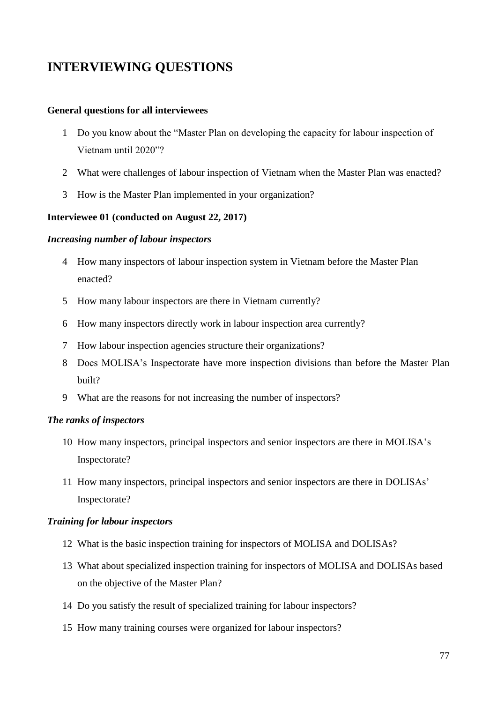# **INTERVIEWING QUESTIONS**

#### **General questions for all interviewees**

- 1 Do you know about the "Master Plan on developing the capacity for labour inspection of Vietnam until 2020"?
- 2 What were challenges of labour inspection of Vietnam when the Master Plan was enacted?
- 3 How is the Master Plan implemented in your organization?

#### **Interviewee 01 (conducted on August 22, 2017)**

#### *Increasing number of labour inspectors*

- 4 How many inspectors of labour inspection system in Vietnam before the Master Plan enacted?
- 5 How many labour inspectors are there in Vietnam currently?
- 6 How many inspectors directly work in labour inspection area currently?
- 7 How labour inspection agencies structure their organizations?
- 8 Does MOLISA's Inspectorate have more inspection divisions than before the Master Plan built?
- 9 What are the reasons for not increasing the number of inspectors?

#### *The ranks of inspectors*

- 10 How many inspectors, principal inspectors and senior inspectors are there in MOLISA's Inspectorate?
- 11 How many inspectors, principal inspectors and senior inspectors are there in DOLISAs' Inspectorate?

#### *Training for labour inspectors*

- 12 What is the basic inspection training for inspectors of MOLISA and DOLISAs?
- 13 What about specialized inspection training for inspectors of MOLISA and DOLISAs based on the objective of the Master Plan?
- 14 Do you satisfy the result of specialized training for labour inspectors?
- 15 How many training courses were organized for labour inspectors?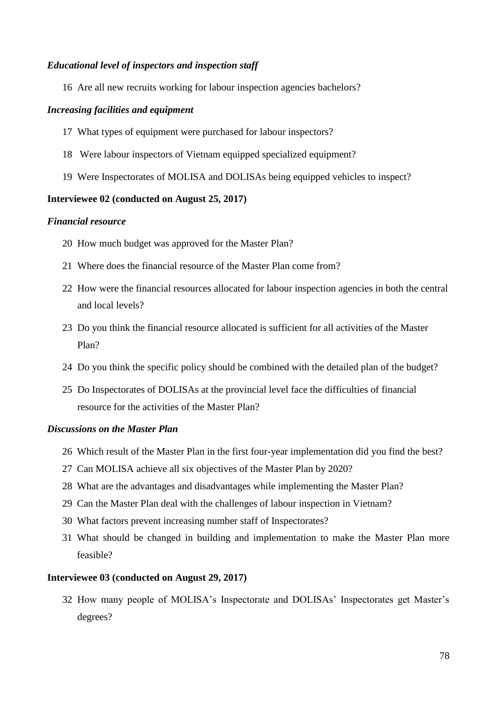#### *Educational level of inspectors and inspection staff*

Are all new recruits working for labour inspection agencies bachelors?

#### *Increasing facilities and equipment*

- What types of equipment were purchased for labour inspectors?
- Were labour inspectors of Vietnam equipped specialized equipment?
- Were Inspectorates of MOLISA and DOLISAs being equipped vehicles to inspect?

#### **Interviewee 02 (conducted on August 25, 2017)**

#### *Financial resource*

- How much budget was approved for the Master Plan?
- Where does the financial resource of the Master Plan come from?
- How were the financial resources allocated for labour inspection agencies in both the central and local levels?
- Do you think the financial resource allocated is sufficient for all activities of the Master Plan?
- Do you think the specific policy should be combined with the detailed plan of the budget?
- Do Inspectorates of DOLISAs at the provincial level face the difficulties of financial resource for the activities of the Master Plan?

#### *Discussions on the Master Plan*

- Which result of the Master Plan in the first four-year implementation did you find the best?
- Can MOLISA achieve all six objectives of the Master Plan by 2020?
- What are the advantages and disadvantages while implementing the Master Plan?
- Can the Master Plan deal with the challenges of labour inspection in Vietnam?
- What factors prevent increasing number staff of Inspectorates?
- What should be changed in building and implementation to make the Master Plan more feasible?

#### **Interviewee 03 (conducted on August 29, 2017)**

 How many people of MOLISA's Inspectorate and DOLISAs' Inspectorates get Master's degrees?